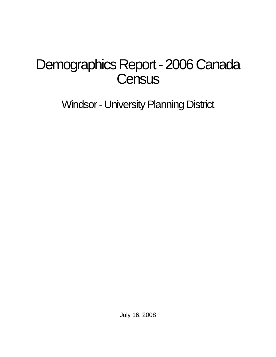# Demographics Report - 2006 Canada **Census**

Windsor - University Planning District

July 16, 2008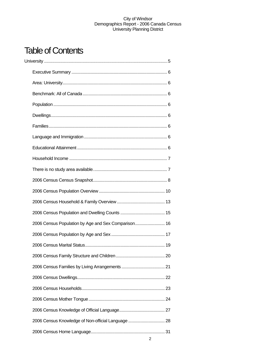## Table of Contents

| 2006 Census Population by Age and Sex Comparison 16 |  |
|-----------------------------------------------------|--|
|                                                     |  |
|                                                     |  |
|                                                     |  |
|                                                     |  |
|                                                     |  |
|                                                     |  |
|                                                     |  |
|                                                     |  |
| 2006 Census Knowledge of Non-official Language  28  |  |
|                                                     |  |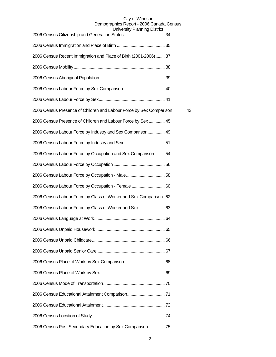| University Fiammig District                                         |    |
|---------------------------------------------------------------------|----|
|                                                                     |    |
| 2006 Census Recent Immigration and Place of Birth (2001-2006) 37    |    |
|                                                                     |    |
|                                                                     |    |
|                                                                     |    |
|                                                                     |    |
| 2006 Census Presence of Children and Labour Force by Sex Comparison | 43 |
| 2006 Census Presence of Children and Labour Force by Sex  45        |    |
| 2006 Census Labour Force by Industry and Sex Comparison 49          |    |
|                                                                     |    |
| 2006 Census Labour Force by Occupation and Sex Comparison 54        |    |
|                                                                     |    |
|                                                                     |    |
| 2006 Census Labour Force by Occupation - Female  60                 |    |
| 2006 Census Labour Force by Class of Worker and Sex Comparison. 62  |    |
| 2006 Census Labour Force by Class of Worker and Sex 63              |    |
|                                                                     |    |
|                                                                     |    |
|                                                                     |    |
|                                                                     |    |
|                                                                     |    |
|                                                                     |    |
|                                                                     |    |
|                                                                     |    |
|                                                                     |    |
|                                                                     |    |
| 2006 Census Post Secondary Education by Sex Comparison  75          |    |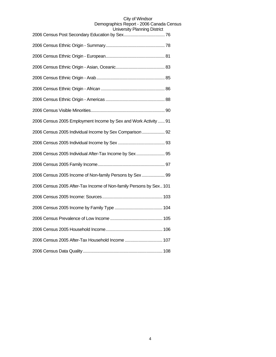| סוטטוש אוויוווויוטו ו זייטויט                                      |
|--------------------------------------------------------------------|
|                                                                    |
|                                                                    |
|                                                                    |
|                                                                    |
|                                                                    |
|                                                                    |
|                                                                    |
| 2006 Census 2005 Employment Income by Sex and Work Activity  91    |
| 2006 Census 2005 Individual Income by Sex Comparison 92            |
|                                                                    |
| 2006 Census 2005 Individual After-Tax Income by Sex 95             |
|                                                                    |
| 2006 Census 2005 Income of Non-family Persons by Sex  99           |
| 2006 Census 2005 After-Tax Income of Non-family Persons by Sex 101 |
|                                                                    |
|                                                                    |
|                                                                    |
|                                                                    |
| 2006 Census 2005 After-Tax Household Income  107                   |
|                                                                    |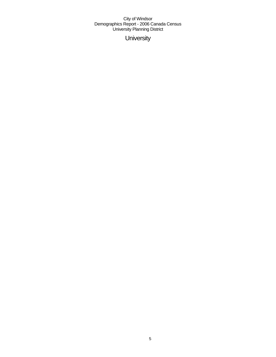**University**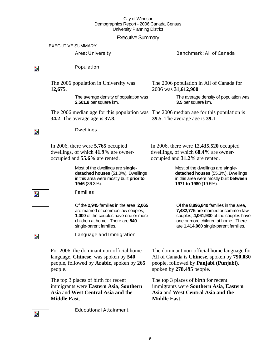### Executive Summary

#### EXECUTIVE SUMMARY

#### Area: University **Benchmark: All of Canada**

 $\overline{\mathbf{z}}$ 

 $\overline{\phantom{a}}$ 

### Population

**Dwellings** 

occupied and **55.6%** are rented.

The 2006 population in University was **12,675**.

> The average density of population was **2,501.8** per square km.

The 2006 median age for this population was The 2006 median age for this population is **34.2**. The average age is **37.8**.

The 2006 population in All of Canada for 2006 was **31,612,900**.

> The average density of population was **3.5** per square km.

**39.5**. The average age is **39.1**.

In 2006, there were **5,765** occupied dwellings, of which **41.9%** are owner-In 2006, there were **12,435,520** occupied

> Most of the dwellings are **singledetached houses** (51.0%). Dwellings in this area were mostly built **prior to 1946** (36.3%).

#### Families

Of the **2,945** families in the area, **2,065**  are married or common law couples; **1,000** of the couples have one or more children at home. There are **840**  single-parent families.

dwellings, of which **68.4%** are owneroccupied and **31.2%** are rented.

Most of the dwellings are **singledetached houses** (55.3%). Dwellings in this area were mostly built **between 1971 to 1980** (19.5%).

Of the **8,896,840** families in the area, **7,482,775** are married or common law couples; **4,061,930** of the couples have one or more children at home. There are **1,414,060** single-parent families.

Z.

Language and Immigration

For 2006, the dominant non-official home language, **Chinese**, was spoken by **540** people, followed by **Arabic**, spoken by **265** people.

The top 3 places of birth for recent immigrants were **Eastern Asia**, **Southern Asia** and **West Central Asia and the Middle East**.

Educational Attainment

The dominant non-official home language for All of Canada is **Chinese**, spoken by **790,030** people, followed by **Panjabi (Punjabi)**, spoken by **278,495** people.

The top 3 places of birth for recent immigrants were **Southern Asia**, **Eastern Asia** and **West Central Asia and the Middle East**.

Z.



 $\overline{\phantom{a}}$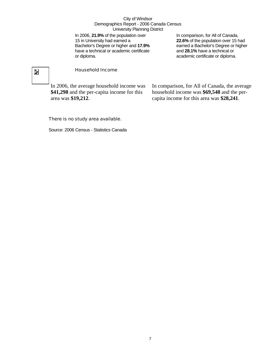In 2006, **21.9%** of the population over 15 in University had earned a Bachelor's Degree or higher and **17.9%** have a technical or academic certificate or diploma.

In comparison, for All of Canada, **22.6%** of the population over 15 had earned a Bachelor's Degree or higher and **28.1%** have a technical or academic certificate or diploma.

## $\overline{\mathbf{z}}$

#### Household Income

In 2006, the average household income was **\$41,298** and the per-capita income for this area was **\$19,212**.

In comparison, for All of Canada, the average household income was **\$69,548** and the percapita income for this area was **\$28,241**.

#### There is no study area available.

Source: 2006 Census - Statistics Canada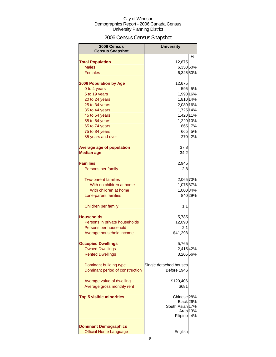## 2006 Census Census Snapshot

| 2006 Census<br><b>Census Snapshot</b> | <b>University</b>      |         |
|---------------------------------------|------------------------|---------|
|                                       |                        | %       |
| <b>Total Population</b>               | 12,675                 |         |
| <b>Males</b>                          | 6,350 50%              |         |
| <b>Females</b>                        | 6,325 50%              |         |
| <b>2006 Population by Age</b>         | 12,675                 |         |
| 0 to 4 years                          | 595 <sub>1</sub>       | 5%      |
| 5 to 19 years                         | 1,990 16%              |         |
| 20 to 24 years                        | 1,810 14%              |         |
| 25 to 34 years                        | 2,080 16%              |         |
| 35 to 44 years                        | 1,725 14%              |         |
| 45 to 54 years                        | 1,420 11%              |         |
| 55 to 64 years                        | 1,220 10%              |         |
| 65 to 74 years                        |                        | 865 7%  |
| 75 to 84 years                        | 665                    | 5%      |
| 85 years and over                     | 270                    | 2%      |
| <b>Average age of population</b>      | 37.8                   |         |
| <b>Median age</b>                     | 34.2                   |         |
| <b>Families</b>                       | 2,945                  |         |
| Persons per family                    | 2.8                    |         |
| <b>Two-parent families</b>            | 2,065 70%              |         |
| With no children at home              | 1,075 37%              |         |
| With children at home                 | 1,000 34%              |         |
| Lone-parent families                  |                        | 840 29% |
| Children per family                   | 1.1                    |         |
| Households                            | 5,785                  |         |
| Persons in private households         | 12,090                 |         |
| Persons per household                 | 2.1                    |         |
| Average household income              | \$41,298               |         |
| <b>Occupied Dwellings</b>             | 5,765                  |         |
| <b>Owned Dwellings</b>                | 2,415 42%              |         |
| <b>Rented Dwellings</b>               | 3,205 56%              |         |
| Dominant building type                | Single detached houses |         |
| Dominant period of construction       | Before 1946            |         |
| Average value of dwelling             | \$120,406              |         |
| Average gross monthly rent            | \$681                  |         |
| <b>Top 5 visible minorities</b>       | Chinese <sub>28%</sub> |         |
|                                       | Black 26%              |         |
|                                       | South Asian 17%        |         |
|                                       | Arab <sub>13%</sub>    |         |
|                                       | Filipino               | 4%      |
| <b>Dominant Demographics</b>          |                        |         |
| <b>Official Home Language</b>         | English                |         |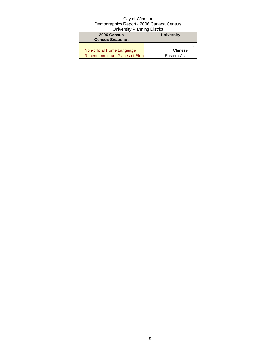| 2006 Census<br><b>Census Snapshot</b>   | <b>University</b> |   |
|-----------------------------------------|-------------------|---|
|                                         |                   | % |
| Non-official Home Language              | Chinese           |   |
| <b>Recent Immigrant Places of Birth</b> | Eastern Asia      |   |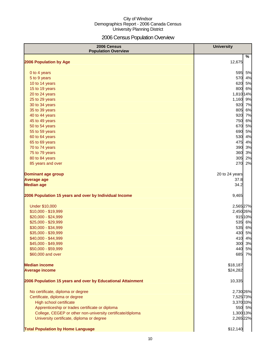## 2006 Census Population Overview

| 2006 Census<br><b>Population Overview</b>                   | <b>University</b> |
|-------------------------------------------------------------|-------------------|
| 2006 Population by Age                                      | %<br>12,675       |
|                                                             |                   |
| 0 to 4 years                                                | 5%<br>595<br>570  |
| 5 to 9 years                                                | 4%<br>620<br>5%   |
| 10 to 14 years<br>15 to 19 years                            | 800 6%            |
| 20 to 24 years                                              | 1,810 14%         |
| 25 to 29 years                                              | 1,160 9%          |
| 30 to 34 years                                              | 920 7%            |
|                                                             |                   |
| 35 to 39 years                                              | 805 6%            |
| 40 to 44 years                                              | 920 7%            |
| 45 to 49 years                                              | 750 6%            |
| 50 to 54 years                                              | 670<br>5%         |
| 55 to 59 years                                              | 690<br>5%         |
| 60 to 64 years                                              | 530<br>4%         |
| 65 to 69 years                                              | 475<br>4%         |
| 70 to 74 years                                              | 390<br>3%         |
| 75 to 79 years                                              | 360<br>3%         |
| 80 to 84 years                                              | 305<br>2%         |
| 85 years and over                                           | 270<br>2%         |
| <b>Dominant age group</b>                                   | 20 to 24 years    |
| <b>Average age</b>                                          | 37.8              |
| <b>Median age</b>                                           | 34.2              |
| 2006 Population 15 years and over by Individual Income      | 9,465             |
| <b>Under \$10,000</b>                                       | 2,565 27%         |
| \$10,000 - \$19,999                                         | 2,450 26%         |
| \$20,000 - \$24,999                                         | 91510%            |
| \$25,000 - \$29,999                                         | 535 6%            |
| \$30,000 - \$34,999                                         | 535 6%            |
| \$35,000 - \$39,999                                         | 430<br>5%         |
| \$40,000 - \$44,999                                         | 410<br>4%         |
| \$45,000 - \$49,999                                         | 300 3%            |
| \$50,000 - \$59,999                                         | 440<br>5%         |
| \$60,000 and over                                           | 685<br>7%         |
| <b>Median income</b>                                        | \$18,187          |
| <b>Average income</b>                                       | \$24,282          |
| 2006 Population 15 years and over by Educational Attainment | 10,335            |
| No certificate, diploma or degree                           | 2,730 26%         |
| Certificate, diploma or degree                              | 7,525 73%         |
| High school certificate                                     | 3,370 33%         |
| Apprenticeship or trades certificate or diploma             | 550 5%            |
| College, CEGEP or other non-university certificate/diploma  | 1,300 13%         |
| University certificate, diploma or degree                   | 2,265 22%         |
| <b>Total Population by Home Language</b>                    | \$12,140          |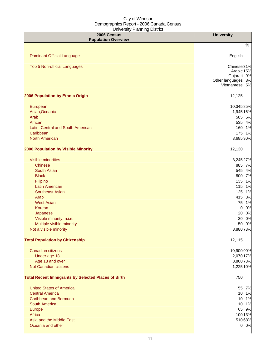| 2006 Census<br><b>Population Overview</b>                  | <b>University</b>                         |
|------------------------------------------------------------|-------------------------------------------|
|                                                            | %                                         |
|                                                            |                                           |
| <b>Dominant Official Language</b>                          | English                                   |
| Top 5 Non-official Languages                               | Chinese <sub>31%</sub>                    |
|                                                            | Arabic 15%                                |
|                                                            | Gujarati 9%                               |
|                                                            | Other languages<br>8%<br>Vietnamese<br>5% |
| 2006 Population by Ethnic Origin                           | 12,125                                    |
|                                                            |                                           |
| European                                                   | 10,34585%                                 |
| Asian, Oceanic                                             | 1,945 16%                                 |
| Arab                                                       | 585 5%                                    |
| African                                                    | 535 4%                                    |
| Latin, Central and South American                          | 160 1%                                    |
| Caribbean                                                  | 175 1%                                    |
| <b>North American</b>                                      | 3,685 30%                                 |
| 2006 Population by Visible Minority                        | 12,130                                    |
| <b>Visible minorities</b>                                  | 3,245 27%                                 |
| <b>Chinese</b>                                             | 885 7%                                    |
| South Asian                                                | 545 4%                                    |
| <b>Black</b>                                               | 800<br>7%                                 |
| Filipino                                                   | 135<br>1%                                 |
| <b>Latin American</b>                                      | 115<br>1%                                 |
| <b>Southeast Asian</b>                                     | 125<br>1%                                 |
| Arab                                                       | 415<br>3%                                 |
| <b>West Asian</b>                                          | 1%<br>75                                  |
| Korean                                                     | 0%<br>$\overline{0}$                      |
| Japanese                                                   | 0%<br>20                                  |
| Visible minority, n.i.e.                                   | 0%<br>30                                  |
| Multiple visible minority                                  | 0%<br>50                                  |
| Not a visible minority                                     | 8,880 73%                                 |
| <b>Total Population by Citizenship</b>                     | 12,115                                    |
| Canadian citizens                                          | 10,900 90%                                |
| Under age 18                                               | 2,070 17%                                 |
| Age 18 and over                                            | 8,800 73%                                 |
| Not Canadian citizens                                      | 1,225 10%                                 |
| <b>Total Recent Immigrants by Selected Places of Birth</b> | 750                                       |
| <b>United States of America</b>                            | 55 7%                                     |
| <b>Central America</b>                                     | 10 1%                                     |
| <b>Caribbean and Bermuda</b>                               | 10 1%                                     |
| <b>South America</b>                                       | 10 1%                                     |
| Europe                                                     | 65 9%                                     |
| Africa                                                     | 100 13%                                   |
| Asia and the Middle East                                   | 51068%                                    |
| Oceania and other                                          | 0 0%                                      |
|                                                            |                                           |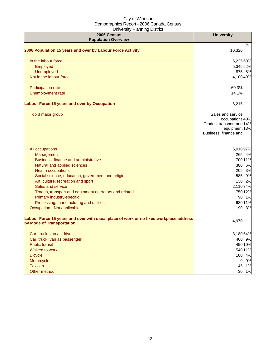| 2006 Census<br><b>Population Overview</b>                                                                          | <b>University</b>                                                                                           |
|--------------------------------------------------------------------------------------------------------------------|-------------------------------------------------------------------------------------------------------------|
|                                                                                                                    | %                                                                                                           |
| 2006 Population 15 years and over by Labour Force Activity                                                         | 10,320                                                                                                      |
| In the labour force                                                                                                | 6,225 60%                                                                                                   |
| Employed                                                                                                           | 5,345 52%                                                                                                   |
| Unemployed                                                                                                         | 875 8%                                                                                                      |
| Not in the labour force                                                                                            | 4,100 40%                                                                                                   |
| Participation rate                                                                                                 | 60.3%                                                                                                       |
| Unemployment rate                                                                                                  | 14.1%                                                                                                       |
| Labour Force 15 years and over by Occupation                                                                       | 6,215                                                                                                       |
| Top 3 major group                                                                                                  | Sales and service<br>occupations 40%<br>Trades, transport and 14%<br>equipment 13%<br>Business, finance and |
| All occupations                                                                                                    | 6,010 97%                                                                                                   |
| Management                                                                                                         | 265 4%                                                                                                      |
| Business, finance and administrative                                                                               | 700 11%                                                                                                     |
| Natural and applied sciences                                                                                       | 380 6%                                                                                                      |
| <b>Health occupations</b>                                                                                          | 205 3%                                                                                                      |
| Social science, education, government and religion                                                                 | 585 9%                                                                                                      |
| Art, culture, recreation and sport                                                                                 | 130 2%                                                                                                      |
| Sales and service                                                                                                  | 2,110 34%                                                                                                   |
| Trades, transport and equipment operators and related                                                              | 750 12%                                                                                                     |
| Primary industry-specific                                                                                          | 90 1%                                                                                                       |
| Processing, manufacturing and utilities                                                                            | 680 11%                                                                                                     |
| Occupation - Not applicable                                                                                        | 190 3%                                                                                                      |
| Labour Force 15 years and over with usual place of work or no fixed workplace address<br>by Mode of Transportation | 4,970                                                                                                       |
| Car, truck, van as driver                                                                                          | 3,18064%                                                                                                    |
| Car, truck, van as passenger                                                                                       | 460 9%                                                                                                      |
| <b>Public transit</b>                                                                                              | 490 10%                                                                                                     |
| Walked to work                                                                                                     | 540 11%                                                                                                     |
| <b>Bicycle</b>                                                                                                     | 180 4%                                                                                                      |
| Motorcycle                                                                                                         | 0%<br>$\overline{0}$                                                                                        |
| <b>Taxicab</b>                                                                                                     | 45 1%                                                                                                       |
| Other method                                                                                                       | 30 1%                                                                                                       |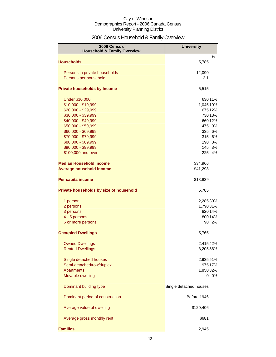## 2006 Census Household & Family Overview

| 2006 Census<br><b>Household &amp; Family Overview</b> | <b>University</b>      |         |
|-------------------------------------------------------|------------------------|---------|
| <b>Households</b>                                     | 5,785                  | %       |
|                                                       |                        |         |
| Persons in private households                         | 12,090                 |         |
| Persons per household                                 | 2.1                    |         |
| <b>Private households by Income</b>                   | 5,515                  |         |
| <b>Under \$10,000</b>                                 |                        | 63011%  |
| \$10,000 - \$19,999                                   | 1,045 19%              |         |
| \$20,000 - \$29,999                                   |                        | 675 12% |
| \$30,000 - \$39,999                                   |                        | 730 13% |
| \$40,000 - \$49,999                                   |                        | 660 12% |
| \$50,000 - \$59,999                                   | 475                    | 9%      |
| \$60,000 - \$69,999                                   | 335                    | 6%      |
| \$70,000 - \$79,999                                   | 315                    | 6%      |
| \$80,000 - \$89,999                                   | 190                    | 3%      |
| \$90,000 - \$99,999                                   | 145                    | 3%      |
| \$100,000 and over                                    | 225                    | 4%      |
| <b>Median Household Income</b>                        | \$34,966               |         |
| <b>Average household income</b>                       | \$41,298               |         |
| Per capita income                                     | \$18,839               |         |
| Private households by size of household               | 5,785                  |         |
| 1 person                                              | 2,285 39%              |         |
| 2 persons                                             | 1,790 31%              |         |
| 3 persons                                             |                        | 820 14% |
| 4 - 5 persons                                         |                        | 800 14% |
| 6 or more persons                                     | 90                     | 2%      |
| <b>Occupied Dwellings</b>                             | 5,765                  |         |
| <b>Owned Dwellings</b>                                | 2,41542%               |         |
| <b>Rented Dwellings</b>                               | 3,205 56%              |         |
| Single detached houses                                | 2,935 51%              |         |
| Semi-detached/row/duplex                              |                        | 975 17% |
| Apartments                                            | 1,850 32%              |         |
| Movable dwelling                                      | 0                      | 0%      |
|                                                       |                        |         |
| Dominant building type                                | Single detached houses |         |
| Dominant period of construction                       | Before 1946            |         |
| Average value of dwelling                             | \$120,406              |         |
| Average gross monthly rent                            | \$681                  |         |
| <b>Families</b>                                       | 2,945                  |         |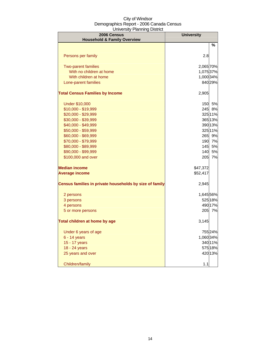| 2006 Census<br><b>Household &amp; Family Overview</b>   | <b>University</b> |         |
|---------------------------------------------------------|-------------------|---------|
|                                                         |                   | $\%$    |
| Persons per family                                      | 2.8               |         |
| <b>Two-parent families</b>                              | 2,065 70%         |         |
| With no children at home                                | 1,075 37%         |         |
| With children at home                                   | 1,000 34%         |         |
| Lone-parent families                                    |                   | 840 29% |
| <b>Total Census Families by Income</b>                  | 2,905             |         |
| <b>Under \$10,000</b>                                   |                   | 150 5%  |
| \$10,000 - \$19,999                                     |                   | 245 8%  |
| \$20,000 - \$29,999                                     |                   | 325 11% |
| \$30,000 - \$39,999                                     |                   | 365 13% |
| \$40,000 - \$49,999                                     |                   | 390 13% |
| \$50,000 - \$59,999                                     |                   | 325 11% |
| \$60,000 - \$69,999                                     | 265               | 9%      |
| \$70,000 - \$79,999                                     | 190               | 7%      |
| \$80,000 - \$89,999                                     | 145               | 5%      |
| \$90,000 - \$99,999                                     | 140               | 5%      |
| \$100,000 and over                                      | 205               | 7%      |
| <b>Median income</b>                                    | \$47,372          |         |
| <b>Average income</b>                                   | \$52,417          |         |
| Census families in private households by size of family | 2,945             |         |
| 2 persons                                               | 1,645 56%         |         |
| 3 persons                                               |                   | 525 18% |
| 4 persons                                               |                   | 490 17% |
| 5 or more persons                                       | 205               | 7%      |
| Total children at home by age                           | 3,145             |         |
| Under 6 years of age                                    |                   | 75524%  |
| $6 - 14$ years                                          | 1,060 34%         |         |
| 15 - 17 years                                           |                   | 340 11% |
| 18 - 24 years                                           |                   | 575 18% |
| 25 years and over                                       |                   | 420 13% |
| Children/family                                         | 1.1               |         |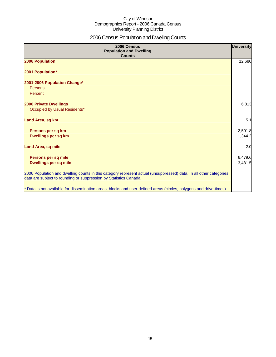## 2006 Census Population and Dwelling Counts

| 2006 Census<br><b>Population and Dwelling</b><br><b>Counts</b>                                                                                                                           | <b>University</b>  |
|------------------------------------------------------------------------------------------------------------------------------------------------------------------------------------------|--------------------|
| 2006 Population                                                                                                                                                                          | 12,680             |
| 2001 Population*                                                                                                                                                                         |                    |
| 2001-2006 Population Change*<br>Persons<br>Percent                                                                                                                                       |                    |
| <b>2006 Private Dwellings</b><br>Occupied by Usual Residents*                                                                                                                            | 6,813              |
| Land Area, sq km                                                                                                                                                                         | 5.1                |
| Persons per sq km<br>Dwellings per sq km                                                                                                                                                 | 2,501.8<br>1,344.2 |
| <b>Land Area, sq mile</b>                                                                                                                                                                | 2.0                |
| Persons per sq mile<br><b>Dwellings per sq mile</b>                                                                                                                                      | 6,479.6<br>3,481.5 |
| 2006 Population and dwelling counts in this category represent actual (unsuppressed) data. In all other categories,<br>data are subject to rounding or suppression by Statistics Canada. |                    |
| * Data is not available for dissemination areas, blocks and user-defined areas (circles, polygons and drive-times)                                                                       |                    |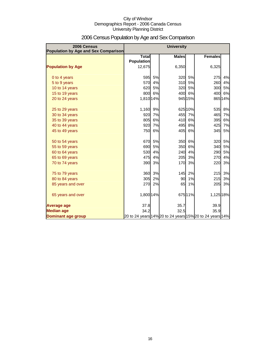| 2006 Census<br>Population by Age and Sex Comparison | <b>University</b>                 |    |              |         |                                                          |         |
|-----------------------------------------------------|-----------------------------------|----|--------------|---------|----------------------------------------------------------|---------|
|                                                     | <b>Total</b><br><b>Population</b> |    | <b>Males</b> |         | <b>Females</b>                                           |         |
| <b>Population by Age</b>                            | 12,675                            |    | 6,350        |         | 6,325                                                    |         |
| 0 to 4 years                                        | 595                               | 5% | 320          | 5%      | 275                                                      | 4%      |
| 5 to 9 years                                        | 570                               | 4% | 310          | 5%      | 260                                                      | 4%      |
| 10 to 14 years                                      | 620                               | 5% | 320          | 5%      | 300                                                      | 5%      |
| 15 to 19 years                                      | 800                               | 6% | 400          | 6%      | 400                                                      | 6%      |
| 20 to 24 years                                      | 1,810 14%                         |    |              | 945 15% |                                                          | 865 14% |
| 25 to 29 years                                      | 1,160                             | 9% |              | 62510%  | 535                                                      | 8%      |
| 30 to 34 years                                      | 920                               | 7% | 455          | 7%      | 465                                                      | 7%      |
| 35 to 39 years                                      | 805                               | 6% | 410          | 6%      | 395                                                      | 6%      |
| 40 to 44 years                                      | 920                               | 7% | 495          | 8%      | 425                                                      | 7%      |
| 45 to 49 years                                      | 750                               | 6% | 405          | 6%      | 345                                                      | 5%      |
| 50 to 54 years                                      | 670                               | 5% | 350          | 6%      | 320                                                      | 5%      |
| 55 to 59 years                                      | 690                               | 5% | 350          | 6%      | 340                                                      | 5%      |
| 60 to 64 years                                      | 530                               | 4% | 240          | 4%      | 290                                                      | 5%      |
| 65 to 69 years                                      | 475                               | 4% | 205          | 3%      | 270                                                      | 4%      |
| 70 to 74 years                                      | 390                               | 3% | 170          | 3%      | 220                                                      | 3%      |
| 75 to 79 years                                      | 360                               | 3% | 145          | 2%      | 215                                                      | 3%      |
| 80 to 84 years                                      | 305                               | 2% | 90           | 1%      | 215                                                      | 3%      |
| 85 years and over                                   | 270                               | 2% | 65           | 1%      | 205                                                      | 3%      |
| 65 years and over                                   | 1,800 14%                         |    |              | 675 11% | 1,125 18%                                                |         |
| <b>Average age</b>                                  | 37.8                              |    | 35.7         |         | 39.9                                                     |         |
| <b>Median age</b>                                   | 34.2                              |    | 32.5         |         | 35.9                                                     |         |
| <b>Dominant age group</b>                           |                                   |    |              |         | 20 to 24 years 14% 20 to 24 years 15% 20 to 24 years 14% |         |

## 2006 Census Population by Age and Sex Comparison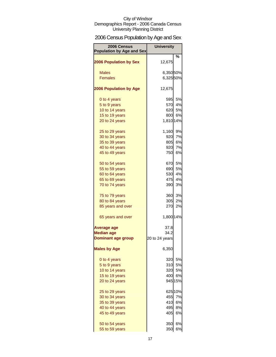## 2006 Census Population by Age and Sex

| 2006 Census<br><b>Population by Age and Sex</b> | <b>University</b>     |           |
|-------------------------------------------------|-----------------------|-----------|
| <b>2006 Population by Sex</b>                   | 12,675                | %         |
|                                                 |                       |           |
| <b>Males</b><br><b>Females</b>                  | 6,35050%<br>6,325 50% |           |
|                                                 |                       |           |
| <b>2006 Population by Age</b>                   | 12,675                |           |
| 0 to 4 years                                    | 595                   | 5%        |
| 5 to 9 years                                    |                       | 570 4%    |
| 10 to 14 years                                  |                       | 620 5%    |
| 15 to 19 years                                  | 800                   | 6%        |
| 20 to 24 years                                  | 1,810 14%             |           |
|                                                 |                       |           |
| 25 to 29 years                                  | 1,160<br>920          | 9%<br>7%  |
| 30 to 34 years                                  | 805                   | <b>6%</b> |
| 35 to 39 years                                  |                       |           |
| 40 to 44 years                                  | 920<br>750            | 7%<br>6%  |
| 45 to 49 years                                  |                       |           |
| 50 to 54 years                                  | 670                   | 5%        |
| 55 to 59 years                                  | 690                   | 5%        |
| 60 to 64 years                                  | 530                   | 4%        |
| 65 to 69 years                                  | 475                   | 4%        |
| 70 to 74 years                                  | 390                   | 3%        |
| 75 to 79 years                                  | 360                   | 3%        |
| 80 to 84 years                                  | 305                   | 2%        |
| 85 years and over                               | 270                   | 2%        |
| 65 years and over                               | 1,800 14%             |           |
| <b>Average age</b>                              | 37.8                  |           |
| <b>Median age</b>                               | 34.2                  |           |
| <b>Dominant age group</b>                       | 20 to 24 years        |           |
| <b>Males by Age</b>                             | 6,350                 |           |
|                                                 | 320                   | 5%        |
| 0 to 4 years                                    | 310                   | 5%        |
| 5 to 9 years                                    |                       |           |
| 10 to 14 years                                  | 320                   | 5%        |
| 15 to 19 years<br>20 to 24 years                | 400                   | 6%        |
|                                                 |                       | 945 15%   |
| 25 to 29 years                                  |                       | 625 10%   |
| 30 to 34 years                                  | 455                   | 7%        |
| 35 to 39 years                                  | 410                   | 6%        |
| 40 to 44 years                                  | 495                   | 8%        |
| 45 to 49 years                                  | 405                   | 6%        |
| 50 to 54 years                                  | 350                   | 6%        |
| 55 to 59 years                                  | 350                   | 6%        |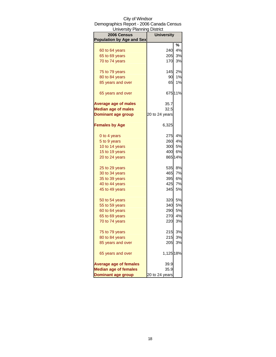| <b>University Planning District</b> |                   |         |
|-------------------------------------|-------------------|---------|
| 2006 Census                         | <b>University</b> |         |
| <b>Population by Age and Sex</b>    |                   |         |
|                                     |                   | %       |
| 60 to 64 years                      | 240               | 4%      |
| 65 to 69 years                      | 205               | 3%      |
| 70 to 74 years                      | 170               | 3%      |
| 75 to 79 years                      | 145               | 2%      |
| 80 to 84 years                      | 90                | 1%      |
| 85 years and over                   | 65                | 1%      |
| 65 years and over                   |                   | 67511%  |
| <b>Average age of males</b>         | 35.7              |         |
| <b>Median age of males</b>          | 32.5              |         |
| <b>Dominant age group</b>           | 20 to 24 years    |         |
| <b>Females by Age</b>               | 6,325             |         |
| 0 to 4 years                        | 275               | 4%      |
| 5 to 9 years                        | 260               | 4%      |
| 10 to 14 years                      | 300               | 5%      |
| 15 to 19 years                      | 400               | 6%      |
| 20 to 24 years                      |                   | 865 14% |
| 25 to 29 years                      | 535               | 8%      |
| 30 to 34 years                      | 465               | 7%      |
| 35 to 39 years                      | 395               | 6%      |
| 40 to 44 years                      | 425               | 7%      |
| 45 to 49 years                      | 345               | 5%      |
| 50 to 54 years                      | 320               | 5%      |
| 55 to 59 years                      | 340               | 5%      |
| 60 to 64 years                      | 290               | 5%      |
| 65 to 69 years                      | 270               | 4%      |
| 70 to 74 years                      | 220               | 3%      |
| 75 to 79 years                      | 215               | 3%      |
| 80 to 84 years                      | 215               | 3%      |
| 85 years and over                   | 205               | 3%      |
| 65 years and over                   | 1,125 18%         |         |
| <b>Average age of females</b>       | 39.9              |         |
| <b>Median age of females</b>        | 35.9              |         |
| <b>Dominant age group</b>           | 20 to 24 years    |         |

## City of Windsor Demographics Report - 2006 Canada Census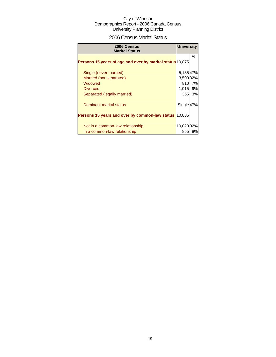## 2006 Census Marital Status

| 2006 Census<br><b>Marital Status</b>                      | <b>University</b>     |    |
|-----------------------------------------------------------|-----------------------|----|
| Persons 15 years of age and over by marital status 10,875 |                       | %  |
| Single (never married)                                    | 5,13547%              |    |
| Married (not separated)                                   | 3,500 32%             |    |
| Widowed                                                   | 810                   | 7% |
| <b>Divorced</b>                                           | 1,015                 | 9% |
| Separated (legally married)                               | 365                   | 3% |
| Dominant marital status                                   | Single <sup>47%</sup> |    |
| Persons 15 years and over by common-law status            | 10,885                |    |
|                                                           |                       |    |
| Not in a common-law relationship                          | 10,020 92%            |    |
| In a common-law relationship                              | 855                   | 8% |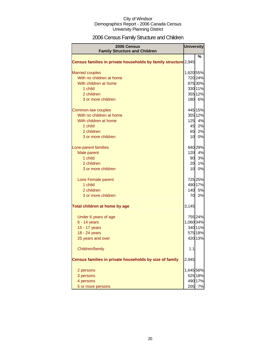## 2006 Census Family Structure and Children

| <b>2006 Census</b><br><b>Family Structure and Children</b>      | <b>University</b> |         |
|-----------------------------------------------------------------|-------------------|---------|
|                                                                 |                   | ℅       |
| Census families in private households by family structure 2,945 |                   |         |
| <b>Married couples</b>                                          | 1,620 55%         |         |
| With no children at home                                        |                   | 720 24% |
| With children at home                                           |                   | 875 30% |
| 1 child                                                         |                   | 330 11% |
| 2 children                                                      |                   | 355 12% |
| 3 or more children                                              |                   | 180 6%  |
| Common-law couples                                              |                   | 445 15% |
| With no children at home                                        |                   | 355 12% |
| With children at home                                           | 125               | 4%      |
| 1 child                                                         | 45                | 2%      |
| 2 children                                                      | 65                | 2%      |
| 3 or more children                                              |                   | 10 0%   |
| Lone-parent families                                            |                   | 840 29% |
| Male parent                                                     |                   | 120 4%  |
| 1 child                                                         | 90                | 3%      |
| 2 children                                                      | 20                | 1%      |
| 3 or more children                                              | 10                | 0%      |
| Lone Female parent                                              |                   | 725 25% |
| 1 child                                                         |                   | 490 17% |
| 2 children                                                      |                   | 140 5%  |
| 3 or more children                                              | 70                | 2%      |
| Total children at home by age                                   | 3,145             |         |
| Under 6 years of age                                            |                   | 755 24% |
| $6 - 14$ years                                                  | 1,060 34%         |         |
| 15 - 17 years                                                   |                   | 340 11% |
| 18 - 24 years                                                   |                   | 575 18% |
| 25 years and over                                               |                   | 420 13% |
| Children/family                                                 | 1.1               |         |
| Census families in private households by size of family         | 2,945             |         |
| 2 persons                                                       | 1,645 56%         |         |
| 3 persons                                                       |                   | 525 18% |
| 4 persons                                                       |                   | 490 17% |
| 5 or more persons                                               | 205               | 7%      |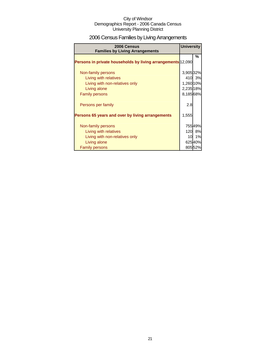## 2006 Census Families by Living Arrangements

| 2006 Census<br><b>Families by Living Arrangements</b>              | <b>University</b> |         |
|--------------------------------------------------------------------|-------------------|---------|
|                                                                    |                   | %       |
| <b>Persons in private households by living arrangements 12,090</b> |                   |         |
|                                                                    |                   |         |
| Non-family persons                                                 | 3,905 32%         |         |
| Living with relatives                                              |                   | 410 3%  |
| Living with non-relatives only                                     | 1,260 10%         |         |
| Living alone                                                       | 2,235 18%         |         |
| <b>Family persons</b>                                              | 8,185 68%         |         |
| Persons per family                                                 | 2.8               |         |
| Persons 65 years and over by living arrangements                   | 1,555             |         |
| Non-family persons                                                 |                   | 75549%  |
| Living with relatives                                              |                   | 120 8%  |
| Living with non-relatives only                                     |                   | 10 1%   |
| Living alone                                                       |                   | 62540%  |
| <b>Family persons</b>                                              |                   | 805 52% |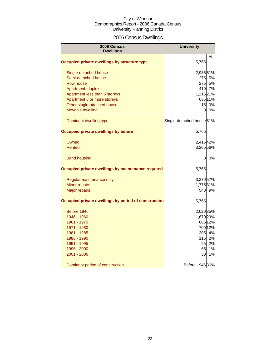## 2006 Census Dwellings

| 2006 Census<br><b>Dwellings</b>                      | <b>University</b>                    |         |
|------------------------------------------------------|--------------------------------------|---------|
|                                                      |                                      | %       |
| Occupied private dwellings by structure type         | 5,765                                |         |
| Single-detached house                                | 2,935 51%                            |         |
| Semi-detached house                                  |                                      | 275 5%  |
| Row house                                            | <b>275</b>                           | 5%      |
| Apartment, duplex                                    |                                      | 410 7%  |
| Apartment less than 5 storeys                        | 1,215 21%                            |         |
| Apartment 5 or more storeys                          |                                      | 635 11% |
| Other single-attached house                          | 15                                   | 0%      |
| Movable dwelling                                     | $\Omega$                             | 0%      |
| Dominant dwelling type                               | Single-detached house <sup>51%</sup> |         |
| Occupied private dwellings by tenure                 | 5,765                                |         |
| Owned                                                | 2,415 42%                            |         |
| Rented                                               | 3,205 56%                            |         |
| <b>Band housing</b>                                  | 0                                    | 0%      |
| Occupied private dwellings by maintenance required   | 5,765                                |         |
| Regular maintenance only                             | 3,270 57%                            |         |
| Minor repairs                                        | 1,775 31%                            |         |
| <b>Major repairs</b>                                 |                                      | 540 9%  |
| Occupied private dwellings by period of construction | 5,765                                |         |
| Before 1946                                          | 2,020 35%                            |         |
| 1946 - 1960                                          | 1,670 29%                            |         |
| 1961 - 1970                                          |                                      | 665 12% |
| 1971 - 1980                                          |                                      | 700 12% |
| 1981 - 1985                                          | 205                                  | 4%      |
| 1986 - 1990                                          | 115                                  | 2%      |
| 1991 - 1995                                          | 95                                   | 2%      |
| 1996 - 2000                                          | 65                                   | 1%      |
| 2001 - 2006                                          | 30                                   | 1%      |
| Dominant period of construction                      | Before 1946 36%                      |         |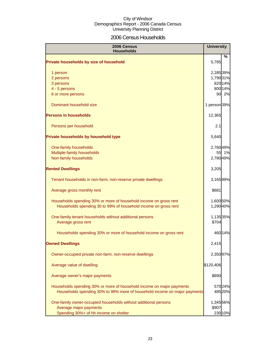## 2006 Census Households

| 2006 Census<br><b>Households</b>                                                                                                     |                        | <b>University</b> |
|--------------------------------------------------------------------------------------------------------------------------------------|------------------------|-------------------|
| Private households by size of household                                                                                              | 5,785                  | %                 |
| 1 person                                                                                                                             | 2,285 39%              |                   |
| 2 persons                                                                                                                            | 1,790 31%              |                   |
| 3 persons                                                                                                                            |                        | 82014%            |
| 4 - 5 persons                                                                                                                        |                        | 800 14%           |
| 6 or more persons                                                                                                                    |                        | 90 2%             |
| Dominant household size                                                                                                              | 1 person 39%           |                   |
| <b>Persons in households</b>                                                                                                         | 12,365                 |                   |
| Persons per household                                                                                                                | 2.1                    |                   |
| Private households by household type                                                                                                 | 5,640                  |                   |
| One-family households                                                                                                                | 2,760 49%              |                   |
| Multiple-family households                                                                                                           | 55                     | 1%                |
| Non-family households                                                                                                                | 2,780 49%              |                   |
| <b>Rented Dwellings</b>                                                                                                              | 3,205                  |                   |
| Tenant households in non-farm, non-reserve private dwellings                                                                         | 3,16599%               |                   |
| Average gross monthly rent                                                                                                           | \$681                  |                   |
| Households spending 30% or more of household income on gross rent<br>Households spending 30 to 99% of household income on gross rent | 1,600 50%<br>1,290 40% |                   |
| One-family tenant households without additional persons<br>Average gross rent                                                        | 1,135 35%<br>\$704     |                   |
| Households spending 30% or more of household income on gross rent                                                                    |                        | 46014%            |
| <b>Owned Dwellings</b>                                                                                                               | 2,415                  |                   |
| Owner-occupied private non-farm, non-reserve dwellings                                                                               | 2,350 97%              |                   |
| Average value of dwelling                                                                                                            | \$120,406              |                   |
| Average owner's major payments                                                                                                       | \$890                  |                   |
| Households spending 30% or more of household income on major payments                                                                |                        | 570 24%           |
| Households spending 30% to 99% more of household income on major payments                                                            |                        | 485 20%           |
| One-family owner-occupied households without additional persons                                                                      | 1,345 56%              |                   |
| Average major payments                                                                                                               | \$907                  |                   |
| Spending 30%+ of hh income on shelter                                                                                                |                        | 230 10%           |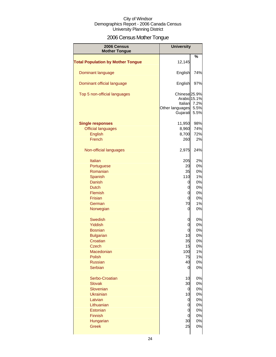## 2006 Census Mother Tongue

| 2006 Census<br><b>Mother Tongue</b>      | <b>University</b>                                                                  |                      |
|------------------------------------------|------------------------------------------------------------------------------------|----------------------|
|                                          |                                                                                    | %                    |
| <b>Total Population by Mother Tongue</b> | 12,145                                                                             |                      |
| Dominant language                        | English                                                                            | 74%                  |
| Dominant official language               | English                                                                            | 97%                  |
| Top 5 non-official languages             | Chinese <sub>25.9%</sub><br>Arabic 15.1%<br>Italian<br>Other languages<br>Gujarati | 7.2%<br>5.5%<br>5.5% |
| <b>Single responses</b>                  | 11,950                                                                             | 98%                  |
| <b>Official languages</b>                | 8,960                                                                              | 74%                  |
| <b>English</b>                           | 8,700                                                                              | 72%                  |
| French                                   | 260                                                                                | 2%                   |
| Non-official languages                   | 2,975                                                                              | 24%                  |
| <b>Italian</b>                           | 205                                                                                | 2%                   |
| Portuguese                               | 20                                                                                 | 0%                   |
| Romanian                                 | 35                                                                                 | 0%                   |
| Spanish                                  | 110                                                                                | 1%                   |
| <b>Danish</b>                            | 0                                                                                  | 0%                   |
| <b>Dutch</b>                             | 0                                                                                  | 0%                   |
| Flemish                                  | 0                                                                                  | 0%                   |
|                                          |                                                                                    |                      |
| Frisian                                  | 0                                                                                  | 0%                   |
| German<br>Norwegian                      | 70<br>0                                                                            | 1%<br>0%             |
| <b>Swedish</b>                           | 0                                                                                  | 0%                   |
| <b>Yiddish</b>                           | 0                                                                                  | 0%                   |
| <b>Bosnian</b>                           | 0                                                                                  | 0%                   |
| <b>Bulgarian</b>                         | 10                                                                                 | 0%                   |
| Croatian                                 | 35                                                                                 | 0%                   |
| Czech                                    | 15                                                                                 | U%                   |
| Macedonian                               | 100                                                                                | 1%                   |
| Polish                                   | 75                                                                                 | 1%                   |
| <b>Russian</b>                           | 40                                                                                 | 0%                   |
| Serbian                                  | 0                                                                                  | 0%                   |
| Serbo-Croatian                           | 10                                                                                 | 0%                   |
| <b>Slovak</b>                            | 30                                                                                 | 0%                   |
| Slovenian                                | 0                                                                                  | 0%                   |
| <b>Ukrainian</b>                         | 10                                                                                 | 0%                   |
| Latvian                                  | 0                                                                                  | 0%                   |
| Lithuanian                               | 0                                                                                  | 0%                   |
| Estonian                                 | 0                                                                                  | 0%                   |
| Finnish                                  | 0                                                                                  | 0%                   |
| Hungarian                                | 30                                                                                 | 0%                   |
| <b>Greek</b>                             | 25                                                                                 | 0%                   |
|                                          |                                                                                    |                      |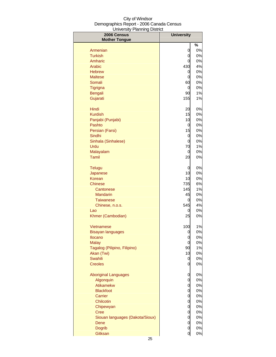| 2006 Census                         | <b>University</b> |               |
|-------------------------------------|-------------------|---------------|
| <b>Mother Tongue</b>                |                   | $\frac{1}{2}$ |
| Armenian                            | 0                 | 0%            |
| <b>Turkish</b>                      | 0                 | 0%            |
| Amharic                             | 0                 | 0%            |
| Arabic                              | 430               | 4%            |
| <b>Hebrew</b>                       | 0                 | 0%            |
| <b>Maltese</b>                      | 0                 | 0%            |
| Somali                              | 60                | 0%            |
| <b>Tigrigna</b>                     | 0                 | 0%            |
| <b>Bengali</b>                      | 90                | 1%            |
| Gujarati                            | 155               | 1%            |
| Hindi                               | 20                | 0%            |
| <b>Kurdish</b>                      | 15                | 0%            |
| Panjabi (Punjabi)                   | 10                | 0%            |
| Pashto                              | 0                 | 0%            |
| Persian (Farsi)                     | 15                | 0%            |
| Sindhi                              | 0                 | 0%            |
| Sinhala (Sinhalese)                 | 0                 | 0%            |
| Urdu                                | 70                | 1%            |
| Malayalam                           | 0                 | 0%            |
| Tamil                               | 20                | 0%            |
| <b>Telugu</b>                       | 0                 | 0%            |
| Japanese                            | 10                | 0%            |
| Korean                              | 10                | 0%            |
| Chinese                             | 735               | 6%            |
| Cantonese                           | 145               | 1%            |
| <b>Mandarin</b>                     | 45                | 0%            |
| Taiwanese                           | 0<br>545          | 0%<br>4%      |
| Chinese, n.o.s.<br>Lao              | 0                 | 0%            |
| Khmer (Cambodian)                   | 25                | 0%            |
|                                     |                   |               |
| Vietnamese                          | 100               | $1\%$<br>0%   |
| <b>Bisayan languages</b><br>Ilocano | 0<br>0            | 0%            |
| <b>Malay</b>                        | 0                 | 0%            |
| Tagalog (Pilipino, Filipino)        | 90                | 1%            |
| Akan (Twi)                          | 10                | 0%            |
| Swahili                             | 0                 | 0%            |
| <b>Creoles</b>                      | 0                 | 0%            |
| <b>Aboriginal Languages</b>         | 0                 | 0%            |
| Algonquin                           | 0                 | 0%            |
| Atikamekw                           | 0                 | 0%            |
| <b>Blackfoot</b>                    | 0                 | 0%            |
| Carrier                             | 0                 | 0%            |
| Chilcotin                           | 0                 | 0%            |
| Chipewyan                           | 0                 | 0%            |
| <b>Cree</b>                         | 0                 | 0%            |
| Siouan languages (Dakota/Sioux)     | 0                 | 0%            |
| Dene                                | 0                 | 0%            |
| <b>Dogrib</b>                       | 0                 | 0%            |
| Gitksan                             | 0                 | $0\%$         |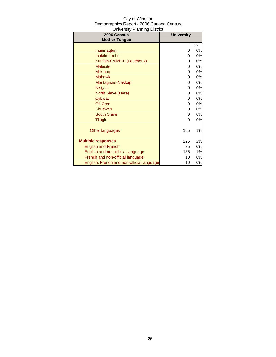| <b>University Planning District</b>       |                   |    |
|-------------------------------------------|-------------------|----|
| 2006 Census                               | <b>University</b> |    |
| <b>Mother Tongue</b>                      |                   |    |
|                                           |                   | %  |
| Inuinnagtun                               | 0                 | 0% |
| Inuktitut, n.i.e.                         | 0                 | 0% |
| Kutchin-Gwich'in (Loucheux)               | 0                 | 0% |
| <b>Malecite</b>                           | 0                 | 0% |
| Mi'kmaq                                   | 0                 | 0% |
| <b>Mohawk</b>                             | 0                 | 0% |
| Montagnais-Naskapi                        | 0                 | 0% |
| Nisga'a                                   | 0                 | 0% |
| North Slave (Hare)                        | 0                 | 0% |
| Ojibway                                   | 0                 | 0% |
| Oji-Cree                                  | 0                 | 0% |
| <b>Shuswap</b>                            | 0                 | 0% |
| <b>South Slave</b>                        | 0                 | 0% |
| <b>Tlingit</b>                            | 0                 | 0% |
|                                           |                   |    |
| Other languages                           | 155               | 1% |
|                                           |                   |    |
| <b>Multiple responses</b>                 | 225               | 2% |
| <b>English and French</b>                 | 35                | 0% |
| English and non-official language         | 135               | 1% |
| French and non-official language          | 10                | 0% |
| English, French and non-official language | 10                | 0% |

## City of Windsor Demographics Report - 2006 Canada Census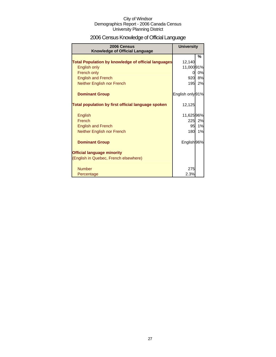## 2006 Census Knowledge of Official Language

| 2006 Census<br><b>Knowledge of Official Language</b>       | <b>University</b> |    |
|------------------------------------------------------------|-------------------|----|
|                                                            |                   | %  |
| <b>Total Population by knowledge of official languages</b> | 12,140            |    |
| English only                                               | 11,000 91%        |    |
| French only                                                | 0                 | 0% |
| <b>English and French</b>                                  | 920               | 8% |
| Neither English nor French                                 | 195               | 2% |
| <b>Dominant Group</b>                                      | English only 91%  |    |
| Total population by first official language spoken         | 12,125            |    |
| English                                                    | 11,62596%         |    |
| French                                                     | 225               | 2% |
| <b>English and French</b>                                  | 95                | 1% |
| Neither English nor French                                 | 180               | 1% |
| <b>Dominant Group</b>                                      | English 96%       |    |
| <b>Official language minority</b>                          |                   |    |
| (English in Quebec, French elsewhere)                      |                   |    |
| <b>Number</b>                                              | 275               |    |
| Percentage                                                 | 2.3%              |    |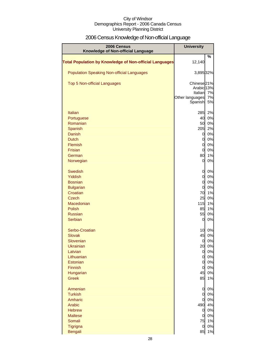## 2006 Census Knowledge of Non-official Language

| 2006 Census<br>Knowledge of Non-official Language              | <b>University</b>          |          |
|----------------------------------------------------------------|----------------------------|----------|
|                                                                |                            | %        |
| <b>Total Population by Knowledge of Non-official Languages</b> | 12,140                     |          |
| <b>Population Speaking Non-official Languages</b>              | 3,895 32%                  |          |
| <b>Top 5 Non-official Languages</b>                            | Chinese <sup>21%</sup>     |          |
|                                                                | Arabic 13%                 |          |
|                                                                | Italian<br>Other languages | 7%<br>7% |
|                                                                | Spanish                    | 5%       |
| <b>Italian</b>                                                 | 285                        | 2%       |
| Portuguese                                                     | 40                         | 0%       |
| Romanian                                                       | 50                         | 0%       |
| Spanish                                                        | 205                        | 2%       |
| <b>Danish</b>                                                  | 0                          | 0%       |
| <b>Dutch</b>                                                   | 0                          | 0%       |
| Flemish                                                        | 0                          | 0%       |
| Frisian                                                        | $\overline{0}$             | 0%       |
| German                                                         | 80<br>$\overline{0}$       | 1%<br>0% |
| Norwegian                                                      |                            |          |
| <b>Swedish</b>                                                 | 0                          | 0%       |
| Yiddish                                                        | 0                          | 0%       |
| <b>Bosnian</b>                                                 | 0                          | 0%       |
| <b>Bulgarian</b>                                               | $\overline{0}$             | 0%       |
| Croatian                                                       | 70                         | 1%       |
| <b>Czech</b><br>Macedonian                                     | 25<br>115                  | 0%<br>1% |
| <b>Polish</b>                                                  | 85                         | 1%       |
| <b>Russian</b>                                                 | 55                         | 0%       |
| <b>Serbian</b>                                                 | $\overline{0}$             | 0%       |
| Serbo-Croatian                                                 | 10                         | 0%       |
| <b>Slovak</b>                                                  | 45                         | 0%       |
| Slovenian                                                      | 0                          | 0%       |
| Ukrainian                                                      | 20                         | 0%       |
| Latvian                                                        | $\overline{0}$             | 0%       |
| Lithuanian                                                     | $\overline{0}$             | 0%       |
| Estonian                                                       | $\overline{0}$             | 0%       |
| Finnish                                                        | 0<br>45                    | 0%<br>0% |
| Hungarian<br><b>Greek</b>                                      | 85                         | 1%       |
|                                                                |                            |          |
| Armenian                                                       | 0                          | 0%       |
| <b>Turkish</b>                                                 | 0                          | 0%       |
| Amharic<br>Arabic                                              | $\overline{O}$             | 0%<br>4% |
| <b>Hebrew</b>                                                  | 490<br>$\overline{0}$      | 0%       |
| <b>Maltese</b>                                                 | $\overline{0}$             | 0%       |
| Somali                                                         | 75                         | 1%       |
| Tigrigna                                                       | $\overline{0}$             | 0%       |
| <b>Bengali</b>                                                 | 85                         | 1%       |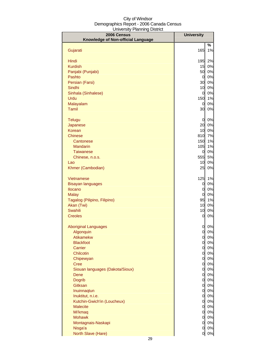| 2006 Census                        | <b>University</b>              |          |
|------------------------------------|--------------------------------|----------|
| Knowledge of Non-official Language |                                |          |
|                                    |                                | %        |
| Gujarati                           | 165                            | 1%       |
| Hindi                              | 195                            | 2%       |
| <b>Kurdish</b>                     | 15                             | 0%       |
| Panjabi (Punjabi)                  | 50                             | 0%       |
| Pashto                             | $\overline{0}$                 | 0%       |
| Persian (Farsi)                    | 30                             | 0%       |
| Sindhi                             | 10                             | 0%       |
| Sinhala (Sinhalese)                | $\overline{0}$                 | 0%       |
| Urdu                               | 150                            | 1%       |
| Malayalam                          | $\overline{0}$                 | 0%       |
| <b>Tamil</b>                       | 30                             | 0%       |
| Telugu                             | $\overline{0}$                 | 0%       |
| Japanese                           | 20                             | 0%       |
| <b>Korean</b>                      | 10                             | 0%       |
| <b>Chinese</b>                     | 810                            | 7%       |
| Cantonese                          | 150                            | 1%       |
| Mandarin                           | 105                            | 1%       |
| <b>Taiwanese</b>                   | 0                              | 0%       |
| Chinese, n.o.s.                    | 555                            | 5%       |
| Lao                                | 10                             | 0%       |
| Khmer (Cambodian)                  | 25                             | 0%       |
| Vietnamese                         | 125                            | 1%       |
| <b>Bisayan languages</b>           | 0                              | 0%       |
| Ilocano                            | 0                              | 0%       |
| <b>Malay</b>                       | 0                              | 0%       |
| Tagalog (Pilipino, Filipino)       | 95                             | 1%       |
| Akan (Twi)                         | 10                             | 0%       |
| <b>Swahili</b>                     | 10                             | 0%       |
| <b>Creoles</b>                     | 0                              | 0%       |
| <b>Aboriginal Languages</b>        | 0                              | 0%       |
| Algonquin                          | $\overline{0}$                 | 0%       |
| <b>Atikamekw</b>                   | $\overline{0}$                 | 0%       |
| <b>Blackfoot</b>                   | $\overline{0}$                 | 0%       |
| Carrier                            | $\overline{0}$                 | 0%       |
| Chilcotin                          | $\overline{0}$                 | 0%       |
| Chipewyan                          | $\overline{0}$                 | 0%       |
| Cree                               | <sub>0</sub>                   | 0%       |
| Siouan languages (Dakota/Sioux)    | <sub>0</sub>                   | 0%       |
| Dene<br><b>Dogrib</b>              | <sub>0</sub><br>$\overline{0}$ | 0%<br>0% |
| Gitksan                            | $\overline{0}$                 | 0%       |
| Inuinnaqtun                        | $\overline{0}$                 | 0%       |
| Inuktitut, n.i.e.                  | $\overline{0}$                 | 0%       |
| Kutchin-Gwich'in (Loucheux)        | $\overline{0}$                 | 0%       |
| <b>Malecite</b>                    | $\overline{0}$                 | 0%       |
| Mi'kmaq                            | $\overline{O}$                 | 0%       |
| <b>Mohawk</b>                      | $\overline{0}$                 | 0%       |
| Montagnais-Naskapi                 | $\overline{O}$                 | 0%       |
| Nisga'a                            | 0                              | 0%       |
| North Slave (Hare)                 | $\overline{0}$                 | $0\%$    |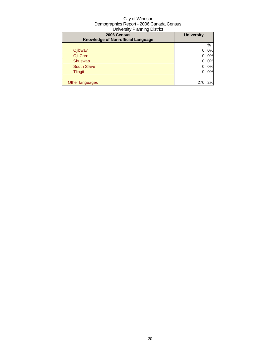| 2006 Census<br>Knowledge of Non-official Language | <b>University</b> |    |
|---------------------------------------------------|-------------------|----|
|                                                   |                   | %  |
| Ojibway                                           |                   | 0% |
| Oji-Cree                                          |                   | 0% |
| Shuswap                                           |                   | 0% |
| <b>South Slave</b>                                |                   | 0% |
| <b>Tlingit</b>                                    | 0                 | 0% |
|                                                   |                   |    |
| Other languages                                   | 27 <sub>0</sub>   | 2% |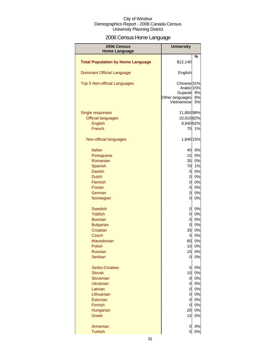## 2006 Census Home Language

| 2006 Census<br><b>Home Language</b>      | <b>University</b>                                                                            |                |
|------------------------------------------|----------------------------------------------------------------------------------------------|----------------|
|                                          |                                                                                              | %              |
| <b>Total Population by Home Language</b> | \$12,140                                                                                     |                |
| <b>Dominant Official Language</b>        | English                                                                                      |                |
| Top 5 Non-official Languages             | Chinese <sub>31%</sub><br>Arabic <sub>15%</sub><br>Gujarati<br>Other languages<br>Vietnamese | 9%<br>8%<br>5% |
|                                          |                                                                                              |                |
| Single responses                         | 11,850 98%                                                                                   |                |
| <b>Official languages</b>                | 10,01082%                                                                                    |                |
| English                                  | 9,940 82%                                                                                    |                |
| French                                   | 70                                                                                           | 1%             |
| Non-official languages                   | 1,840 15%                                                                                    |                |
| Italian                                  | 40                                                                                           | 0%             |
| Portuguese                               | 15                                                                                           | 0%             |
| Romanian                                 | 35                                                                                           | 0%             |
| Spanish                                  | 70                                                                                           | 1%             |
| Danish                                   | 0                                                                                            | 0%             |
| <b>Dutch</b>                             | 0                                                                                            | 0%             |
| Flemish                                  | 0                                                                                            | 0%             |
| <b>Frisian</b>                           | 0                                                                                            | 0%             |
| German                                   | 0                                                                                            | 0%             |
| Norwegian                                | 0                                                                                            | 0%             |
| <b>Swedish</b>                           | 0                                                                                            | 0%             |
| <b>Yiddish</b>                           | $\overline{0}$                                                                               | 0%             |
| <b>Bosnian</b>                           | $\overline{0}$                                                                               | 0%             |
| <b>Bulgarian</b>                         | $\overline{0}$                                                                               | 0%             |
| Croatian                                 | 35                                                                                           | 0%             |
| <b>Czech</b>                             | 0                                                                                            | 0%             |
| Macedonian                               | 60                                                                                           | 0%             |
| Polish                                   | 10                                                                                           | 0%             |
| <b>Russian</b>                           | 15                                                                                           | 0%             |
| <b>Serbian</b>                           | 0                                                                                            | 0%             |
| Serbo-Croatian                           | 0                                                                                            | 0%             |
| <b>Slovak</b>                            | 10                                                                                           | 0%             |
| Slovenian                                | $\overline{0}$                                                                               | 0%             |
| <b>Ukrainian</b>                         | 0                                                                                            | 0%             |
| Latvian                                  | 0                                                                                            | 0%             |
| Lithuanian                               | 0                                                                                            | 0%             |
| Estonian                                 | 0                                                                                            | 0%             |
| <b>Finnish</b>                           | $\overline{0}$                                                                               | 0%             |
| Hungarian                                | 20                                                                                           | 0%             |
| <b>Greek</b>                             | 15                                                                                           | 0%             |
| Armenian                                 | 0                                                                                            | 0%             |
| <b>Turkish</b>                           | 0                                                                                            | 0%             |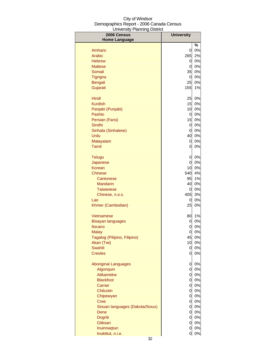| 2006 Census                     | <b>University</b> |                |
|---------------------------------|-------------------|----------------|
| <b>Home Language</b>            |                   |                |
|                                 |                   | %              |
| Amharic                         | 0                 | 0%             |
| Arabic                          | 265               | 2%             |
| <b>Hebrew</b><br><b>Maltese</b> | 0<br>0            | $0\%$          |
| Somali                          | 35                | 0%<br>$0\%$    |
| Tigrigna                        | 0                 | $0\%$          |
| Bengali                         | 25                | $0\%$          |
| Gujarati                        | 155               | 1%             |
|                                 |                   |                |
| Hindi                           | 25                | 0%             |
| <b>Kurdish</b>                  | 15                | $0\%$          |
| Panjabi (Punjabi)               | 10                | $0\%$          |
| Pashto                          | 0                 | $0\%$          |
| Persian (Farsi)                 | 15                | $0\%$          |
| Sindhi                          | 0                 | $0\%$          |
| Sinhala (Sinhalese)             | 0                 | 0%             |
| Urdu                            | 40                | 0%             |
| Malayalam<br>Tamil              | 0                 | 0%             |
|                                 | 0                 | 0%             |
| <b>Telugu</b>                   | 0                 | 0%             |
| Japanese                        | 0                 | 0%             |
| Korean                          | 10                | 0%             |
| Chinese                         | 540               | 4%             |
| Cantonese                       | 95                | 1%             |
| <b>Mandarin</b>                 | 40                | 0%             |
| <b>Taiwanese</b>                | 0                 | 0%             |
| Chinese, n.o.s.                 | 405               | 3%             |
| Lao                             | 0                 | 0%             |
| Khmer (Cambodian)               | 25                | 0%             |
| Vietnamese                      | 80                | $1\%$          |
| <b>Bisayan languages</b>        | 0                 | 0%             |
| Ilocano                         | 0                 | 0%             |
| <b>Malay</b>                    | 0                 | 0%             |
| Tagalog (Pilipino, Filipino)    | 45                | 0%             |
| Akan (Twi)                      | 10                | 0%             |
| <b>Swahili</b>                  | 0                 | $0\%$          |
| <b>Creoles</b>                  | 0                 | 0%             |
| <b>Aboriginal Languages</b>     | 0                 | 0%             |
| Algonquin                       | $\overline{0}$    | $0\%$          |
| <b>Atikamekw</b>                | $\overline{O}$    | $0\%$          |
| <b>Blackfoot</b>                | <sub>0</sub>      | $0\%$          |
| Carrier                         | 0                 | $0\%$          |
| Chilcotin                       | $\overline{0}$    | $0\%$          |
| Chipewyan                       | <sub>0</sub>      | $0\%$          |
| <b>Cree</b>                     | 0                 | $0\%$          |
| Siouan languages (Dakota/Sioux) | <sub>0</sub>      | 0%             |
| Dene                            | <sub>0</sub>      | $0\%$          |
| <b>Dogrib</b>                   | <sub>0</sub>      | $0\%$          |
| Gitksan<br>Inuinnaqtun          | $\overline{0}$    | $0\%$<br>$0\%$ |
| Inuktitut, n.i.e.               | 0<br>0            | 0%             |
|                                 |                   |                |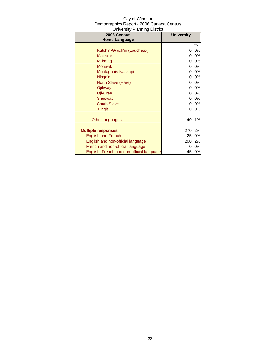| City of Windsor                          |
|------------------------------------------|
| Demographics Report - 2006 Canada Census |
| <b>University Planning District</b>      |

| 2006 Census                               | <b>University</b> |    |
|-------------------------------------------|-------------------|----|
| <b>Home Language</b>                      |                   |    |
|                                           |                   | %  |
| Kutchin-Gwich'in (Loucheux)               | 0                 | 0% |
| <b>Malecite</b>                           | 0                 | 0% |
| Mi'kmaq                                   | 0                 | 0% |
| <b>Mohawk</b>                             | 0                 | 0% |
| Montagnais-Naskapi                        | 0                 | 0% |
| Nisga'a                                   | 0                 | 0% |
| North Slave (Hare)                        | 0                 | 0% |
| Ojibway                                   | 0                 | 0% |
| Oji-Cree                                  | 0                 | 0% |
| Shuswap                                   | 0                 | 0% |
| <b>South Slave</b>                        | 0                 | 0% |
| <b>Tlingit</b>                            | 0                 | 0% |
|                                           |                   |    |
| Other languages                           | 140               | 1% |
|                                           |                   |    |
| <b>Multiple responses</b>                 | 270               | 2% |
| <b>English and French</b>                 | 25                | 0% |
| English and non-official language         | 200               | 2% |
| French and non-official language          | 0                 | 0% |
| English, French and non-official language | 45                | 0% |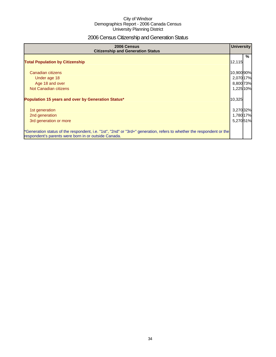## 2006 Census Citizenship and Generation Status

| 2006 Census<br><b>Citizenship and Generation Status</b>                                                                                                                       | <b>University</b>      |   |
|-------------------------------------------------------------------------------------------------------------------------------------------------------------------------------|------------------------|---|
| <b>Total Population by Citizenship</b>                                                                                                                                        | 12,115                 | % |
| Canadian citizens                                                                                                                                                             | 10,900 90%             |   |
| Under age 18<br>Age 18 and over                                                                                                                                               | 2,070 17%<br>8,800 73% |   |
| Not Canadian citizens                                                                                                                                                         | 1,225 10%              |   |
| Population 15 years and over by Generation Status*                                                                                                                            | 10,325                 |   |
| 1st generation                                                                                                                                                                | 3,270 32%              |   |
| 2nd generation                                                                                                                                                                | 1,780 17%              |   |
| 3rd generation or more                                                                                                                                                        | 5,270 51%              |   |
| *Generation status of the respondent, i.e. "1st", "2nd" or "3rd+" generation, refers to whether the respondent or the<br>respondent's parents were born in or outside Canada. |                        |   |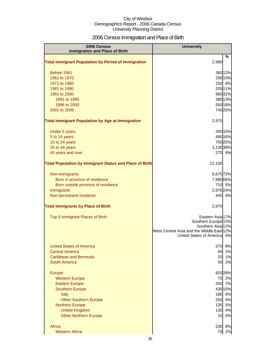## 2006 Census Immigration and Place of Birth

| 2006 Census<br><b>Immigration and Place of Birth</b>           | <b>University</b>                                   |                    |
|----------------------------------------------------------------|-----------------------------------------------------|--------------------|
|                                                                |                                                     | %                  |
| <b>Total Immigrant Population by Period of Immigration</b>     | 2,980                                               |                    |
| Before 1961                                                    |                                                     | 360 12%            |
| 1961 to 1970                                                   |                                                     | 290 10%            |
| 1971 to 1980                                                   |                                                     | 250 8%             |
| 1981 to 1990                                                   |                                                     | 335 11%            |
| 1991 to 2000<br>1991 to 1995                                   |                                                     | 960 32%<br>380 13% |
| 1996 to 2000                                                   |                                                     | 550 18%            |
| 2001 to 2006                                                   |                                                     | 740 25%            |
| <b>Total Immigrant Population by Age at Immigration</b>        | 2,975                                               |                    |
| <b>Under 5 years</b>                                           |                                                     | 300 10%            |
| 5 to 14 years                                                  |                                                     | 480 16%            |
| 15 to 24 years                                                 |                                                     | 750 25%            |
| 25 to 44 years                                                 | 1,130 38%                                           |                    |
| 45 years and over                                              |                                                     | 270 9%             |
| <b>Total Population by Immigrant Status and Place of Birth</b> | 12,130                                              |                    |
| Non-immigrants                                                 | 8,675 72%                                           |                    |
| Born in province of residence                                  | 7,985 66%                                           |                    |
| Born outside province of residence                             |                                                     | 710 6%             |
| Immigrants                                                     | 2,970 24%                                           |                    |
| Non-permanent residents                                        | 445I                                                | 4%                 |
| <b>Total Immigrants by Place of Birth</b>                      | 2,970                                               |                    |
| Top 5 Immigrant Places of Birth                                | Eastern Asia 17%                                    |                    |
|                                                                | Southern Europe <sup>15%</sup><br>Southern Asia 12% |                    |
|                                                                | West Central Asia and the Middle East 12%           |                    |
|                                                                | United States of Americal                           | 9%                 |
| <b>United States of America</b>                                | 270                                                 | 9%                 |
| <b>Central America</b>                                         | 65                                                  | 2%                 |
| Caribbean and Bermuda                                          | 20                                                  | 1%                 |
| South America                                                  | 50                                                  | 2%                 |
| Europe                                                         |                                                     | 820 28%            |
| <b>Western Europe</b>                                          | 70                                                  | 2%                 |
| <b>Eastern Europe</b>                                          | 200                                                 | 7%                 |
| <b>Southern Europe</b>                                         |                                                     | 435 15%            |
| <b>Italy</b>                                                   | 180                                                 | 6%                 |
| <b>Other Southern Europe</b>                                   | 250                                                 | 8%<br>5%           |
| <b>Northern Europe</b><br><b>United Kingdom</b>                | 135<br>130                                          | 4%                 |
| <b>Other Northern Europe</b>                                   | 10                                                  | 0%                 |
| Africa                                                         |                                                     |                    |
| <b>Western Africa</b>                                          | 230<br>70                                           | 8%<br>2%           |
|                                                                |                                                     |                    |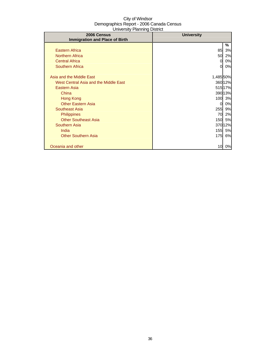| $\sim$ . $\sim$ . $\sim$ . $\sim$ . $\sim$ . $\sim$ . $\sim$ . $\sim$ .<br>2006 Census | <b>University</b> |         |
|----------------------------------------------------------------------------------------|-------------------|---------|
| <b>Immigration and Place of Birth</b>                                                  |                   |         |
|                                                                                        |                   | %       |
| <b>Eastern Africa</b>                                                                  | 85                | 3%      |
| <b>Northern Africa</b>                                                                 | 50                | 2%      |
| <b>Central Africa</b>                                                                  | 0                 | 0%      |
| <b>Southern Africa</b>                                                                 | 0                 | 0%      |
|                                                                                        |                   |         |
| Asia and the Middle East                                                               | 1,485 50%         |         |
| West Central Asia and the Middle East                                                  |                   | 360 12% |
| <b>Eastern Asia</b>                                                                    |                   | 515 17% |
| China                                                                                  |                   | 390 13% |
| Hong Kong                                                                              | <b>100</b>        | 3%      |
| <b>Other Eastern Asia</b>                                                              | 0                 | 0%      |
| Southeast Asia                                                                         | 255               | 9%      |
| <b>Philippines</b>                                                                     | 70                | 2%      |
| <b>Other Southeast Asia</b>                                                            | 150               | 5%      |
| <b>Southern Asia</b>                                                                   |                   | 370 12% |
| India                                                                                  | 155               | 5%      |
| <b>Other Southern Asia</b>                                                             | 175               | 6%      |
|                                                                                        |                   |         |
| Oceania and other                                                                      | 10                | 0%      |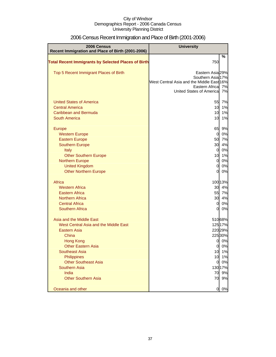| 2006 Census<br>Recent Immigration and Place of Birth (2001-2006) | <b>University</b>                                            |         |
|------------------------------------------------------------------|--------------------------------------------------------------|---------|
|                                                                  |                                                              | $\%$    |
| <b>Total Recent Immigrants by Selected Places of Birth</b>       | 750                                                          |         |
| Top 5 Recent Immigrant Places of Birth                           | Eastern Asia 29%                                             |         |
|                                                                  | Southern Asia 17%                                            |         |
|                                                                  | West Central Asia and the Middle East 16%<br>Eastern Africal | 7%      |
|                                                                  | United States of Americal                                    | 7%      |
|                                                                  |                                                              |         |
| <b>United States of America</b>                                  | 55                                                           | 7%      |
| <b>Central America</b>                                           | 10                                                           | 1%      |
| Caribbean and Bermuda                                            | 10                                                           | 1%      |
| <b>South America</b>                                             | 10                                                           | 1%      |
| <b>Europe</b>                                                    | 65                                                           | 9%      |
| <b>Western Europe</b>                                            | 0                                                            | 0%      |
| <b>Eastern Europe</b>                                            | 50                                                           | 7%      |
| <b>Southern Europe</b>                                           | 30                                                           | 4%      |
| Italy                                                            | $\overline{0}$                                               | 0%      |
| <b>Other Southern Europe</b>                                     | 10                                                           | 1%      |
| <b>Northern Europe</b>                                           | $\mathbf 0$                                                  | 0%      |
| <b>United Kingdom</b>                                            | $\mathbf 0$                                                  | 0%      |
| <b>Other Northern Europe</b>                                     | $\overline{0}$                                               | 0%      |
| Africa                                                           |                                                              | 100 13% |
| <b>Western Africa</b>                                            | 30                                                           | 4%      |
| <b>Eastern Africa</b>                                            | 55                                                           | 7%      |
| <b>Northern Africa</b>                                           | 30                                                           | 4%      |
| <b>Central Africa</b>                                            | $\overline{0}$                                               | 0%      |
| <b>Southern Africa</b>                                           | 0                                                            | 0%      |
| Asia and the Middle East                                         |                                                              | 51068%  |
| West Central Asia and the Middle East                            |                                                              | 125 17% |
| <b>Eastern Asia</b>                                              |                                                              | 22029%  |
| China                                                            |                                                              | 225 30% |
| <b>Hong Kong</b>                                                 | 0                                                            | 0%      |
| <b>Other Eastern Asia</b>                                        | <sub>0</sub>                                                 | $0\%$   |
| <b>Southeast Asia</b>                                            | 10                                                           | 1%      |
| Philippines                                                      | 10                                                           | 1%      |
| <b>Other Southeast Asia</b>                                      | $\overline{0}$                                               | 0%      |
| <b>Southern Asia</b>                                             |                                                              | 130 17% |
| India                                                            | 70                                                           | 9%      |
| <b>Other Southern Asia</b>                                       | 70                                                           | 9%      |
| Oceania and other                                                | 0                                                            | 0%      |

# 2006 Census Recent Immigration and Place of Birth (2001-2006)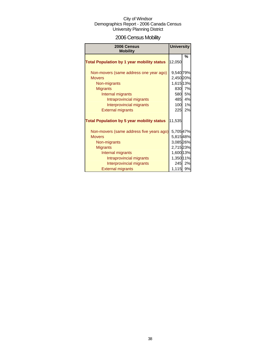# 2006 Census Mobility

| <b>Mobility</b>                                                                                                                                                                                       |                                                                                            | <b>University</b>          |
|-------------------------------------------------------------------------------------------------------------------------------------------------------------------------------------------------------|--------------------------------------------------------------------------------------------|----------------------------|
| <b>Total Population by 1 year mobility status</b>                                                                                                                                                     | 12,050                                                                                     | %                          |
| Non-movers (same address one year ago)<br><b>Movers</b><br>Non-migrants<br><b>Migrants</b><br>Internal migrants<br>Intraprovincial migrants<br>Interprovincial migrants<br><b>External migrants</b>   | 9,540 79%<br>2,450 20%<br>1,615 13%<br>830<br>580<br>485<br>100<br>225                     | 7%<br>5%<br>4%<br>1%<br>2% |
| <b>Total Population by 5 year mobility status</b>                                                                                                                                                     | 11,535                                                                                     |                            |
| Non-movers (same address five years ago)<br><b>Movers</b><br>Non-migrants<br><b>Migrants</b><br>Internal migrants<br>Intraprovincial migrants<br>Interprovincial migrants<br><b>External migrants</b> | 5,70547%<br>5,81548%<br>3,08526%<br>2,715 23%<br>1,600 13%<br>1,350 11%<br>245<br>1,115 9% | 2%                         |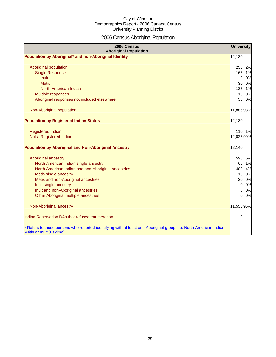# 2006 Census Aboriginal Population

| 2006 Census<br><b>Aboriginal Population</b>                                                                                                                                                                                                                                                 | <b>University</b>                        |                                                            |
|---------------------------------------------------------------------------------------------------------------------------------------------------------------------------------------------------------------------------------------------------------------------------------------------|------------------------------------------|------------------------------------------------------------|
| Population by Aboriginal* and non-Aboriginal Identity                                                                                                                                                                                                                                       | 12,130                                   |                                                            |
| Aboriginal population<br><b>Single Response</b><br><b>Inuit</b><br><b>Metis</b><br>North American Indian                                                                                                                                                                                    | 250<br>$\overline{0}$                    | 2%<br>165 1%<br>0%<br>30 0%<br>135 1%                      |
| Multiple responses                                                                                                                                                                                                                                                                          | 10 <sup>1</sup>                          | 0%                                                         |
| Aboriginal responses not included elsewhere                                                                                                                                                                                                                                                 |                                          | 35 0%                                                      |
| Non-Aboriginal population                                                                                                                                                                                                                                                                   | 11,88598%                                |                                                            |
| <b>Population by Registered Indian Status</b>                                                                                                                                                                                                                                               | 12,130                                   |                                                            |
| <b>Registered Indian</b><br>Not a Registered Indian                                                                                                                                                                                                                                         | 12,025 99%                               | 110 1%                                                     |
| <b>Population by Aboriginal and Non-Aboriginal Ancestry</b>                                                                                                                                                                                                                                 | 12,140                                   |                                                            |
| Aboriginal ancestry<br>North American Indian single ancestry<br>North American Indian and non-Aboriginal ancestries<br>Métis single ancestry<br>Métis and non-Aboriginal ancestries<br>Inuit single ancestry<br>Inuit and non-Aboriginal ancestries<br>Other Aboriginal multiple ancestries | 20<br>$\mathbf{0}$<br><sub>0</sub><br>ΩI | 595 5%<br>65 1%<br>480 4%<br>10 0%<br>0%<br>0%<br>0%<br>0% |
| Non-Aboriginal ancestry                                                                                                                                                                                                                                                                     | 11,555 95%                               |                                                            |
| Indian Reservation DAs that refused enumeration                                                                                                                                                                                                                                             | $\Omega$                                 |                                                            |
| * Refers to those persons who reported identifying with at least one Aboriginal group, i.e. North American Indian,<br>Métis or Inuit (Eskimo).                                                                                                                                              |                                          |                                                            |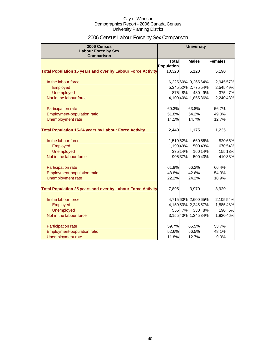# 2006 Census Labour Force by Sex Comparison

| 2006 Census                                                        |              |         | <b>University</b>   |         |                |         |
|--------------------------------------------------------------------|--------------|---------|---------------------|---------|----------------|---------|
| <b>Labour Force by Sex</b><br>Comparison                           |              |         |                     |         |                |         |
|                                                                    | <b>Total</b> |         | <b>Males</b>        |         | <b>Females</b> |         |
|                                                                    | Population   |         |                     |         |                |         |
| <b>Total Population 15 years and over by Labour Force Activity</b> | 10,320       |         | 5,120               |         | 5,190          |         |
| In the labour force                                                |              |         | 6,225 60% 3,265 64% |         | 2,945 57%      |         |
| Employed                                                           |              |         | 5,34552% 2,77554%   |         | 2,545 49%      |         |
| <b>Unemployed</b>                                                  | 875          | 8%      |                     | 480 9%  | 375            | 7%      |
| Not in the labour force                                            |              |         | 4,100 40% 1,855 36% |         | 2,240 43%      |         |
| Participation rate                                                 | 60.3%        |         | 63.8%               |         | 56.7%          |         |
| Employment-population ratio                                        | 51.8%        |         | 54.2%               |         | 49.0%          |         |
| Unemployment rate                                                  | 14.1%        |         | 14.7%               |         | 12.7%          |         |
| <b>Total Population 15-24 years by Labour Force Activity</b>       | 2,440        |         | 1,175               |         | 1,235          |         |
| In the labour force                                                | 1,510 62%    |         |                     | 66056%  |                | 820 66% |
| Employed                                                           | 1,19049%     |         |                     | 500 43% |                | 67054%  |
| <b>Unemployed</b>                                                  |              | 335 14% |                     | 160 14% |                | 155 13% |
| Not in the labour force                                            |              | 905 37% |                     | 500 43% |                | 41033%  |
| Participation rate                                                 | 61.9%        |         | 56.2%               |         | 66.4%          |         |
| Employment-population ratio                                        | 48.8%        |         | 42.6%               |         | 54.3%          |         |
| Unemployment rate                                                  | 22.2%        |         | 24.2%               |         | 18.9%          |         |
| <b>Total Population 25 years and over by Labour Force Activity</b> | 7,895        |         | 3,970               |         | 3,920          |         |
| In the labour force                                                |              |         | 4,71560% 2,60065%   |         | 2,105 54%      |         |
| Employed                                                           |              |         | 4,15053% 2,245 57%  |         | 1,88548%       |         |
| <b>Unemployed</b>                                                  | 555          | 7%      |                     | 330 8%  | 190            | 5%      |
| Not in the labour force                                            |              |         | 3,15540% 1,345 34%  |         | 1,820 46%      |         |
| Participation rate                                                 | 59.7%        |         | 65.5%               |         | 53.7%          |         |
| <b>Employment-population ratio</b>                                 | 52.6%        |         | 56.5%               |         | 48.1%          |         |
| Unemployment rate                                                  | 11.8%        |         | 12.7%               |         | 9.0%           |         |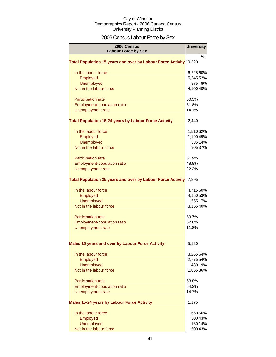# 2006 Census Labour Force by Sex

| 2006 Census<br><b>Labour Force by Sex</b>                          | <b>University</b> |         |
|--------------------------------------------------------------------|-------------------|---------|
|                                                                    |                   | %       |
| Total Population 15 years and over by Labour Force Activity 10,320 |                   |         |
| In the labour force                                                | 6,225 60%         |         |
| Employed                                                           | 5,34552%          |         |
| <b>Unemployed</b>                                                  |                   | 875 8%  |
| Not in the labour force                                            | 4,100 40%         |         |
| Participation rate                                                 | 60.3%             |         |
| Employment-population ratio                                        | 51.8%             |         |
| Unemployment rate                                                  | 14.1%             |         |
| <b>Total Population 15-24 years by Labour Force Activity</b>       | 2,440             |         |
| In the labour force                                                | 1,510 62%         |         |
| Employed                                                           | 1,190 49%         |         |
| <b>Unemployed</b>                                                  |                   | 335 14% |
| Not in the labour force                                            |                   | 905 37% |
| Participation rate                                                 | 61.9%             |         |
| Employment-population ratio                                        | 48.8%             |         |
| Unemployment rate                                                  | 22.2%             |         |
| <b>Total Population 25 years and over by Labour Force Activity</b> | 7,895             |         |
| In the labour force                                                | 4,715 60%         |         |
| Employed                                                           | 4,15053%          |         |
| <b>Unemployed</b>                                                  |                   | 555 7%  |
| Not in the labour force                                            | 3,15540%          |         |
| <b>Participation rate</b>                                          | 59.7%             |         |
| <b>Employment-population ratio</b>                                 | 52.6%             |         |
| <b>Unemployment rate</b>                                           | 11.8%             |         |
| Males 15 years and over by Labour Force Activity                   | 5,120             |         |
| In the labour force                                                | 3,26564%          |         |
| Employed                                                           | 2,775 54%         |         |
| Unemployed                                                         |                   | 480 9%  |
| Not in the labour force                                            | 1,855 36%         |         |
| Participation rate                                                 | 63.8%             |         |
| <b>Employment-population ratio</b>                                 | 54.2%             |         |
| <b>Unemployment rate</b>                                           | 14.7%             |         |
| <b>Males 15-24 years by Labour Force Activity</b>                  | 1,175             |         |
| In the labour force                                                |                   | 66056%  |
| Employed                                                           |                   | 500 43% |
| <b>Unemployed</b>                                                  |                   | 16014%  |
| Not in the labour force                                            |                   | 500 43% |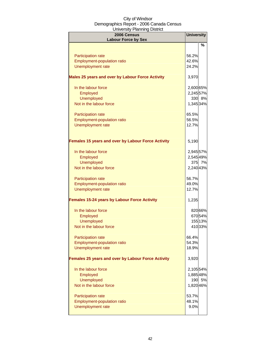| . 9<br>2006 Census<br><b>Labour Force by Sex</b>    | <b>University</b> |         |
|-----------------------------------------------------|-------------------|---------|
|                                                     |                   | %       |
| Participation rate                                  | 56.2%             |         |
| <b>Employment-population ratio</b>                  | 42.6%             |         |
| Unemployment rate                                   | 24.2%             |         |
| Males 25 years and over by Labour Force Activity    | 3,970             |         |
| In the labour force                                 | 2,600 65%         |         |
| Employed                                            | 2,245 57%         |         |
| <b>Unemployed</b>                                   |                   | 330 8%  |
| Not in the labour force                             | 1,345 34%         |         |
| Participation rate                                  | 65.5%             |         |
| Employment-population ratio                         | 56.5%             |         |
| Unemployment rate                                   | 12.7%             |         |
| Females 15 years and over by Labour Force Activity  | 5,190             |         |
| In the labour force                                 | 2,945 57%         |         |
| Employed                                            | 2,545 49%         |         |
| <b>Unemployed</b>                                   |                   | 375 7%  |
| Not in the labour force                             | 2,240 43%         |         |
| Participation rate                                  | 56.7%             |         |
| Employment-population ratio                         | 49.0%             |         |
| Unemployment rate                                   | 12.7%             |         |
| <b>Females 15-24 years by Labour Force Activity</b> | 1,235             |         |
| In the labour force                                 |                   | 820 66% |
| Employed                                            |                   | 67054%  |
| <b>Unemployed</b>                                   |                   | 155 13% |
| Not in the labour force                             |                   | 41033%  |
| <b>Participation rate</b>                           | 66.4%             |         |
| <b>Employment-population ratio</b>                  | 54.3%             |         |
| <b>Unemployment rate</b>                            | 18.9%             |         |
| Females 25 years and over by Labour Force Activity  | 3,920             |         |
| In the labour force                                 | 2,105 54%         |         |
| Employed                                            | 1,885 48%         |         |
| <b>Unemployed</b>                                   |                   | 190 5%  |
| Not in the labour force                             | 1,820 46%         |         |
| <b>Participation rate</b>                           | 53.7%             |         |
| <b>Employment-population ratio</b>                  | 48.1%             |         |
| Unemployment rate                                   | 9.0%              |         |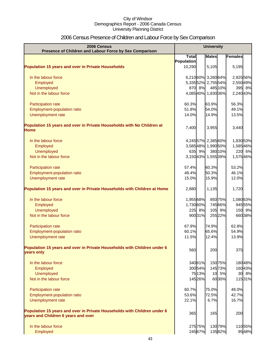# 2006 Census Presence of Children and Labour Force by Sex Comparison

| 2006 Census<br>Presence of Children and Labour Force by Sex Comparison                 |              |         | <b>University</b>   |         |           |
|----------------------------------------------------------------------------------------|--------------|---------|---------------------|---------|-----------|
|                                                                                        | <b>Total</b> |         | <b>Males</b>        |         | Females   |
|                                                                                        | Population   |         |                     |         |           |
| <b>Population 15 years and over in Private Households</b>                              | 10,290       |         | 5,105               |         | 5,195     |
| In the labour force                                                                    |              |         | 6,210 60% 3,260 64% |         | 2,925 56% |
| Employed                                                                               |              |         | 5,33552% 2,75554%   |         | 2,550 49% |
| <b>Unemployed</b>                                                                      |              | 870 8%  |                     | 485 10% | 395 8%    |
| Not in the labour force                                                                |              |         | 4,08540% 1,83036%   |         | 2,240 43% |
| Participation rate                                                                     | 60.3%        |         | 63.9%               |         | 56.3%     |
| Employment-population ratio                                                            | 51.8%        |         | 54.0%               |         | 49.1%     |
| Unemployment rate                                                                      | 14.0%        |         | 14.9%               |         | 13.5%     |
| Population 15 years and over in Private Households with No Children at<br><b>Home</b>  | 7,400        |         | 3,955               |         | 3,440     |
| In the labour force                                                                    |              |         | 4,245 57% 2,385 60% |         | 1,830 53% |
| Employed                                                                               |              |         | 3,585 48% 1,990 50% |         | 1,585 46% |
| <b>Unemployed</b>                                                                      |              | 635 9%  |                     | 380 10% | 220 6%    |
| Not in the labour force                                                                |              |         | 3,15043% 1,55539%   |         | 1,57546%  |
|                                                                                        |              |         |                     |         |           |
| Participation rate                                                                     | 57.4%        |         | 60.3%               |         | 53.2%     |
| Employment-population ratio                                                            | 48.4%        |         | 50.3%               |         | 46.1%     |
| Unemployment rate                                                                      | 15.0%        |         | 15.9%               |         | 12.0%     |
| Population 15 years and over in Private Households with Children at Home               | 2,880        |         | 1,135               |         | 1,720     |
| In the labour force                                                                    | 1,955 68%    |         |                     | 850 75% | 1,080 63% |
| Employed                                                                               | 1,730 60%    |         |                     | 745 66% | 945 55%   |
| <b>Unemployed</b>                                                                      |              | 225 8%  |                     | 105 9%  | 150 9%    |
| Not in the labour force                                                                |              | 900 31% |                     | 255 22% | 66038%    |
| Participation rate                                                                     | 67.9%        |         | 74.9%               |         | 62.8%     |
| Employment-population ratio                                                            | 60.1%        |         | 65.6%               |         | 54.9%     |
| Unemployment rate                                                                      | 11.5%        |         | 12.4%               |         | 13.9%     |
| Population 15 years and over in Private Households with Children under 6<br>years only | 560          |         | 200                 |         | 375       |
| In the labour force                                                                    |              | 340 61% |                     | 15075%  | 18048%    |
| Employed                                                                               |              | 300 54% |                     | 14573%  | 16043%    |
| <b>Unemployed</b>                                                                      |              | 75 13%  |                     | 10 5%   | 30 8%     |
| Not in the labour force                                                                |              | 145 26% |                     | 6030%   | 11531%    |
| Participation rate                                                                     | 60.7%        |         | 75.0%               |         | 48.0%     |
| Employment-population ratio                                                            | 53.6%        |         | 72.5%               |         | 42.7%     |
| Unemployment rate                                                                      | 22.1%        |         | 6.7%                |         | 16.7%     |
| Population 15 years and over in Private Households with Children under 6               | 365          |         | 165                 |         | 200       |
| years and Children 6 years and over                                                    |              |         |                     |         |           |
| In the labour force                                                                    |              | 275 75% |                     | 13079%  | 11055%    |
| Employed                                                                               |              | 245 67% |                     | 13582%  | 9548%     |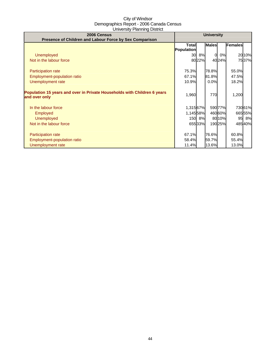| 2006 Census<br>Presence of Children and Labour Force by Sex Comparison                    | <b>University</b>          |        |                |         |                |        |
|-------------------------------------------------------------------------------------------|----------------------------|--------|----------------|---------|----------------|--------|
|                                                                                           | <b>Total</b><br>Population |        | <b>Males</b>   |         | <b>Females</b> |        |
| <b>Unemployed</b>                                                                         |                            | 30 8%  | $\Omega$       | 0%      |                | 2010%  |
| Not in the labour force                                                                   |                            | 8022%  |                | 4024%   |                | 7537%  |
| <b>Participation rate</b>                                                                 | 75.3%                      |        | 78.8%          |         | 55.0%          |        |
| <b>Employment-population ratio</b>                                                        | 67.1%                      |        | 81.8%          |         | 47.5%          |        |
| Unemployment rate                                                                         | 10.9%                      |        | 0.0%           |         | 18.2%          |        |
| Population 15 years and over in Private Households with Children 6 years<br>and over only | 1,960                      |        | 770            |         | 1,200          |        |
| In the labour force                                                                       | 1,315 67%                  |        |                | 590 77% |                | 73061% |
| <b>Employed</b>                                                                           | 1,145 58%                  |        |                | 46060%  |                | 66555% |
| <b>Unemployed</b>                                                                         |                            | 150 8% |                | 80 10%  |                | 95 8%  |
| Not in the labour force                                                                   |                            | 65533% |                | 19025%  |                | 48540% |
| <b>Participation rate</b><br><b>Employment-population ratio</b>                           | 67.1%<br>58.4%             |        | 76.6%<br>59.7% |         | 60.8%<br>55.4% |        |
| Unemployment rate                                                                         | 11.4%                      |        | 13.6%          |         | 13.0%          |        |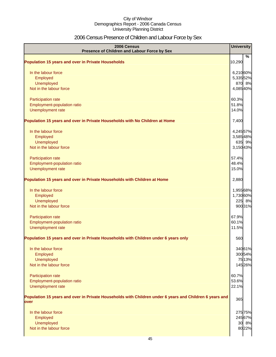# 2006 Census Presence of Children and Labour Force by Sex

| 2006 Census<br>Presence of Children and Labour Force by Sex                                                     | <b>University</b> |         |
|-----------------------------------------------------------------------------------------------------------------|-------------------|---------|
|                                                                                                                 |                   | %       |
| <b>Population 15 years and over in Private Households</b>                                                       | 10,290            |         |
| In the labour force                                                                                             | 6,21060%          |         |
| Employed                                                                                                        | 5,335 52%         |         |
| Unemployed                                                                                                      |                   | 870 8%  |
| Not in the labour force                                                                                         | 4,08540%          |         |
| Participation rate                                                                                              | 60.3%             |         |
| Employment-population ratio                                                                                     | 51.8%             |         |
| Unemployment rate                                                                                               | 14.0%             |         |
| Population 15 years and over in Private Households with No Children at Home                                     | 7,400             |         |
| In the labour force                                                                                             | 4,245 57%         |         |
| Employed                                                                                                        | 3,58548%          |         |
| Unemployed                                                                                                      |                   | 635 9%  |
| Not in the labour force                                                                                         | 3,15043%          |         |
| Participation rate                                                                                              | 57.4%             |         |
| Employment-population ratio                                                                                     | 48.4%             |         |
| Unemployment rate                                                                                               | 15.0%             |         |
| Population 15 years and over in Private Households with Children at Home                                        | 2,880             |         |
| In the labour force                                                                                             | 1,955 68%         |         |
| Employed                                                                                                        | 1,730 60%         |         |
| Unemployed                                                                                                      |                   | 225 8%  |
| Not in the labour force                                                                                         |                   | 900 31% |
| Participation rate                                                                                              | 67.9%             |         |
| Employment-population ratio                                                                                     | 60.1%             |         |
| Unemployment rate                                                                                               | 11.5%             |         |
| Population 15 years and over in Private Households with Children under 6 years only                             | 560               |         |
| In the labour force                                                                                             |                   | 34061%  |
| Employed                                                                                                        |                   | 300 54% |
| Unemployed                                                                                                      |                   | 7513%   |
| Not in the labour force                                                                                         |                   | 145 26% |
| <b>Participation rate</b>                                                                                       | 60.7%             |         |
| Employment-population ratio                                                                                     | 53.6%             |         |
| Unemployment rate                                                                                               | 22.1%             |         |
| Population 15 years and over in Private Households with Children under 6 years and Children 6 years and<br>over | 365               |         |
|                                                                                                                 |                   |         |
| In the labour force                                                                                             |                   | 275 75% |
| Employed                                                                                                        |                   | 245 67% |
| Unemployed<br>Not in the labour force                                                                           |                   | 30 8%   |
|                                                                                                                 |                   | 8022%   |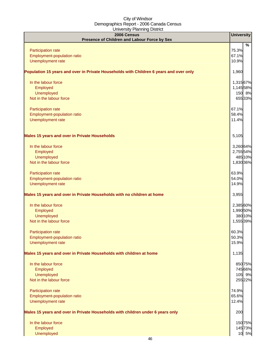| 2006 Census                                                                            | <b>University</b>   |   |
|----------------------------------------------------------------------------------------|---------------------|---|
| Presence of Children and Labour Force by Sex                                           |                     |   |
| Participation rate                                                                     | 75.3%               | % |
| Employment-population ratio                                                            | 67.1%               |   |
| Unemployment rate                                                                      | 10.9%               |   |
| Population 15 years and over in Private Households with Children 6 years and over only | 1,960               |   |
|                                                                                        |                     |   |
| In the labour force                                                                    | 1,315 67%           |   |
| Employed<br>Unemployed                                                                 | 1,145 58%<br>150 8% |   |
| Not in the labour force                                                                | 655 33%             |   |
|                                                                                        | 67.1%               |   |
| Participation rate<br>Employment-population ratio                                      | 58.4%               |   |
| Unemployment rate                                                                      | 11.4%               |   |
|                                                                                        |                     |   |
| <b>Males 15 years and over in Private Households</b>                                   | 5,105               |   |
| In the labour force                                                                    | 3,26064%            |   |
| Employed                                                                               | 2,755 54%           |   |
| Unemployed                                                                             | 485 10%             |   |
| Not in the labour force                                                                | 1,830 36%           |   |
| Participation rate                                                                     | 63.9%               |   |
| Employment-population ratio                                                            | 54.0%               |   |
| Unemployment rate                                                                      | 14.9%               |   |
| Males 15 years and over in Private Households with no children at home                 | 3,955               |   |
| In the labour force                                                                    | 2,385 60%           |   |
| Employed                                                                               | 1,990 50%           |   |
| Unemployed                                                                             | 380 10%             |   |
| Not in the labour force                                                                | 1,555 39%           |   |
| <b>Participation rate</b>                                                              | 60.3%               |   |
| Employment-population ratio                                                            | 50.3%               |   |
| Unemployment rate                                                                      | 15.9%               |   |
| Males 15 years and over in Private Households with children at home                    | 1,135               |   |
| In the labour force                                                                    | 850 75%             |   |
| Employed                                                                               | 74566%              |   |
| Unemployed                                                                             | 105 9%              |   |
| Not in the labour force                                                                | 255 22%             |   |
| Participation rate                                                                     | 74.9%               |   |
| Employment-population ratio                                                            | 65.6%               |   |
| Unemployment rate                                                                      | 12.4%               |   |
| Males 15 years and over in Private Households with children under 6 years only         | 200                 |   |
| In the labour force                                                                    | 15075%              |   |
| Employed                                                                               | 14573%              |   |
| Unemployed                                                                             | 10 5%               |   |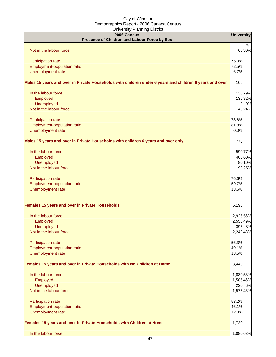| <br>2006 Census<br>Presence of Children and Labour Force by Sex                                         |    | <b>University</b> |         |
|---------------------------------------------------------------------------------------------------------|----|-------------------|---------|
|                                                                                                         |    |                   | %       |
| Not in the labour force                                                                                 |    |                   | 6030%   |
|                                                                                                         |    |                   |         |
| Participation rate                                                                                      |    | 75.0%             |         |
| Employment-population ratio                                                                             |    | 72.5%             |         |
| Unemployment rate                                                                                       |    | 6.7%              |         |
| Males 15 years and over in Private Households with children under 6 years and children 6 years and over |    | 165               |         |
| In the labour force                                                                                     |    |                   | 130 79% |
| Employed                                                                                                |    |                   | 13582%  |
| Unemployed                                                                                              |    |                   | 0 0%    |
| Not in the labour force                                                                                 |    |                   | 4024%   |
|                                                                                                         |    |                   |         |
| Participation rate                                                                                      |    | 78.8%<br>81.8%    |         |
| Employment-population ratio<br>Unemployment rate                                                        |    | 0.0%              |         |
|                                                                                                         |    |                   |         |
| Males 15 years and over in Private Households with children 6 years and over only                       |    | 770               |         |
| In the labour force                                                                                     |    |                   | 590 77% |
| Employed                                                                                                |    |                   | 46060%  |
| Unemployed                                                                                              |    |                   | 8010%   |
| Not in the labour force                                                                                 |    |                   | 190 25% |
| Participation rate                                                                                      |    | 76.6%             |         |
| Employment-population ratio                                                                             |    | 59.7%             |         |
| Unemployment rate                                                                                       |    | 13.6%             |         |
| Females 15 years and over in Private Households                                                         |    | 5,195             |         |
| In the labour force                                                                                     |    | 2,925 56%         |         |
| Employed                                                                                                |    | 2,550 49%         |         |
| Unemployed                                                                                              |    |                   | 395 8%  |
| Not in the labour force                                                                                 |    | 2,240 43%         |         |
| Participation rate                                                                                      |    | 56.3%             |         |
| Employment-population ratio                                                                             |    | 49.1%             |         |
| Unemployment rate                                                                                       |    | 13.5%             |         |
| Females 15 years and over in Private Households with No Children at Home                                |    | 3,440             |         |
| In the labour force                                                                                     |    | 1,830 53%         |         |
| Employed                                                                                                |    | 1,58546%          |         |
| Unemployed                                                                                              |    |                   | 220 6%  |
| Not in the labour force                                                                                 |    | 1,575 46%         |         |
|                                                                                                         |    | 53.2%             |         |
| Participation rate<br>Employment-population ratio                                                       |    | 46.1%             |         |
| Unemployment rate                                                                                       |    | 12.0%             |         |
|                                                                                                         |    |                   |         |
| Females 15 years and over in Private Households with Children at Home                                   |    | 1,720             |         |
| In the labour force                                                                                     |    | 1,080 63%         |         |
|                                                                                                         | 17 |                   |         |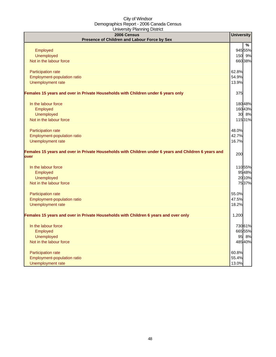| 2006 Census<br>Presence of Children and Labour Force by Sex                                                  | <b>University</b> |
|--------------------------------------------------------------------------------------------------------------|-------------------|
|                                                                                                              | $\frac{9}{6}$     |
| Employed                                                                                                     | 945 55%           |
| <b>Unemployed</b>                                                                                            | 150 9%            |
| Not in the labour force                                                                                      | 66038%            |
| Participation rate                                                                                           | 62.8%             |
| Employment-population ratio                                                                                  | 54.9%             |
| Unemployment rate                                                                                            | 13.9%             |
| Females 15 years and over in Private Households with Children under 6 years only                             | 375               |
| In the labour force                                                                                          | 180 48%           |
| Employed                                                                                                     | 16043%            |
| <b>Unemployed</b>                                                                                            | 30 8%             |
| Not in the labour force                                                                                      | 11531%            |
| Participation rate                                                                                           | 48.0%             |
| Employment-population ratio                                                                                  | 42.7%             |
| Unemployment rate                                                                                            | 16.7%             |
| Females 15 years and over in Private Households with Children under 6 years and Children 6 years and<br>over | 200               |
| In the labour force                                                                                          | 11055%            |
| Employed                                                                                                     | 9548%             |
| <b>Unemployed</b>                                                                                            | 2010%             |
| Not in the labour force                                                                                      | 7537%             |
| Participation rate                                                                                           | 55.0%             |
| Employment-population ratio                                                                                  | 47.5%             |
| Unemployment rate                                                                                            | 18.2%             |
| Females 15 years and over in Private Households with Children 6 years and over only                          | 1,200             |
| In the labour force                                                                                          | 730 61%           |
| Employed                                                                                                     | 665 55%           |
| <b>Unemployed</b>                                                                                            | 95 8%             |
| Not in the labour force                                                                                      | 48540%            |
| Participation rate                                                                                           | 60.8%             |
| Employment-population ratio                                                                                  | 55.4%             |
| Unemployment rate                                                                                            | 13.0%             |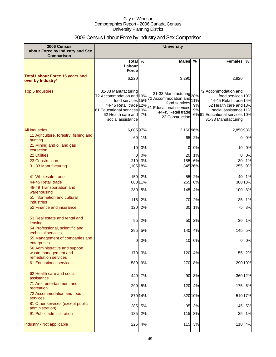# 2006 Census Labour Force by Industry and Sex Comparison

| 2006 Census<br><b>Labour Force by Industry and Sex</b><br>Comparison           | <b>University</b>                                                                                                                                                           |         |                                                                                                                                      |                 |                                                                                                                                                                                |         |
|--------------------------------------------------------------------------------|-----------------------------------------------------------------------------------------------------------------------------------------------------------------------------|---------|--------------------------------------------------------------------------------------------------------------------------------------|-----------------|--------------------------------------------------------------------------------------------------------------------------------------------------------------------------------|---------|
|                                                                                | Total $\overline{\%}$                                                                                                                                                       |         | <b>Males</b>                                                                                                                         | %               | <b>Females</b>                                                                                                                                                                 | %       |
|                                                                                | Labour<br><b>Force</b>                                                                                                                                                      |         |                                                                                                                                      |                 |                                                                                                                                                                                |         |
| <b>Total Labour Force 15 years and</b><br>over by Industry*                    | 6,220                                                                                                                                                                       |         | 3,290                                                                                                                                |                 | 2,920                                                                                                                                                                          |         |
| <b>Top 5 Industries</b>                                                        | 31-33 Manufacturing<br>72 Accommodation and 19%<br>food services 15%<br>44-45 Retail trade 12%<br>61 Educational services 10%<br>62 Health care and 7%<br>social assistance |         | 31-33 Manufacturing 28%<br>72 Accommodation and<br>food services<br>61 Educational services<br>44-45 Retail trade<br>23 Construction | 11%<br>9%<br>9% | 72 Accommodation and<br>food services 19%<br>44-45 Retail trade 14%<br>62 Health care and 13%<br>social assistance 11%<br>6%61 Educational services 10%<br>31-33 Manufacturing |         |
| <b>All industries</b>                                                          | 6,00597%                                                                                                                                                                    |         | 3,16096%                                                                                                                             |                 | 2,85098%                                                                                                                                                                       |         |
| 11 Agriculture, forestry, fishing and<br>hunting                               | 60                                                                                                                                                                          | 1%      | 65                                                                                                                                   | 2%              | 0                                                                                                                                                                              | 0%      |
| 21 Mining and oil and gas<br>extraction                                        | 10                                                                                                                                                                          | 0%      | 0                                                                                                                                    | 0%              | 10                                                                                                                                                                             | 0%      |
| <b>22 Utilities</b>                                                            | $\Omega$                                                                                                                                                                    | 0%      |                                                                                                                                      | 20 1%           | 0                                                                                                                                                                              | 0%      |
| 23 Construction                                                                |                                                                                                                                                                             | 210 3%  |                                                                                                                                      | 185 6%          | 30                                                                                                                                                                             | 1%      |
| 31-33 Manufacturing                                                            | 1,105 18%                                                                                                                                                                   |         |                                                                                                                                      | 845 26%         | 255                                                                                                                                                                            | 9%      |
| 41 Wholesale trade                                                             |                                                                                                                                                                             | 150 2%  |                                                                                                                                      | 55 2%           | 40                                                                                                                                                                             | 1%      |
| 44-45 Retail trade                                                             |                                                                                                                                                                             | 68011%  | 255                                                                                                                                  | 8%              |                                                                                                                                                                                | 38013%  |
| 48-49 Transportation and<br>warehousing                                        | 280                                                                                                                                                                         | 5%      | 145                                                                                                                                  | 4%              | 100                                                                                                                                                                            | 3%      |
| 51 Information and cultural<br><b>industries</b>                               | $115$                                                                                                                                                                       | 2%      | 70                                                                                                                                   | 2%              | 35                                                                                                                                                                             | 1%      |
| 52 Finance and insurance                                                       | 120                                                                                                                                                                         | 2%      | 30                                                                                                                                   | 1%              | 75                                                                                                                                                                             | 3%      |
| 53 Real estate and rental and<br>leasing                                       | 95                                                                                                                                                                          | 2%      | 50                                                                                                                                   | 2%              | 30                                                                                                                                                                             | 1%      |
| 54 Professional, scientific and<br>technical services                          | 295                                                                                                                                                                         | 5%      | 140                                                                                                                                  | 4%              | 145                                                                                                                                                                            | 5%      |
| 55 Management of companies and<br>enterprises                                  | 0                                                                                                                                                                           | 0%      |                                                                                                                                      | 10 0%           | 0                                                                                                                                                                              | 0%      |
| 56 Administrative and support,<br>waste management and<br>remediation services | 170                                                                                                                                                                         | 3%      |                                                                                                                                      | 120 4%          |                                                                                                                                                                                | 55 2%   |
| <b>61 Educational services</b>                                                 | 580                                                                                                                                                                         | 9%      | 270                                                                                                                                  | 8%              |                                                                                                                                                                                | 29010%  |
| 62 Health care and social<br>assistance                                        | 440                                                                                                                                                                         | 7%      | 90                                                                                                                                   | 3%              |                                                                                                                                                                                | 36012%  |
| 71 Arts, entertainment and<br>recreation                                       |                                                                                                                                                                             | 290 5%  |                                                                                                                                      | 120 4%          |                                                                                                                                                                                | 175 6%  |
| 72 Accommodation and food<br>services                                          |                                                                                                                                                                             | 870 14% |                                                                                                                                      | 320 10%         |                                                                                                                                                                                | 510 17% |
| 81 Other services (except public<br>administration)                            | 285                                                                                                                                                                         | 5%      | 95                                                                                                                                   | 3%              |                                                                                                                                                                                | 145 5%  |
| 91 Public administration                                                       | 135                                                                                                                                                                         | 2%      | 115                                                                                                                                  | 3%              | 35                                                                                                                                                                             | 1%      |
| Industry - Not applicable                                                      |                                                                                                                                                                             | 225 4%  |                                                                                                                                      | 115 3%          |                                                                                                                                                                                | 110 4%  |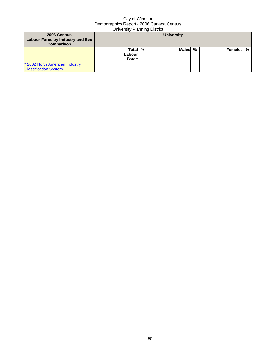| 2006 Census<br>Labour Force by Industry and Sex<br><b>Comparison</b> |                                    |   | <b>University</b> |   |           |  |
|----------------------------------------------------------------------|------------------------------------|---|-------------------|---|-----------|--|
| * 2002 North American Industry                                       | Totall<br>Labourl<br><b>Forcel</b> | % | <b>Males</b>      | % | Females % |  |
| <b>Classification System</b>                                         |                                    |   |                   |   |           |  |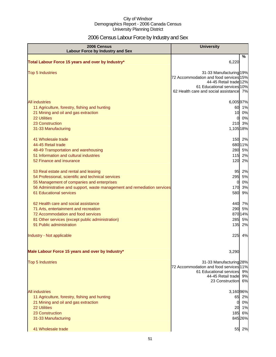# 2006 Census Labour Force by Industry and Sex

| 2006 Census<br><b>Labour Force by Industry and Sex</b>                                                                                                                                                                                                  | <b>University</b>                                                                                                                                                     |
|---------------------------------------------------------------------------------------------------------------------------------------------------------------------------------------------------------------------------------------------------------|-----------------------------------------------------------------------------------------------------------------------------------------------------------------------|
| Total Labour Force 15 years and over by Industry*                                                                                                                                                                                                       | %<br>6,220                                                                                                                                                            |
| <b>Top 5 Industries</b>                                                                                                                                                                                                                                 | 31-33 Manufacturing 19%<br>72 Accommodation and food services 15%<br>44-45 Retail trade 12%<br>61 Educational services 10%<br>62 Health care and social assistance 7% |
| <b>All industries</b><br>11 Agriculture, forestry, fishing and hunting<br>21 Mining and oil and gas extraction<br><b>22 Utilities</b><br>23 Construction<br>31-33 Manufacturing                                                                         | 6,00597%<br>60 1%<br>10<br>0%<br>0%<br>0<br>210 3%<br>1,105 18%                                                                                                       |
| 41 Wholesale trade<br>44-45 Retail trade<br>48-49 Transportation and warehousing<br>51 Information and cultural industries<br>52 Finance and insurance                                                                                                  | 150 2%<br>680 11%<br>280 5%<br>115 2%<br>120<br>2%                                                                                                                    |
| 53 Real estate and rental and leasing<br>54 Professional, scientific and technical services<br>55 Management of companies and enterprises<br>56 Administrative and support, waste management and remediation services<br><b>61 Educational services</b> | 95<br>2%<br>295<br>5%<br>0%<br>0<br>170<br>3%<br>580<br>9%                                                                                                            |
| 62 Health care and social assistance<br>71 Arts, entertainment and recreation<br>72 Accommodation and food services<br>81 Other services (except public administration)<br>91 Public administration                                                     | 440 7%<br>290<br>5%<br>87014%<br>285<br>5%<br>135<br>2%                                                                                                               |
| Industry - Not applicable                                                                                                                                                                                                                               | 225<br>4%                                                                                                                                                             |
| Male Labour Force 15 years and over by Industry*                                                                                                                                                                                                        | 3,290                                                                                                                                                                 |
| <b>Top 5 Industries</b>                                                                                                                                                                                                                                 | 31-33 Manufacturing 28%<br>72 Accommodation and food services 11%<br>61 Educational services 9%<br>44-45 Retail trade<br>9%<br>23 Construction<br>6%                  |
| <b>All industries</b><br>11 Agriculture, forestry, fishing and hunting<br>21 Mining and oil and gas extraction<br><b>22 Utilities</b><br>23 Construction<br>31-33 Manufacturing<br>41 Wholesale trade                                                   | 3,16096%<br>65<br>2%<br>0%<br>0<br>20 1%<br>6%<br>185<br>845 26%<br>55 2%                                                                                             |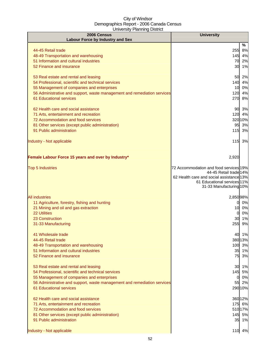| 2006 Census                                                                                                                                                                                                                                      | <b>University</b>                                                                                                                                                      |                            |
|--------------------------------------------------------------------------------------------------------------------------------------------------------------------------------------------------------------------------------------------------|------------------------------------------------------------------------------------------------------------------------------------------------------------------------|----------------------------|
| <b>Labour Force by Industry and Sex</b>                                                                                                                                                                                                          |                                                                                                                                                                        | %                          |
| 44-45 Retail trade<br>48-49 Transportation and warehousing<br>51 Information and cultural industries<br>52 Finance and insurance                                                                                                                 | 255<br>145 4%<br>70<br>30 1%                                                                                                                                           | 8%<br>2%                   |
| 53 Real estate and rental and leasing<br>54 Professional, scientific and technical services<br>55 Management of companies and enterprises<br>56 Administrative and support, waste management and remediation services<br>61 Educational services | 50 2%<br>140 4%<br>10 0%<br>120 4%<br>270 8%                                                                                                                           |                            |
| 62 Health care and social assistance<br>71 Arts, entertainment and recreation<br>72 Accommodation and food services<br>81 Other services (except public administration)<br>91 Public administration<br>Industry - Not applicable                 | 90<br>120 4%<br>320 10%<br>95 3%<br>115 3%<br>$115$                                                                                                                    | 3%<br>3%                   |
| Female Labour Force 15 years and over by Industry*                                                                                                                                                                                               | 2,920                                                                                                                                                                  |                            |
| <b>Top 5 Industries</b>                                                                                                                                                                                                                          | 72 Accommodation and food services 19%<br>44-45 Retail trade 14%<br>62 Health care and social assistance 13%<br>61 Educational services 11%<br>31-33 Manufacturing 10% |                            |
| <b>All industries</b><br>11 Agriculture, forestry, fishing and hunting<br>21 Mining and oil and gas extraction<br><b>22 Utilities</b><br>23 Construction<br>31-33 Manufacturing                                                                  | 2,85098%<br>0<br>10<br>0<br>30<br>255                                                                                                                                  | 0%<br>0%<br>0%<br>1%<br>9% |
| 41 Wholesale trade<br>44-45 Retail trade<br>48-49 Transportation and warehousing<br>51 Information and cultural industries<br>52 Finance and insurance                                                                                           | 40 1%<br>380 13%<br>100 3%<br>35 1%<br>75 3%                                                                                                                           |                            |
| 53 Real estate and rental and leasing<br>54 Professional, scientific and technical services<br>55 Management of companies and enterprises<br>56 Administrative and support, waste management and remediation services<br>61 Educational services | 30 1%<br>145 5%<br>0<br>55 2%<br>290 10%                                                                                                                               | 0%                         |
| 62 Health care and social assistance<br>71 Arts, entertainment and recreation<br>72 Accommodation and food services<br>81 Other services (except public administration)<br>91 Public administration                                              | 360 12%<br>175 6%<br>510 17%<br>145 5%<br>35 1%                                                                                                                        |                            |
| Industry - Not applicable                                                                                                                                                                                                                        | 110                                                                                                                                                                    | 4%                         |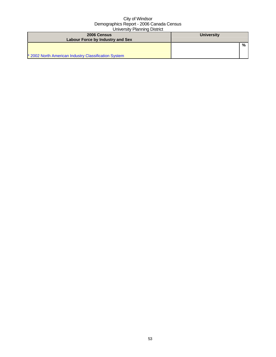| 2006 Census<br>Labour Force by Industry and Sex      | <b>University</b> |
|------------------------------------------------------|-------------------|
| * 2002 North American Industry Classification System | %                 |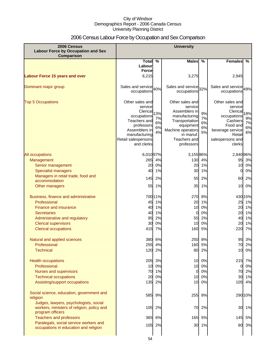# 2006 Census Labour Force by Occupation and Sex Comparison

| 2006 Census<br><b>Labour Force by Occupation and Sex</b><br><b>Comparison</b>                            | <b>University</b>                                                                                                                                          |                             |                                                                                                                                                             |                            |                                                                                                                                           |                             |
|----------------------------------------------------------------------------------------------------------|------------------------------------------------------------------------------------------------------------------------------------------------------------|-----------------------------|-------------------------------------------------------------------------------------------------------------------------------------------------------------|----------------------------|-------------------------------------------------------------------------------------------------------------------------------------------|-----------------------------|
|                                                                                                          | Total $\sqrt{ }$                                                                                                                                           |                             | <b>Males</b>                                                                                                                                                | %                          | Females                                                                                                                                   | %                           |
|                                                                                                          | Labour                                                                                                                                                     |                             |                                                                                                                                                             |                            |                                                                                                                                           |                             |
|                                                                                                          | <b>Force</b>                                                                                                                                               |                             |                                                                                                                                                             |                            |                                                                                                                                           |                             |
| <b>Labour Force 15 years and over</b>                                                                    | 6,215                                                                                                                                                      |                             | 3,275                                                                                                                                                       |                            | 2,945                                                                                                                                     |                             |
| Dominant major group                                                                                     | Sales and service 40%<br>occupations                                                                                                                       |                             | Sales and service 32%<br>occupations                                                                                                                        |                            | Sales and service 49%<br>occupations                                                                                                      |                             |
| <b>Top 5 Occupations</b>                                                                                 | Other sales and<br>service<br>Clerical<br>occupations<br>Teachers and<br>professors<br>Assemblers in<br>manufacturing<br>Retail salespersons<br>and clerks | 13%<br>7%<br>6%<br>6%<br>4% | Other sales and<br>service<br>Assemblers in<br>manufacturing<br>Transportation<br>equipment<br>Machine operators<br>in manuf.<br>Teachers and<br>professors | 9%<br>7%<br>6%<br>6%<br>5% | Other sales and<br>service<br>Clerical<br>occupations<br>Cashiers<br>Food and<br>beverage service<br>Retail<br>salespersons and<br>clerks | 18%<br>9%<br>7%<br>6%<br>6% |
| <b>All occupations</b>                                                                                   | 6,01097%                                                                                                                                                   |                             | 3,15596%                                                                                                                                                    |                            | 2,840 96%                                                                                                                                 |                             |
| Management                                                                                               | 265                                                                                                                                                        | 4%                          | 130                                                                                                                                                         | 4%                         | 95                                                                                                                                        | 3%                          |
| Senior management                                                                                        | 20                                                                                                                                                         | 0%                          | 20                                                                                                                                                          | 1%                         | 10                                                                                                                                        | 0%                          |
| <b>Specialist managers</b>                                                                               | 40                                                                                                                                                         | 1%                          | 30                                                                                                                                                          | 1%                         | 0                                                                                                                                         | 0%                          |
| Managers in retail trade, food and                                                                       | 145                                                                                                                                                        | 2%                          | 55                                                                                                                                                          | 2%                         | 60                                                                                                                                        | 2%                          |
| accommodation                                                                                            |                                                                                                                                                            |                             |                                                                                                                                                             |                            |                                                                                                                                           |                             |
| Other managers                                                                                           | 55                                                                                                                                                         | 1%                          | 35                                                                                                                                                          | 1%                         | 10                                                                                                                                        | 0%                          |
| Business, finance and administrative                                                                     |                                                                                                                                                            | 700 11%                     | 270                                                                                                                                                         | 8%                         | 430 15%                                                                                                                                   |                             |
| Professional                                                                                             | 45                                                                                                                                                         | 1%                          | 20                                                                                                                                                          | 1%                         | 25                                                                                                                                        | 1%                          |
| <b>Finance and insurance</b>                                                                             | 40                                                                                                                                                         | 1%                          | 10                                                                                                                                                          | 0%                         | 20                                                                                                                                        | 1%                          |
| <b>Secretaries</b>                                                                                       | 40                                                                                                                                                         | 1%                          | 0                                                                                                                                                           | 0%                         | 20                                                                                                                                        | 1%                          |
| Administrative and regulatory                                                                            | 95                                                                                                                                                         | 2%                          | 55                                                                                                                                                          | 2%                         | 40                                                                                                                                        | 1%                          |
| <b>Clerical supervisors</b>                                                                              | 30                                                                                                                                                         | 0%                          | 10                                                                                                                                                          | 0%                         | 20                                                                                                                                        | 1%                          |
| <b>Clerical occupations</b>                                                                              | 415                                                                                                                                                        | 7%                          | 160                                                                                                                                                         | 5%                         | 220                                                                                                                                       | 7%                          |
| Natural and applied sciences                                                                             | 380                                                                                                                                                        | 6%                          | 250                                                                                                                                                         | 8%                         | 95                                                                                                                                        | 3%                          |
| Professional                                                                                             | 255                                                                                                                                                        | 4%                          | 160                                                                                                                                                         | 5%                         | 70.                                                                                                                                       | 2%                          |
| <b>Technical</b>                                                                                         |                                                                                                                                                            | 120 2%                      | 80                                                                                                                                                          | 2%                         | 10                                                                                                                                        | 0%                          |
| <b>Health occupations</b>                                                                                |                                                                                                                                                            | 205 3%                      | 10                                                                                                                                                          | 0%                         | 215 7%                                                                                                                                    |                             |
| Professional                                                                                             | 10                                                                                                                                                         | 0%                          | 10                                                                                                                                                          | 0%                         | 0                                                                                                                                         | 0%                          |
| Nurses and supervisors                                                                                   |                                                                                                                                                            | 70 1%                       | 0                                                                                                                                                           | 0%                         | 70                                                                                                                                        | 2%                          |
| <b>Technical occupations</b>                                                                             | 20                                                                                                                                                         | 0%                          | 10                                                                                                                                                          | 0%                         | 30                                                                                                                                        | 1%                          |
| Assisting/support occupations                                                                            |                                                                                                                                                            | 135 2%                      | 10                                                                                                                                                          | 0%                         | 105                                                                                                                                       | 4%                          |
| Social science, education, government and<br>religion                                                    |                                                                                                                                                            | 585 9%                      | 255                                                                                                                                                         | 8%                         | 290 10%                                                                                                                                   |                             |
| Judges, lawyers, psychologists, social<br>workers, ministers of religion, policy and<br>program officers |                                                                                                                                                            | 105 2%                      | 70                                                                                                                                                          | 2%                         | 30                                                                                                                                        | 1%                          |
| <b>Teachers and professors</b>                                                                           |                                                                                                                                                            | 365 6%                      | 165                                                                                                                                                         | 5%                         | 145                                                                                                                                       | 5%                          |
| Paralegals, social service workers and<br>occupations in education and religion                          |                                                                                                                                                            | 105 2%                      | 30                                                                                                                                                          | 1%                         |                                                                                                                                           | 80 3%                       |
|                                                                                                          |                                                                                                                                                            |                             |                                                                                                                                                             |                            |                                                                                                                                           |                             |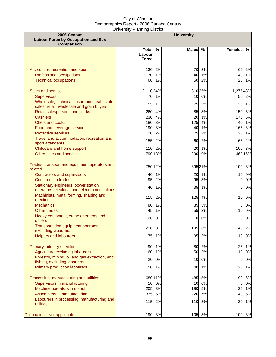| 2006 Census<br><b>Labour Force by Occupation and Sex</b><br>Comparison                                                                |                                        |                               | <b>University</b> |                           |                      |                         |
|---------------------------------------------------------------------------------------------------------------------------------------|----------------------------------------|-------------------------------|-------------------|---------------------------|----------------------|-------------------------|
|                                                                                                                                       | <b>Total</b><br>Labour<br><b>Force</b> | %                             | <b>Males</b>      | $\%$                      | <b>Females</b>       | %                       |
| Art, culture, recreation and sport<br>Professional occupations<br><b>Technical occupations</b>                                        | 70<br>60                               | 130 2%<br>1%<br>1%            | 70<br>40<br>50    | 2%<br>1%<br>2%            | 60<br>40<br>20       | 2%<br>1%<br>1%          |
| Sales and service<br><b>Supervisors</b><br>Wholesale, technical, insurance, real estate                                               | 2,110 34%<br>70                        | 1%                            | 10                | 81025%<br>0%              | 1,27543%<br>50       | 2%                      |
| sales, retail, wholesale and grain buyers<br>Retail salespersons and clerks<br><b>Cashiers</b>                                        | 55<br>260<br>230                       | 1%<br>4%<br>4%                | 75<br>85<br>20    | 2%<br>3%<br>1%            | 20<br>150<br>175     | 1%<br>5%<br>6%          |
| Chefs and cooks<br>Food and beverage service<br><b>Protective services</b>                                                            | 180<br>190<br>120                      | 3%<br>3%<br>2%                | 125<br>40<br>75   | 4%<br>1%<br>2%            | 165<br>20            | 40 1%<br>6%<br>1%       |
| Travel and accommodation, recreation and<br>sport attendants<br>Childcare and home support                                            | 155                                    | 2%<br>110 2%                  | 60<br>20          | 2%<br>1%                  | 65                   | 2%<br>100 3%            |
| Other sales and service                                                                                                               |                                        | 790 13%                       | 290               | 9%                        |                      | 460 16%                 |
| Trades, transport and equipment operators and<br>related<br><b>Contractors and supervisors</b>                                        |                                        | 750 12%<br>40 1%              | 20                | 69521%<br>1%              | 100                  | 3%<br>10 0%             |
| <b>Construction trades</b><br>Stationary engineers, power station                                                                     | 95<br>40                               | 2%<br>1%                      | 95<br>35          | 3%<br>1%                  | 01<br>0              | 0%<br>0%                |
| operators, electrical and telecommunications<br>Machinists, metal forming, shaping and<br>erecting                                    |                                        | 115 2%                        | 125               | 4%                        | 10                   | 0%                      |
| <b>Mechanics</b><br>Other trades                                                                                                      | 45                                     | 80 1%<br>1%                   | 85<br>55          | 3%<br>2%                  | 01<br>10             | 0%<br>$0\%$             |
| Heavy equipment, crane operators and<br>drillers<br>Transportation equipment operators,                                               | 20                                     | 0%                            | 10                | 0%                        | $\Omega$             | 0%                      |
| excluding labourers<br><b>Helpers and labourers</b>                                                                                   | 210<br>75                              | 3%<br>1%                      | 195<br>95         | 6%<br>3%                  | 45                   | 2%<br>10 0%             |
| Primary industry-specific<br>Agriculture excluding labourers<br>Forestry, mining, oil and gas extraction, and                         | 60                                     | 90 1%<br>1%                   | 80<br>50          | 2%<br>2%                  | 25<br>10             | 1%<br>0%                |
| fishing, excluding labourers<br><b>Primary production labourers</b>                                                                   | 20                                     | 0%<br>50 1%                   | 10                | 0%<br>40 1%               | $\overline{0}$<br>20 | $0\%$<br>1%             |
| Processing, manufacturing and utilities<br>Supervisors in manufacturing<br>Machine operators in manuf.<br>Assemblers in manufacturing | 10<br>205                              | 680 11%<br>0%<br>3%<br>335 5% | 10<br>180<br>220  | 485 15%<br>0%<br>5%<br>7% | 190<br>0<br>140      | 6%<br>0%<br>30 1%<br>5% |
| Labourers in processing, manufacturing and<br>utilities                                                                               |                                        | 115 2%                        |                   | 110 3%<br>3%              | 30                   | 1%                      |
| Occupation - Not applicable                                                                                                           |                                        | 190 3%                        | 105               |                           | 100                  | 3%                      |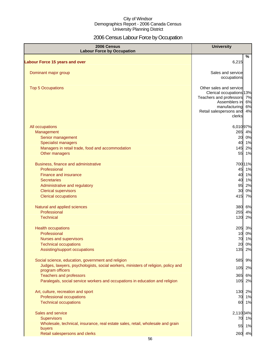# 2006 Census Labour Force by Occupation

| 2006 Census<br><b>Labour Force by Occupation</b>                                                      | <b>University</b>                           |    |
|-------------------------------------------------------------------------------------------------------|---------------------------------------------|----|
| <b>Labour Force 15 years and over</b>                                                                 | 6,215                                       | %  |
|                                                                                                       |                                             |    |
| Dominant major group                                                                                  | Sales and service<br>occupations            |    |
| <b>Top 5 Occupations</b>                                                                              | Other sales and service                     |    |
|                                                                                                       | Clerical occupations 13%                    |    |
|                                                                                                       | Teachers and professors 7%<br>Assemblers in | 6% |
|                                                                                                       | manufacturing                               | 6% |
|                                                                                                       | Retail salespersons and<br>clerks           | 4% |
| All occupations                                                                                       | 6,01097%                                    |    |
| Management                                                                                            | 265 4%                                      |    |
| Senior management                                                                                     | 20 0%                                       |    |
| <b>Specialist managers</b>                                                                            | 40 1%                                       |    |
| Managers in retail trade, food and accommodation                                                      | 145 2%                                      |    |
| Other managers                                                                                        | 55 1%                                       |    |
| Business, finance and administrative                                                                  | 700 11%                                     |    |
| Professional                                                                                          | 45 1%                                       |    |
| <b>Finance and insurance</b>                                                                          | 40 1%                                       |    |
| <b>Secretaries</b>                                                                                    | 40 1%                                       |    |
| Administrative and regulatory                                                                         | 95                                          | 2% |
| <b>Clerical supervisors</b>                                                                           | 30 0%                                       |    |
| <b>Clerical occupations</b>                                                                           | 415 7%                                      |    |
| Natural and applied sciences                                                                          | 380 6%                                      |    |
| Professional                                                                                          | 255 4%                                      |    |
| <b>Technical</b>                                                                                      | 120 2%                                      |    |
| <b>Health occupations</b>                                                                             | 205 3%                                      |    |
| Professional                                                                                          | 10 0%                                       |    |
| Nurses and supervisors                                                                                | 70 1%                                       |    |
| <b>Technical occupations</b>                                                                          | 20                                          | 0% |
| Assisting/support occupations                                                                         | 135                                         | 2% |
| Social science, education, government and religion                                                    | 585                                         | 9% |
| Judges, lawyers, psychologists, social workers, ministers of religion, policy and<br>program officers | 105                                         | 2% |
| <b>Teachers and professors</b>                                                                        | 365                                         | 6% |
| Paralegals, social service workers and occupations in education and religion                          | 105                                         | 2% |
| Art, culture, recreation and sport                                                                    | 130 2%                                      |    |
| Professional occupations                                                                              | 70                                          | 1% |
| <b>Technical occupations</b>                                                                          | 60 1%                                       |    |
| Sales and service                                                                                     | 2,110 34%                                   |    |
| <b>Supervisors</b>                                                                                    | 70 1%                                       |    |
| Wholesale, technical, insurance, real estate sales, retail, wholesale and grain                       | 55 1%                                       |    |
| buyers                                                                                                |                                             |    |
| Retail salespersons and clerks                                                                        | 260 4%                                      |    |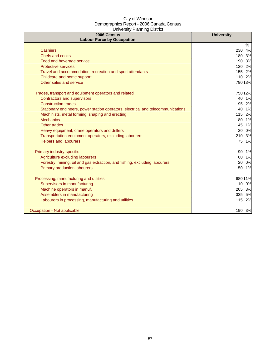| 2006 Census<br><b>Labour Force by Occupation</b>                                 | <b>University</b> |
|----------------------------------------------------------------------------------|-------------------|
|                                                                                  | %                 |
| <b>Cashiers</b>                                                                  | 230<br>4%         |
| <b>Chefs and cooks</b>                                                           | 180 3%            |
| Food and beverage service                                                        | 190 3%            |
| <b>Protective services</b>                                                       | 120<br>2%         |
| Travel and accommodation, recreation and sport attendants                        | 155 2%            |
| Childcare and home support                                                       | 2%<br>110         |
| Other sales and service                                                          | 790 13%           |
| Trades, transport and equipment operators and related                            | 750 12%           |
| <b>Contractors and supervisors</b>                                               | 40 1%             |
| <b>Construction trades</b>                                                       | 95 2%             |
| Stationary engineers, power station operators, electrical and telecommunications | 40 1%             |
| Machinists, metal forming, shaping and erecting                                  | 115 2%            |
| <b>Mechanics</b>                                                                 | 80 1%             |
| Other trades                                                                     | 1%<br>45          |
| Heavy equipment, crane operators and drillers                                    | 0%<br>20          |
| Transportation equipment operators, excluding labourers                          | 3%<br>210         |
| <b>Helpers and labourers</b>                                                     | 75<br>1%          |
| Primary industry-specific                                                        | 90 1%             |
| Agriculture excluding labourers                                                  | 1%<br>60          |
| Forestry, mining, oil and gas extraction, and fishing, excluding labourers       | 0%<br>20          |
| <b>Primary production labourers</b>                                              | 50<br>1%          |
| Processing, manufacturing and utilities                                          | 680 11%           |
| Supervisors in manufacturing                                                     | 10 0%             |
| Machine operators in manuf.                                                      | 3%<br>205         |
| Assemblers in manufacturing                                                      | 335<br>5%         |
| Labourers in processing, manufacturing and utilities                             | 2%<br>$115$       |
| Occupation - Not applicable                                                      | 190 3%            |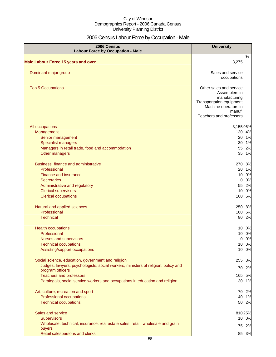# 2006 Census Labour Force by Occupation - Male

| 2006 Census<br><b>Labour Force by Occupation - Male</b>                                               | <b>University</b>                |          |
|-------------------------------------------------------------------------------------------------------|----------------------------------|----------|
| <b>Male Labour Force 15 years and over</b>                                                            | 3,275                            | $\%$     |
|                                                                                                       |                                  |          |
| Dominant major group                                                                                  | Sales and service<br>occupations |          |
| <b>Top 5 Occupations</b>                                                                              | Other sales and service          |          |
|                                                                                                       | Assemblers in<br>manufacturing   |          |
|                                                                                                       | Transportation equipment         |          |
|                                                                                                       | Machine operators in<br>manuf.   |          |
|                                                                                                       | Teachers and professors          |          |
| All occupations                                                                                       | 3,15596%                         |          |
| Management                                                                                            | 130                              | 4%       |
| Senior management<br><b>Specialist managers</b>                                                       | 20<br>30 1%                      | 1%       |
| Managers in retail trade, food and accommodation                                                      | 55                               | 2%       |
| Other managers                                                                                        | 35                               | 1%       |
| Business, finance and administrative                                                                  | 270                              | 8%       |
| Professional                                                                                          | 20                               | 1%       |
| <b>Finance and insurance</b><br><b>Secretaries</b>                                                    | 10<br>$\overline{0}$             | 0%<br>0% |
| Administrative and regulatory                                                                         | 55                               | 2%       |
| <b>Clerical supervisors</b>                                                                           | 10                               | 0%       |
| <b>Clerical occupations</b>                                                                           | 160                              | 5%       |
| Natural and applied sciences                                                                          | 250 8%                           |          |
| Professional<br><b>Technical</b>                                                                      | 160 5%<br>80                     |          |
|                                                                                                       |                                  | 2%       |
| <b>Health occupations</b>                                                                             | 10                               | 0%       |
| Professional                                                                                          | 10<br>$\mathbf{0}$               | 0%<br>0% |
| Nurses and supervisors<br><b>Technical occupations</b>                                                | 10                               | 0%       |
| Assisting/support occupations                                                                         | 10                               | 0%       |
| Social science, education, government and religion                                                    | 255                              | 8%       |
| Judges, lawyers, psychologists, social workers, ministers of religion, policy and<br>program officers | 70                               | 2%       |
| <b>Teachers and professors</b>                                                                        | 165                              | 5%       |
| Paralegals, social service workers and occupations in education and religion                          | 30 1%                            |          |
| Art, culture, recreation and sport                                                                    | 70 2%                            |          |
| Professional occupations                                                                              | 40 1%                            |          |
| <b>Technical occupations</b>                                                                          | 50 2%                            |          |
| Sales and service                                                                                     | 81025%                           |          |
| <b>Supervisors</b>                                                                                    | 10 0%                            |          |
| Wholesale, technical, insurance, real estate sales, retail, wholesale and grain<br>buyers             | 75                               | 2%       |
| Retail salespersons and clerks                                                                        | 85 3%                            |          |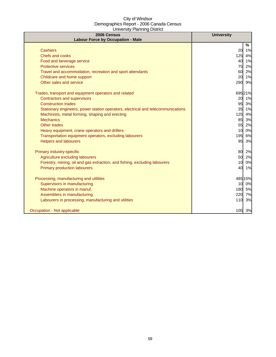| 2006 Census<br><b>Labour Force by Occupation - Male</b>                          | <b>University</b> |
|----------------------------------------------------------------------------------|-------------------|
|                                                                                  | $\%$              |
| <b>Cashiers</b>                                                                  | 20<br>1%          |
| <b>Chefs and cooks</b>                                                           | 125<br>4%         |
| Food and beverage service                                                        | 1%<br>40          |
| <b>Protective services</b>                                                       | 75<br>2%          |
| Travel and accommodation, recreation and sport attendants                        | 60<br>2%          |
| Childcare and home support                                                       | 20<br>1%          |
| Other sales and service                                                          | 9%<br>290         |
| Trades, transport and equipment operators and related                            | 695 21%           |
| <b>Contractors and supervisors</b>                                               | 20<br>1%          |
| <b>Construction trades</b>                                                       | 95<br>3%          |
| Stationary engineers, power station operators, electrical and telecommunications | 35 1%             |
| Machinists, metal forming, shaping and erecting                                  | 125<br>4%         |
| <b>Mechanics</b>                                                                 | 85<br>3%          |
| Other trades                                                                     | 55<br>2%          |
| Heavy equipment, crane operators and drillers                                    | 0%<br>10          |
| Transportation equipment operators, excluding labourers                          | 6%<br>195         |
| <b>Helpers and labourers</b>                                                     | 95<br>3%          |
| Primary industry-specific                                                        | 80<br>2%          |
| Agriculture excluding labourers                                                  | 50<br>2%          |
| Forestry, mining, oil and gas extraction, and fishing, excluding labourers       | 10<br>0%          |
| <b>Primary production labourers</b>                                              | 40<br>1%          |
| Processing, manufacturing and utilities                                          | 485 15%           |
| Supervisors in manufacturing                                                     | 0%<br>10          |
| Machine operators in manuf.                                                      | 180<br>5%         |
| Assemblers in manufacturing                                                      | 220<br>7%         |
| Labourers in processing, manufacturing and utilities                             | 3%<br>110         |
| Occupation - Not applicable                                                      | 105 3%            |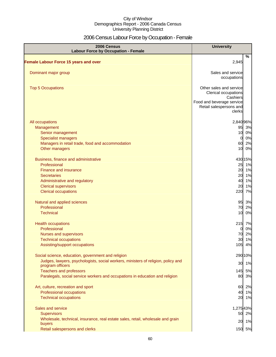# 2006 Census Labour Force by Occupation - Female

| 2006 Census<br><b>Labour Force by Occupation - Female</b>                         | <b>University</b>                                                                                                             |
|-----------------------------------------------------------------------------------|-------------------------------------------------------------------------------------------------------------------------------|
| <b>Female Labour Force 15 years and over</b>                                      | %<br>2,945                                                                                                                    |
|                                                                                   |                                                                                                                               |
| Dominant major group                                                              | Sales and service<br>occupations                                                                                              |
| <b>Top 5 Occupations</b>                                                          | Other sales and service<br>Clerical occupations<br>Cashiers<br>Food and beverage service<br>Retail salespersons and<br>clerks |
| All occupations                                                                   | 2,840 96%                                                                                                                     |
| Management                                                                        | 95 3%                                                                                                                         |
| Senior management                                                                 | 10 0%                                                                                                                         |
| <b>Specialist managers</b>                                                        | 0%<br>$\Omega$                                                                                                                |
| Managers in retail trade, food and accommodation<br>Other managers                | 2%<br>60<br>10<br>0%                                                                                                          |
|                                                                                   |                                                                                                                               |
| Business, finance and administrative                                              | 430 15%                                                                                                                       |
| Professional                                                                      | 1%<br>25                                                                                                                      |
| <b>Finance and insurance</b>                                                      | 1%<br>20                                                                                                                      |
| <b>Secretaries</b>                                                                | 1%<br>20                                                                                                                      |
| Administrative and regulatory                                                     | 1%<br>40                                                                                                                      |
| <b>Clerical supervisors</b>                                                       | 1%<br>20<br>7%<br>220                                                                                                         |
| <b>Clerical occupations</b>                                                       |                                                                                                                               |
| Natural and applied sciences                                                      | 95 3%                                                                                                                         |
| Professional                                                                      | 70 2%                                                                                                                         |
| <b>Technical</b>                                                                  | 10<br>0%                                                                                                                      |
| <b>Health occupations</b>                                                         | 215 7%                                                                                                                        |
| Professional                                                                      | 0%<br>$\overline{0}$                                                                                                          |
| Nurses and supervisors                                                            | 70 2%                                                                                                                         |
| <b>Technical occupations</b>                                                      | 30 1%                                                                                                                         |
| Assisting/support occupations                                                     | 105 4%                                                                                                                        |
| Social science, education, government and religion                                | 290 10%                                                                                                                       |
| Judges, lawyers, psychologists, social workers, ministers of religion, policy and | 1%<br>30                                                                                                                      |
| program officers                                                                  |                                                                                                                               |
| <b>Teachers and professors</b>                                                    | 145<br>5%<br>80                                                                                                               |
| Paralegals, social service workers and occupations in education and religion      | 3%                                                                                                                            |
| Art, culture, recreation and sport                                                | 2%<br>60                                                                                                                      |
| Professional occupations                                                          | 40<br>1%                                                                                                                      |
| <b>Technical occupations</b>                                                      | 20<br>1%                                                                                                                      |
| Sales and service                                                                 | 1,27543%                                                                                                                      |
| <b>Supervisors</b>                                                                | 50 2%                                                                                                                         |
| Wholesale, technical, insurance, real estate sales, retail, wholesale and grain   |                                                                                                                               |
| buyers                                                                            | 20 1%                                                                                                                         |
| Retail salespersons and clerks                                                    | 150 5%                                                                                                                        |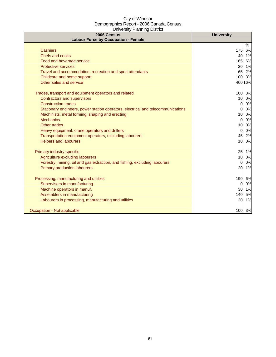| 2006 Census<br><b>Labour Force by Occupation - Female</b>                        | <b>University</b>     |
|----------------------------------------------------------------------------------|-----------------------|
|                                                                                  | %                     |
| <b>Cashiers</b>                                                                  | 175<br>6%             |
| <b>Chefs and cooks</b>                                                           | 40<br>1%              |
| Food and beverage service                                                        | 165<br>6%             |
| <b>Protective services</b>                                                       | 1%<br>20              |
| Travel and accommodation, recreation and sport attendants                        | 65<br>2%              |
| Childcare and home support                                                       | 3%<br>100             |
| Other sales and service                                                          | 46016%                |
| Trades, transport and equipment operators and related                            | 100<br>3%             |
| <b>Contractors and supervisors</b>                                               | 0%<br>10              |
| <b>Construction trades</b>                                                       | 0%<br><sub>0</sub>    |
| Stationary engineers, power station operators, electrical and telecommunications | 0%<br>0l              |
| Machinists, metal forming, shaping and erecting                                  | 10<br>0%              |
| <b>Mechanics</b>                                                                 | 0%<br>$\Omega$        |
| Other trades                                                                     | 0%<br>10              |
| Heavy equipment, crane operators and drillers                                    | 0%<br>0l              |
| Transportation equipment operators, excluding labourers                          | 45<br>2%              |
| <b>Helpers and labourers</b>                                                     | 10 <sup>1</sup><br>0% |
| Primary industry-specific                                                        | 25<br>1%              |
| Agriculture excluding labourers                                                  | 10<br>0%              |
| Forestry, mining, oil and gas extraction, and fishing, excluding labourers       | 0%<br>$\Omega$        |
| <b>Primary production labourers</b>                                              | 20<br>1%              |
| Processing, manufacturing and utilities                                          | 190<br>6%             |
| Supervisors in manufacturing                                                     | 0%<br>$\Omega$        |
| Machine operators in manuf.                                                      | 30<br>1%              |
| Assemblers in manufacturing                                                      | 140<br>5%             |
| Labourers in processing, manufacturing and utilities                             | 30<br>1%              |
| Occupation - Not applicable                                                      | 100<br>3%             |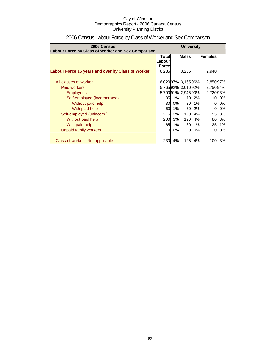| 2006 Census                                        | <b>University</b>      |    |                   |    |           |    |
|----------------------------------------------------|------------------------|----|-------------------|----|-----------|----|
| Labour Force by Class of Worker and Sex Comparison |                        |    |                   |    |           |    |
|                                                    | Total<br><b>Labour</b> |    | <b>Males</b>      |    | Females   |    |
|                                                    | <b>Forcel</b>          |    |                   |    |           |    |
| Labour Force 15 years and over by Class of Worker  | 6,235                  |    | 3,285             |    | 2,940     |    |
|                                                    |                        |    |                   |    |           |    |
| All classes of worker                              |                        |    | 6,02097% 3,16596% |    | 2,850 97% |    |
| Paid workers                                       |                        |    | 5,76592% 3,01092% |    | 2,75094%  |    |
| <b>Employees</b>                                   |                        |    | 5,70091% 2,94590% |    | 2,72093%  |    |
| Self-employed (incorporated)                       | 85                     | 1% | 70                | 2% | 10        | 0% |
| Without paid help                                  | 30                     | 0% | <b>30</b>         | 1% | 0         | 0% |
| With paid help                                     | 60                     | 1% | 50                | 2% | $\Omega$  | 0% |
| Self-employed (unincorp.)                          | 215                    | 3% | 120               | 4% | 95        | 3% |
| Without paid help                                  | 200                    | 3% | 120               | 4% | 80        | 3% |
| With paid help                                     | 65                     | 1% | 30                | 1% | 25        | 1% |
| Unpaid family workers                              | 10                     | 0% | $\Omega$          | 0% | $\Omega$  | 0% |
|                                                    |                        |    |                   |    |           |    |
| Class of worker - Not applicable                   | 230                    | 4% | 125               | 4% | 100       | 3% |

# 2006 Census Labour Force by Class of Worker and Sex Comparison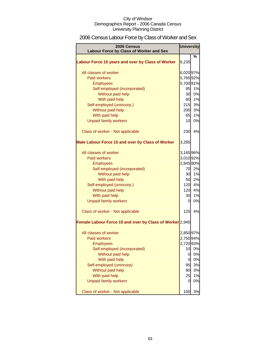# 2006 Census Labour Force by Class of Worker and Sex

| <b>University</b><br>2006 Census<br>Labour Force by Class of Worker and Sex |           |        |  |  |
|-----------------------------------------------------------------------------|-----------|--------|--|--|
|                                                                             |           | %      |  |  |
| Labour Force 15 years and over by Class of Worker                           | 6,235     |        |  |  |
| All classes of worker                                                       | 6,020 97% |        |  |  |
| <b>Paid workers</b>                                                         | 5,765 92% |        |  |  |
| <b>Employees</b>                                                            | 5,700 91% |        |  |  |
| Self-employed (incorporated)                                                | 85        | 1%     |  |  |
| Without paid help                                                           | 30        | 0%     |  |  |
| With paid help                                                              | 60        | 1%     |  |  |
| Self-employed (unincorp.)                                                   | 215       | 3%     |  |  |
| Without paid help                                                           |           | 200 3% |  |  |
| With paid help                                                              | 65        | 1%     |  |  |
| <b>Unpaid family workers</b>                                                | 10        | 0%     |  |  |
| Class of worker - Not applicable                                            | 230       | 4%     |  |  |
| Male Labour Force 15 and over by Class of Worker                            | 3,285     |        |  |  |
| All classes of worker                                                       | 3,165 96% |        |  |  |
| Paid workers                                                                | 3,010 92% |        |  |  |
| <b>Employees</b>                                                            | 2,945 90% |        |  |  |
| Self-employed (incorporated)                                                | 70        | 2%     |  |  |
| Without paid help                                                           | 30        | 1%     |  |  |
| With paid help                                                              | 50        | 2%     |  |  |
| Self-employed (unincorp.)                                                   | 120       | 4%     |  |  |
| Without paid help                                                           | 120       | 4%     |  |  |
| With paid help                                                              | 30        | 1%     |  |  |
| <b>Unpaid family workers</b>                                                | 0         | 0%     |  |  |
|                                                                             |           |        |  |  |
| Class of worker - Not applicable                                            | 125       | 4%     |  |  |
| Female Labour Force 15 and over by Class of Worker 2,940                    |           |        |  |  |
| All classes of worker                                                       | 2,850 97% |        |  |  |
| <b>Paid workers</b>                                                         | 2,750 94% |        |  |  |
| <b>Employees</b>                                                            | 2,720 93% |        |  |  |
| Self-employed (incorporated)                                                | 10        | 0%     |  |  |
| Without paid help                                                           | 0         | $0\%$  |  |  |
| With paid help                                                              | 0         | 0%     |  |  |
| Self-employed (unincorp)                                                    | 95        | 3%     |  |  |
| Without paid help                                                           | 80        | 3%     |  |  |
| With paid help                                                              | 25        | 1%     |  |  |
| <b>Unpaid family workers</b>                                                | 0         | 0%     |  |  |
| Class of worker - Not applicable                                            | 100       | 3%     |  |  |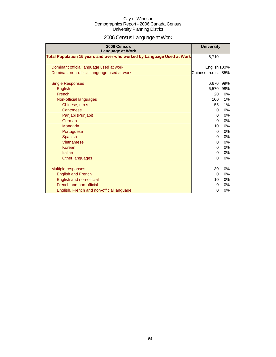# 2006 Census Language at Work

| 2006 Census<br><b>Language at Work</b>                                 | <b>University</b> |     |
|------------------------------------------------------------------------|-------------------|-----|
| Total Population 15 years and over who worked by Language Used at Work | 6,710             |     |
| Dominant official language used at work                                | English 100%      |     |
| Dominant non-official language used at work                            | Chinese, n.o.s.   | 85% |
| <b>Single Responses</b>                                                | 6,670             | 99% |
| English                                                                | 6,570             | 98% |
| French                                                                 | 20                | 0%  |
| Non-official languages                                                 | <b>100</b>        | 1%  |
| Chinese, n.o.s.                                                        | 55                | 1%  |
| Cantonese                                                              | $\overline{0}$    | 0%  |
| Panjabi (Punjabi)                                                      | 0                 | 0%  |
| German                                                                 | $\Omega$          | 0%  |
| <b>Mandarin</b>                                                        | 10                | 0%  |
| Portuguese                                                             | $\Omega$          | 0%  |
| Spanish                                                                | $\overline{O}$    | 0%  |
| Vietnamese                                                             | $\overline{0}$    | 0%  |
| Korean                                                                 | $\overline{0}$    | 0%  |
| Italian                                                                | $\overline{0}$    | 0%  |
| Other languages                                                        | $\Omega$          | 0%  |
|                                                                        |                   |     |
| Multiple responses                                                     | 30                | 0%  |
| <b>English and French</b>                                              | 0                 | 0%  |
| English and non-official                                               | 10                | 0%  |
| French and non-official                                                | $\Omega$          | 0%  |
| English, French and non-official language                              | 0                 | 0%  |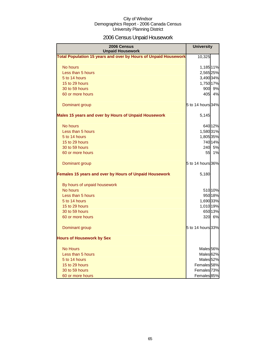# 2006 Census Unpaid Housework

| 2006 Census<br><b>Unpaid Housework</b>                                 | <b>University</b>      |         |  |  |
|------------------------------------------------------------------------|------------------------|---------|--|--|
| <b>Total Population 15 years and over by Hours of Unpaid Housework</b> | 10,325                 |         |  |  |
| No hours                                                               | 1,185 11%              |         |  |  |
| Less than 5 hours                                                      | 2,565 25%              |         |  |  |
| 5 to 14 hours                                                          | 3,490 34%              |         |  |  |
| 15 to 29 hours                                                         | 1,750 17%              |         |  |  |
| 30 to 59 hours                                                         |                        | 900 9%  |  |  |
| 60 or more hours                                                       | 405                    | 4%      |  |  |
| Dominant group                                                         | 5 to 14 hours 34%      |         |  |  |
| Males 15 years and over by Hours of Unpaid Housework                   | 5,145                  |         |  |  |
| No hours                                                               |                        | 640 12% |  |  |
| Less than 5 hours                                                      | 1,580 31%              |         |  |  |
| 5 to 14 hours                                                          | 1,805 35%              |         |  |  |
| 15 to 29 hours                                                         |                        | 740 14% |  |  |
| 30 to 59 hours                                                         |                        | 240 5%  |  |  |
| 60 or more hours                                                       | 55                     | 1%      |  |  |
| Dominant group                                                         | 5 to 14 hours 36%      |         |  |  |
| Females 15 years and over by Hours of Unpaid Housework                 | 5,180                  |         |  |  |
| By hours of unpaid housework                                           |                        |         |  |  |
| No hours                                                               |                        | 51010%  |  |  |
| Less than 5 hours                                                      |                        | 950 18% |  |  |
| 5 to 14 hours                                                          | 1,690 33%              |         |  |  |
| 15 to 29 hours                                                         | 1,010 19%              |         |  |  |
| 30 to 59 hours                                                         |                        | 650 13% |  |  |
| 60 or more hours                                                       |                        | 320 6%  |  |  |
| Dominant group                                                         | 5 to 14 hours 33%      |         |  |  |
| <b>Hours of Housework by Sex</b>                                       |                        |         |  |  |
| <b>No Hours</b>                                                        | Males <sub>56%</sub>   |         |  |  |
| Less than 5 hours                                                      | Males <sup>62%</sup>   |         |  |  |
| 5 to 14 hours                                                          | Males <sub>52%</sub>   |         |  |  |
| 15 to 29 hours                                                         | Females <sub>58%</sub> |         |  |  |
| 30 to 59 hours                                                         | Females <sup>73%</sup> |         |  |  |
| 60 or more hours                                                       | Females <sup>85%</sup> |         |  |  |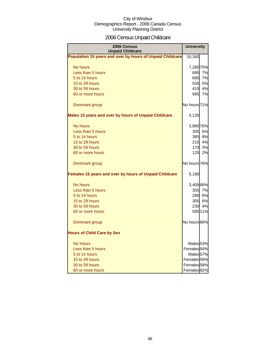# 2006 Census Unpaid Childcare

| 2006 Census<br><b>Unpaid Childcare</b>                    | <b>University</b>      |         |
|-----------------------------------------------------------|------------------------|---------|
| Population 15 years and over by hours of Unpaid Childcare | 10,345                 |         |
| No hours                                                  | 7,280 70%              |         |
| Less than 5 hours                                         | 695l                   | 7%      |
| 5 to 14 hours                                             |                        | 685 7%  |
| 15 to 29 hours                                            | 535l                   | 5%      |
| 30 to 59 hours                                            | 410                    | 4%      |
| 60 or more hours                                          | 695                    | 7%      |
| Dominant group                                            | No hours 71%           |         |
| Males 15 years and over by hours of Unpaid Childcare      | 5,130                  |         |
| No hours                                                  | 3,885 76%              |         |
| Less than 5 hours                                         |                        | 305 6%  |
| 5 to 14 hours                                             | 385                    | 8%      |
| 15 to 29 hours                                            | 215                    | 4%      |
| 30 to 59 hours                                            | 170 <sup>l</sup>       | 3%      |
| 60 or more hours                                          | 125 <sub>l</sub>       | 2%      |
| Dominant group                                            | No hours 76%           |         |
| Females 15 years and over by hours of Unpaid Childcare    | 5,190                  |         |
| No hours                                                  | 3,405 66%              |         |
| Less than 5 hours                                         |                        | 355 7%  |
| 5 to 14 hours                                             |                        | 290 6%  |
| 15 to 29 hours                                            |                        | 305 6%  |
| 30 to 59 hours                                            | <b>230</b>             | 4%      |
| 60 or more hours                                          |                        | 585 11% |
| Dominant group                                            | No hours 66%           |         |
| <b>Hours of Child Care by Sex</b>                         |                        |         |
| <b>No Hours</b>                                           | Males <sub>53%</sub>   |         |
| Less than 5 hours                                         | Females <sub>54%</sub> |         |
| 5 to 14 hours                                             | Males <sub>57%</sub>   |         |
| 15 to 29 hours                                            | Females <sup>59%</sup> |         |
| 30 to 59 hours                                            | Females <sub>58%</sub> |         |
| 60 or more hours                                          | Females <sup>82%</sup> |         |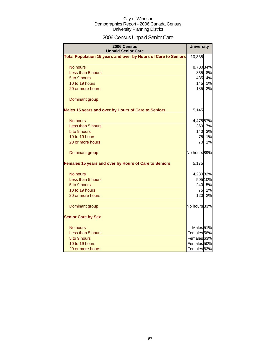# 2006 Census Unpaid Senior Care

| 2006 Census<br><b>Unpaid Senior Care</b>                       | <b>University</b>      |         |
|----------------------------------------------------------------|------------------------|---------|
| Total Population 15 years and over by Hours of Care to Seniors | 10,335                 |         |
| No hours                                                       | 8,700 84%              |         |
| Less than 5 hours                                              |                        | 855 8%  |
| 5 to 9 hours                                                   | 435                    | 4%      |
| 10 to 19 hours                                                 | 145                    | 1%      |
| 20 or more hours                                               | 185                    | 2%      |
| Dominant group                                                 |                        |         |
| Males 15 years and over by Hours of Care to Seniors            | 5,145                  |         |
| No hours                                                       | 4,47587%               |         |
| Less than 5 hours                                              |                        | 360 7%  |
| 5 to 9 hours                                                   | 140                    | 3%      |
| 10 to 19 hours                                                 | 75                     | 1%      |
| 20 or more hours                                               | 70                     | 1%      |
| Dominant group                                                 | No hours 89%           |         |
| Females 15 years and over by Hours of Care to Seniors          | 5,175                  |         |
| No hours                                                       | 4,23082%               |         |
| Less than 5 hours                                              |                        | 505 10% |
| 5 to 9 hours                                                   |                        | 240 5%  |
| 10 to 19 hours                                                 | 75                     | 1%      |
| 20 or more hours                                               | 120 <sup>l</sup>       | 2%      |
| Dominant group                                                 | No hours 83%           |         |
| <b>Senior Care by Sex</b>                                      |                        |         |
| No hours                                                       | Males <sub>51%</sub>   |         |
| Less than 5 hours                                              | Females <sub>58%</sub> |         |
| 5 to 9 hours                                                   | Females <sup>63%</sup> |         |
| 10 to 19 hours                                                 | Females <sup>50%</sup> |         |
| 20 or more hours                                               | Females <sup>63%</sup> |         |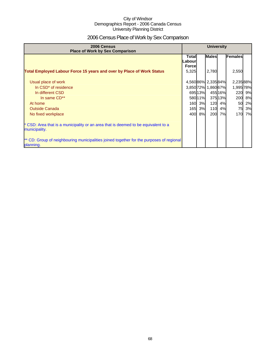# 2006 Census Place of Work by Sex Comparison

| 2006 Census<br><b>Place of Work by Sex Comparison</b>                                                 | <b>University</b>                       |         |                     |         |           |    |
|-------------------------------------------------------------------------------------------------------|-----------------------------------------|---------|---------------------|---------|-----------|----|
|                                                                                                       | <b>Total</b><br>Labour<br><b>Forcel</b> |         | <b>Males</b>        |         | Females   |    |
| <b>Total Employed Labour Force 15 years and over by Place of Work Status</b>                          | 5,325                                   |         | 2,780               |         | 2,550     |    |
| Usual place of work                                                                                   |                                         |         | 4,56086% 2,33584%   |         | 2,23588%  |    |
| In CSD <sup>*</sup> of residence                                                                      |                                         |         | 3,850 72% 1,860 67% |         | 1,995 78% |    |
| In different CSD                                                                                      |                                         | 69513%  |                     | 455 16% | 220       | 9% |
| In same CD**                                                                                          |                                         | 580 11% |                     | 375 13% | 200       | 8% |
| At home                                                                                               |                                         | 160 3%  | 120                 | 4%      | 50        | 2% |
| <b>Outside Canada</b>                                                                                 |                                         | 165 3%  | 110                 | 4%      | 75        | 3% |
| No fixed workplace                                                                                    | 400                                     | 8%      | 200                 | 7%      | 170       | 7% |
| * CSD: Area that is a municipality or an area that is deemed to be equivalent to a<br>municipality.   |                                         |         |                     |         |           |    |
| ** CD: Group of neighbouring municipalities joined together for the purposes of regional<br>planning. |                                         |         |                     |         |           |    |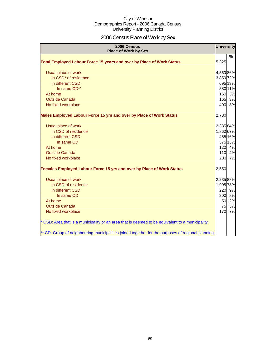# 2006 Census Place of Work by Sex

| 2006 Census<br><b>Place of Work by Sex</b>                                                         | <b>University</b> |         |
|----------------------------------------------------------------------------------------------------|-------------------|---------|
|                                                                                                    |                   | %       |
| Total Employed Labour Force 15 years and over by Place of Work Status                              | 5,325             |         |
| Usual place of work                                                                                | 4,560 86%         |         |
| In CSD <sup>*</sup> of residence                                                                   | 3,850 72%         |         |
| In different CSD                                                                                   |                   | 695 13% |
| In same CD**                                                                                       |                   | 580 11% |
| At home                                                                                            |                   | 160 3%  |
| <b>Outside Canada</b>                                                                              | 165               | 3%      |
| No fixed workplace                                                                                 | 400               | 8%      |
| Males Employed Labour Force 15 yrs and over by Place of Work Status                                | 2,780             |         |
| Usual place of work                                                                                | 2,335 84%         |         |
| In CSD of residence                                                                                | 1,860 67%         |         |
| In different CSD                                                                                   |                   | 455 16% |
| In same CD                                                                                         |                   | 375 13% |
| At home                                                                                            |                   | 120 4%  |
| <b>Outside Canada</b>                                                                              | 110               | 4%      |
| No fixed workplace                                                                                 | 200               | 7%      |
| Females Employed Labour Force 15 yrs and over by Place of Work Status                              | 2,550             |         |
| Usual place of work                                                                                | 2,235 88%         |         |
| In CSD of residence                                                                                | 1,995 78%         |         |
| In different CSD                                                                                   | 220               | 9%      |
| In same CD                                                                                         | 200               | 8%      |
| At home                                                                                            | 50                | 2%      |
| <b>Outside Canada</b>                                                                              | 75                | 3%      |
| No fixed workplace                                                                                 | 170               | 7%      |
| * CSD: Area that is a municipality or an area that is deemed to be equivalent to a municipality.   |                   |         |
| ** CD: Group of neighbouring municipalities joined together for the purposes of regional planning. |                   |         |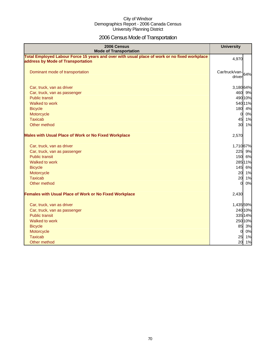# 2006 Census Mode of Transportation

| 2006 Census<br><b>Mode of Transportation</b>                                                                                      | <b>University</b>           |
|-----------------------------------------------------------------------------------------------------------------------------------|-----------------------------|
| Total Employed Labour Force 15 years and over with usual place of work or no fixed workplace<br>address by Mode of Transportation | 4,970                       |
| Dominant mode of transportation                                                                                                   | Car/truck/van-64%<br>driver |
| Car, truck, van as driver                                                                                                         | 3,18064%                    |
| Car, truck, van as passenger                                                                                                      | 460 9%                      |
| <b>Public transit</b>                                                                                                             | 490 10%                     |
| Walked to work                                                                                                                    | 540 11%                     |
| <b>Bicycle</b>                                                                                                                    | 180 4%                      |
| Motorcycle                                                                                                                        | 0%<br>$\overline{0}$        |
| <b>Taxicab</b>                                                                                                                    | 45 1%                       |
| Other method                                                                                                                      | 30 1%                       |
| <b>Males with Usual Place of Work or No Fixed Workplace</b>                                                                       | 2,570                       |
| Car, truck, van as driver                                                                                                         | 1,71067%                    |
| Car, truck, van as passenger                                                                                                      | 225 9%                      |
| <b>Public transit</b>                                                                                                             | 150 6%                      |
| Walked to work                                                                                                                    | 285 11%                     |
| <b>Bicycle</b>                                                                                                                    | 145 6%                      |
| Motorcycle                                                                                                                        | 20 1%                       |
| <b>Taxicab</b>                                                                                                                    | 20 1%                       |
| Other method                                                                                                                      | 0%<br>$\overline{0}$        |
| <b>Females with Usual Place of Work or No Fixed Workplace</b>                                                                     | 2,430                       |
| Car, truck, van as driver                                                                                                         | 1,435 59%                   |
| Car, truck, van as passenger                                                                                                      | 240 10%                     |
| <b>Public transit</b>                                                                                                             | 335 14%                     |
| Walked to work                                                                                                                    | 250 10%                     |
| <b>Bicycle</b>                                                                                                                    | 85 3%                       |
| Motorcycle                                                                                                                        | $\overline{0}$<br>0%        |
| <b>Taxicab</b>                                                                                                                    | 25 1%                       |
| Other method                                                                                                                      | 20<br>1%                    |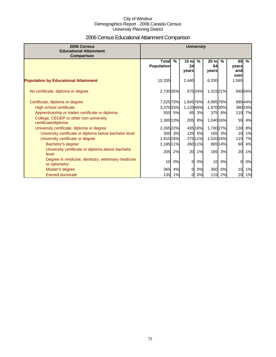# 2006 Census Educational Attainment Comparison

| 2006 Census<br><b>Educational Attainment</b><br>Comparison         | <b>University</b>                 |        |                        |               |                        |         |                            |        |
|--------------------------------------------------------------------|-----------------------------------|--------|------------------------|---------------|------------------------|---------|----------------------------|--------|
|                                                                    | <b>Total</b><br><b>Population</b> | $\%$   | $15$ to<br>24<br>years | $\frac{9}{6}$ | $25$ to<br>64<br>years | $\%$    | 65<br>years<br>and<br>over | $\%$   |
| <b>Population by Educational Attainment</b>                        | 10,335                            |        | 2,440                  |               | 6,330                  |         | 1,565                      |        |
| No certificate, diploma or degree                                  | 2,730 26%                         |        |                        | 57524%        | 1,315 21%              |         |                            | 84054% |
| Certificate, diploma or degree                                     | 7,525 73%                         |        | 1,845 76%              |               | 4,995 79%              |         |                            | 68544% |
| High school certificate                                            | 3,370 33%                         |        | 1,12046%               |               | 1,870 30%              |         |                            | 38024% |
| Apprenticeship or trades certificate or diploma                    |                                   | 550 5% | 65                     | 3%            |                        | 375 6%  |                            | 110 7% |
| College, CEGEP or other non-university<br>certificate/diploma      | 1,300 13%                         |        | 205                    | 8%            | 1,040 16%              |         | 55                         | 4%     |
| University certificate, diploma or degree                          | 2,265 22%                         |        |                        | 435 18%       | 1,700 27%              |         | 130                        | 8%     |
| University certificate or diploma below bachelor level             | 300 <b> </b>                      | 3%     | 125                    | 5%            |                        | 165 3%  | 10                         | 1%     |
| University certificate or degree                                   | 1,910 18%                         |        |                        | 275 11%       | 1,520 24%              |         | 115                        | 7%     |
| Bachelor's degree                                                  | 1,185 11%                         |        |                        | 260 11%       |                        | 865 14% | 60                         | 4%     |
| University certificate or diploma above bachelor<br>level          | 205                               | 2%     | 20                     | 1%            | 165                    | 3%      | <b>20</b>                  | 1%     |
| Degree in medicine, dentistry, veterinary medicine<br>or optometry | 10                                | 0%     | $\Omega$               | 0%            | 10                     | 0%      | 0                          | 0%     |
| Master's degree                                                    | 365                               | 4%     | $\Omega$               | 0%            | 350                    | 6%      | 15                         | 1%     |
| <b>Earned doctorate</b>                                            | 135                               | 1%     | 0                      | 0%            |                        | 115 2%  | 20                         | 1%     |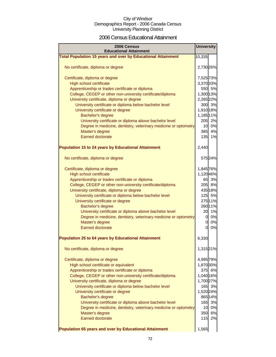### 2006 Census Educational Attainment

| 2006 Census<br><b>Educational Attainment</b>                        | <b>University</b> |         |
|---------------------------------------------------------------------|-------------------|---------|
| <b>Total Population 15 years and over by Educational Attainment</b> | 10,335            |         |
| No certificate, diploma or degree                                   | 2,730 26%         |         |
| Certificate, diploma or degree                                      | 7,525 73%         |         |
| High school certificate                                             | 3,370 33%         |         |
| Apprenticeship or trades certificate or diploma                     |                   | 550 5%  |
| College, CEGEP or other non-university certificate/diploma          | 1,300 13%         |         |
| University certificate, diploma or degree                           | 2,265 22%         |         |
| University certificate or diploma below bachelor level              |                   | 300 3%  |
| University certificate or degree                                    | 1,910 18%         |         |
| Bachelor's degree                                                   | 1,185 11%         |         |
| University certificate or diploma above bachelor level              |                   | 205 2%  |
| Degree in medicine, dentistry, veterinary medicine or optometry     |                   | 10 0%   |
| Master's degree                                                     |                   | 365 4%  |
| <b>Earned doctorate</b>                                             | 135               | 1%      |
| <b>Population 15 to 24 years by Educational Attainment</b>          | 2,440             |         |
| No certificate, diploma or degree                                   |                   | 575 24% |
| Certificate, diploma or degree                                      | 1,845 76%         |         |
| High school certificate                                             | 1,120 46%         |         |
| Apprenticeship or trades certificate or diploma                     |                   | 65 3%   |
| College, CEGEP or other non-university certificate/diploma          |                   | 205 8%  |
| University certificate, diploma or degree                           |                   | 435 18% |
| University certificate or diploma below bachelor level              |                   | 125 5%  |
| University certificate or degree                                    |                   | 27511%  |
| Bachelor's degree                                                   |                   | 26011%  |
| University certificate or diploma above bachelor level              |                   | 20 1%   |
| Degree in medicine, dentistry, veterinary medicine or optometry     | 0l                | 0%      |
| Master's degree                                                     | 0                 | 0%      |
| <b>Earned doctorate</b>                                             | 0l                | 0%      |
| <b>Population 25 to 64 years by Educational Attainment</b>          | 6,330             |         |
| No certificate, diploma or degree                                   | 1,315 21%         |         |
| Certificate, diploma or degree                                      | 4,995 79%         |         |
| High school certificate or equivalent                               | 1,870 30%         |         |
| Apprenticeship or trades certificate or diploma                     |                   | 375 6%  |
| College, CEGEP or other non-university certificate/diploma          | 1,040 16%         |         |
| University certificate, diploma or degree                           | 1,700 27%         |         |
| University certificate or diploma below bachelor level              | 165               | 3%      |
| University certificate or degree                                    | 1,520 24%         |         |
| Bachelor's degree                                                   |                   | 865 14% |
| University certificate or diploma above bachelor level              | 165               | 3%      |
| Degree in medicine, dentistry, veterinary medicine or optometry     | 10 <sub>1</sub>   | 0%      |
| Master's degree                                                     | 350               | 6%      |
| <b>Earned doctorate</b>                                             | 115               | 2%      |
| Population 65 years and over by Educational Attainment              | 1,565             |         |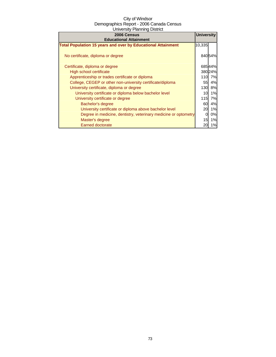| 2006 Census                                                         | <b>University</b> |        |
|---------------------------------------------------------------------|-------------------|--------|
| <b>Educational Attainment</b>                                       |                   |        |
| <b>Total Population 15 years and over by Educational Attainment</b> | 10,335            |        |
| No certificate, diploma or degree                                   |                   | 84054% |
| Certificate, diploma or degree                                      |                   | 68544% |
| High school certificate                                             |                   | 38024% |
| Apprenticeship or trades certificate or diploma                     | 110               | 7%     |
| College, CEGEP or other non-university certificate/diploma          | 55                | 4%     |
| University certificate, diploma or degree                           | 130               | 8%     |
| University certificate or diploma below bachelor level              | 10                | 1%     |
| University certificate or degree                                    | 115               | 7%     |
| Bachelor's degree                                                   | 60                | 4%     |
| University certificate or diploma above bachelor level              | 20                | 1%     |
| Degree in medicine, dentistry, veterinary medicine or optometry     | ი                 | 0%     |
| Master's degree                                                     | 15                | 1%     |
| <b>Earned doctorate</b>                                             |                   | 1%     |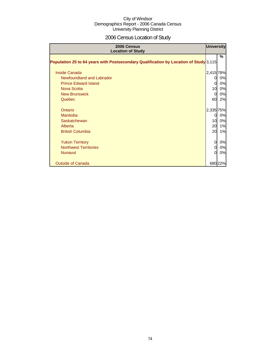# 2006 Census Location of Study

| 2006 Census<br><b>Location of Study</b>                                               |                | <b>University</b> |
|---------------------------------------------------------------------------------------|----------------|-------------------|
| Population 25 to 64 years with Postsecondary Qualification by Location of Study 3,115 |                | %                 |
| <b>Inside Canada</b>                                                                  | 2,415 78%      |                   |
| Newfoundland and Labrador                                                             | 0              | 0%                |
| <b>Prince Edward Island</b>                                                           | $\Omega$       | 0%                |
| Nova Scotia                                                                           | 10             | 0%                |
| <b>New Brunswick</b>                                                                  | $\Omega$       | 0%                |
| Quebec                                                                                | 60             | 2%                |
| Ontario                                                                               | 2,335 75%      |                   |
| Manitoba                                                                              | $\overline{0}$ | 0%                |
| Saskatchewan                                                                          | 10             | 0%                |
| Alberta                                                                               | 20             | 1%                |
| <b>British Columbia</b>                                                               | 20             | 1%                |
| <b>Yukon Territory</b>                                                                | $\overline{O}$ | 0%                |
| <b>Northwest Territories</b>                                                          | 0              | 0%                |
| <b>Nunavut</b>                                                                        | $\Omega$       | 0%                |
| <b>Outside of Canada</b>                                                              |                | 680 22%           |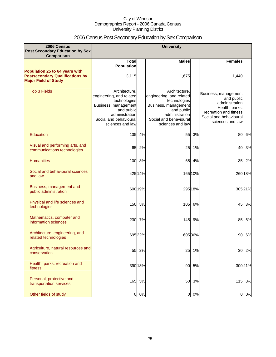# 2006 Census Post Secondary Education by Sex Comparison

| 2006 Census                                                                                             |                                                                                                                                                                 |         | <b>University</b>                                                                                                                                               |         |                                                                                                                                                |         |
|---------------------------------------------------------------------------------------------------------|-----------------------------------------------------------------------------------------------------------------------------------------------------------------|---------|-----------------------------------------------------------------------------------------------------------------------------------------------------------------|---------|------------------------------------------------------------------------------------------------------------------------------------------------|---------|
| <b>Post Secondary Education by Sex</b><br>Comparison                                                    |                                                                                                                                                                 |         |                                                                                                                                                                 |         |                                                                                                                                                |         |
|                                                                                                         | <b>Total</b>                                                                                                                                                    |         | <b>Males</b>                                                                                                                                                    |         | <b>Females</b>                                                                                                                                 |         |
| Population 25 to 64 years with<br><b>Postsecondary Qualifications by</b><br><b>Major Field of Study</b> | <b>Population</b><br>3,115                                                                                                                                      |         | 1,675                                                                                                                                                           |         | 1,440                                                                                                                                          |         |
| <b>Top 3 Fields</b>                                                                                     | Architecture.<br>engineering, and related<br>technologies<br>Business, management<br>and public<br>administration<br>Social and behavioural<br>sciences and law |         | Architecture.<br>engineering, and related<br>technologies<br>Business, management<br>and public<br>administration<br>Social and behavioural<br>sciences and law |         | Business, management<br>and public<br>administration<br>Health, parks,<br>recreation and fitness<br>Social and behavioural<br>sciences and law |         |
| Education                                                                                               | 135                                                                                                                                                             | 4%      | 55                                                                                                                                                              | 3%      | 80                                                                                                                                             | 6%      |
| Visual and performing arts, and<br>communications technologies                                          | 65                                                                                                                                                              | 2%      | 25                                                                                                                                                              | 1%      | 40                                                                                                                                             | 3%      |
| <b>Humanities</b>                                                                                       |                                                                                                                                                                 | 100 3%  | 65                                                                                                                                                              | 4%      | 35                                                                                                                                             | 2%      |
| Social and behavioural sciences<br>and law                                                              |                                                                                                                                                                 | 425 14% |                                                                                                                                                                 | 165 10% |                                                                                                                                                | 260 18% |
| Business, management and<br>public administration                                                       |                                                                                                                                                                 | 600 19% |                                                                                                                                                                 | 295 18% |                                                                                                                                                | 305 21% |
| Physical and life sciences and<br>technologies                                                          | 150                                                                                                                                                             | 5%      | 105                                                                                                                                                             | 6%      | 45                                                                                                                                             | 3%      |
| Mathematics, computer and<br>information sciences                                                       | 230                                                                                                                                                             | 7%      | 145                                                                                                                                                             | 9%      | 85                                                                                                                                             | 6%      |
| Architecture, engineering, and<br>related technologies                                                  |                                                                                                                                                                 | 695 22% |                                                                                                                                                                 | 60536%  | 90                                                                                                                                             | 6%      |
| Agriculture, natural resources and<br>conservation                                                      | 55                                                                                                                                                              | 2%      | 25                                                                                                                                                              | 1%      | 30                                                                                                                                             | 2%      |
| Health, parks, recreation and<br>fitness                                                                |                                                                                                                                                                 | 390 13% | 90                                                                                                                                                              | 5%      |                                                                                                                                                | 300 21% |
| Personal, protective and<br>transportation services                                                     | 165                                                                                                                                                             | 5%      | 50                                                                                                                                                              | 3%      |                                                                                                                                                | 115 8%  |
| Other fields of study                                                                                   | $\overline{0}$                                                                                                                                                  | 0%      | $\overline{0}$                                                                                                                                                  | 0%      | 0                                                                                                                                              | 0%      |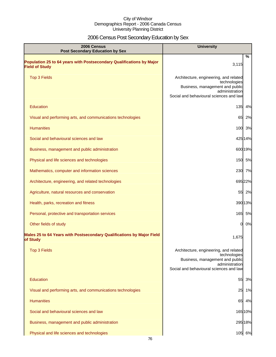# 2006 Census Post Secondary Education by Sex

| <b>University</b><br>2006 Census<br><b>Post Secondary Education by Sex</b>                    |                                                                                                                                                        |  |
|-----------------------------------------------------------------------------------------------|--------------------------------------------------------------------------------------------------------------------------------------------------------|--|
| Population 25 to 64 years with Postsecondary Qualifications by Major<br><b>Field of Study</b> | %<br>3,115                                                                                                                                             |  |
| <b>Top 3 Fields</b>                                                                           | Architecture, engineering, and related<br>technologies<br>Business, management and public<br>administration<br>Social and behavioural sciences and law |  |
| Education                                                                                     | 135<br>4%                                                                                                                                              |  |
| Visual and performing arts, and communications technologies                                   | 65<br>2%                                                                                                                                               |  |
| <b>Humanities</b>                                                                             | 100<br>3%                                                                                                                                              |  |
| Social and behavioural sciences and law                                                       | 425 14%                                                                                                                                                |  |
| Business, management and public administration                                                | 600 19%                                                                                                                                                |  |
| Physical and life sciences and technologies                                                   | 150 5%                                                                                                                                                 |  |
| Mathematics, computer and information sciences                                                | 230 7%                                                                                                                                                 |  |
| Architecture, engineering, and related technologies                                           | 695 22%                                                                                                                                                |  |
| Agriculture, natural resources and conservation                                               | 55 2%                                                                                                                                                  |  |
| Health, parks, recreation and fitness                                                         | 390 13%                                                                                                                                                |  |
| Personal, protective and transportation services                                              | 165 5%                                                                                                                                                 |  |
| Other fields of study                                                                         | 0%<br>0                                                                                                                                                |  |
| Males 25 to 64 Years with Postsecondary Qualifications by Major Field<br>of Study             | 1,675                                                                                                                                                  |  |
| <b>Top 3 Fields</b>                                                                           | Architecture, engineering, and related<br>technologies<br>Business, management and public<br>administration<br>Social and behavioural sciences and law |  |
| <b>Education</b>                                                                              | 55<br>3%                                                                                                                                               |  |
| Visual and performing arts, and communications technologies                                   | 1%<br>25                                                                                                                                               |  |
| <b>Humanities</b>                                                                             | 4%<br>65                                                                                                                                               |  |
| Social and behavioural sciences and law                                                       | 165 10%                                                                                                                                                |  |
| Business, management and public administration                                                | 295 18%                                                                                                                                                |  |
| Physical and life sciences and technologies                                                   | 105 6%                                                                                                                                                 |  |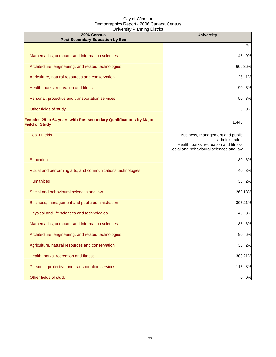| 2006 Census<br><b>Post Secondary Education by Sex</b>                                      | <b>University</b>                                                                                                                     |         |
|--------------------------------------------------------------------------------------------|---------------------------------------------------------------------------------------------------------------------------------------|---------|
|                                                                                            |                                                                                                                                       | %       |
| Mathematics, computer and information sciences                                             | 145                                                                                                                                   | 9%      |
| Architecture, engineering, and related technologies                                        |                                                                                                                                       | 605 36% |
| Agriculture, natural resources and conservation                                            | 25                                                                                                                                    | 1%      |
| Health, parks, recreation and fitness                                                      | 90                                                                                                                                    | 5%      |
| Personal, protective and transportation services                                           | 50                                                                                                                                    | 3%      |
| Other fields of study                                                                      | 0                                                                                                                                     | 0%      |
| Females 25 to 64 years with Postsecondary Qualifications by Major<br><b>Field of Study</b> | 1,440                                                                                                                                 |         |
| <b>Top 3 Fields</b>                                                                        | Business, management and public<br>administration<br>Health, parks, recreation and fitness<br>Social and behavioural sciences and law |         |
| Education                                                                                  | 80                                                                                                                                    | 6%      |
| Visual and performing arts, and communications technologies                                | 40                                                                                                                                    | 3%      |
| <b>Humanities</b>                                                                          | 35                                                                                                                                    | 2%      |
| Social and behavioural sciences and law                                                    |                                                                                                                                       | 26018%  |
| Business, management and public administration                                             |                                                                                                                                       | 30521%  |
| Physical and life sciences and technologies                                                | 45                                                                                                                                    | 3%      |
| Mathematics, computer and information sciences                                             | 85                                                                                                                                    | 6%      |
| Architecture, engineering, and related technologies                                        | 90                                                                                                                                    | 6%      |
| Agriculture, natural resources and conservation                                            | 30                                                                                                                                    | 2%      |
| Health, parks, recreation and fitness                                                      |                                                                                                                                       | 30021%  |
| Personal, protective and transportation services                                           | 115                                                                                                                                   | 8%      |
| Other fields of study                                                                      | 0                                                                                                                                     | 0%      |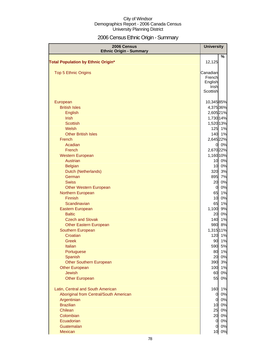# 2006 Census Ethnic Origin - Summary

| 2006 Census<br><b>Ethnic Origin - Summary</b> | <b>University</b> |                       |
|-----------------------------------------------|-------------------|-----------------------|
|                                               |                   | $\frac{0}{0}$         |
| <b>Total Population by Ethnic Origin*</b>     | 12,125            |                       |
| <b>Top 5 Ethnic Origins</b>                   | Canadian          |                       |
|                                               | French            |                       |
|                                               | English           |                       |
|                                               | Irish             |                       |
|                                               | Scottish          |                       |
| European                                      |                   | 10,34585%             |
| <b>British Isles</b>                          |                   | 4,375 36%             |
| English                                       |                   | 2,605 21%             |
| <b>Irish</b>                                  |                   | 1,730 14%             |
| <b>Scottish</b>                               |                   | 1,520 13%             |
| Welsh                                         |                   | 125 1%                |
| <b>Other British Isles</b>                    |                   | 140 1%                |
| French                                        |                   | 2,645 22%             |
| Acadian                                       |                   | 0%<br>0I              |
| French                                        |                   | 2,670 22%             |
| <b>Western European</b>                       |                   | 1,160 10%             |
| Austrian                                      |                   | 0%<br>10              |
| <b>Belgian</b>                                |                   | 0%<br>10              |
| Dutch (Netherlands)                           |                   | 3%<br>320             |
| German                                        |                   | 7%<br>895             |
| <b>Swiss</b>                                  |                   | 0%<br>20              |
| <b>Other Western European</b>                 |                   | 0%<br>$\overline{0}$  |
| Northern European                             |                   | 65<br>1%              |
| Finnish                                       |                   | 0%<br>10              |
| Scandinavian                                  |                   | 65<br>1%              |
| Eastern European                              | 1,100             | 9%                    |
| <b>Baltic</b><br><b>Czech and Slovak</b>      |                   | 0%<br>20<br>1%<br>140 |
| <b>Other Eastern European</b>                 |                   | 8%<br>980             |
| Southern European                             |                   | 1,315 11%             |
| Croatian                                      |                   | 120<br>1%             |
| Greek                                         |                   | 1%<br>90              |
| Italian                                       |                   | 5%<br>590             |
| Portuguese                                    |                   | 1%<br>80              |
| Spanish                                       |                   | 0%<br>20              |
| <b>Other Southern European</b>                |                   | 3%<br>390             |
| <b>Other European</b>                         |                   | 1%<br>100             |
| <b>Jewish</b>                                 |                   | 0%<br>60              |
| <b>Other European</b>                         |                   | 0%<br>55              |
| Latin, Central and South American             |                   | 160<br>1%             |
| Aboriginal from Central/South American        |                   | 0%<br>0               |
| Argentinian                                   |                   | 0%<br>$\Omega$        |
| <b>Brazilian</b>                              |                   | 0%<br>10              |
| Chilean                                       |                   | 0%<br>25              |
| Colombian                                     |                   | 20<br>0%              |
| Ecuadorian                                    |                   | $\overline{0}$<br>0%  |
| Guatemalan                                    |                   | 0%<br>$\overline{0}$  |
| Mexican                                       |                   | $0\%$<br>10           |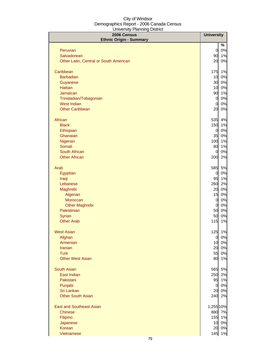| 2006 Census<br><b>Ethnic Origin - Summary</b> | <b>University</b>     |          |
|-----------------------------------------------|-----------------------|----------|
|                                               |                       | %        |
| Peruvian                                      | $\overline{0}$        | 0%       |
| Salvadorean                                   | 90                    | 1%       |
| Other Latin, Central or South American        | 20                    | 0%       |
| Caribbean                                     | 175                   | 1%       |
| <b>Barbadian</b>                              | 10                    | 0%       |
| Guyanese                                      | 30                    | $0\%$    |
| <b>Haitian</b>                                | 10                    | 0%       |
| Jamaican                                      | 90                    | 1%       |
| Trinidadian/Tobagonian                        | $\overline{0}$        | 0%       |
| <b>West Indian</b>                            | $\overline{0}$        | 0%       |
| <b>Other Caribbean</b>                        | 20                    | 0%       |
| African                                       | 535                   | 4%       |
| <b>Black</b>                                  | 150                   | 1%       |
| Ethiopian                                     | $\overline{0}$        | 0%       |
| Ghanaian                                      | 35                    | 0%       |
| Nigerian                                      | 100                   | 1%       |
| Somali<br>South African                       | 80                    | 1%       |
| <b>Other African</b>                          | $\overline{0}$<br>200 | 0%<br>2% |
|                                               |                       |          |
| Arab                                          | 585                   | 5%       |
| Egyptian                                      | $\overline{0}$        | 0%       |
| Iraqi                                         | 95                    | 1%       |
| Lebanese                                      | 260                   | 2%       |
| Maghrebi                                      | 20                    | 0%       |
| Algerian<br>Moroccan                          | 15<br>$\overline{0}$  | 0%<br>0% |
| <b>Other Maghrebi</b>                         | $\overline{0}$        | 0%       |
| Palestinian                                   | 50                    | 0%       |
| Syrian                                        | 50                    | 0%       |
| <b>Other Arab</b>                             | 115                   | 1%       |
|                                               |                       |          |
| <b>West Asian</b>                             |                       | 125 1%   |
| Afghan                                        | $\overline{0}$        | 0%       |
| Armenian                                      | 10 <sup>1</sup>       | 0%       |
| <b>Iranian</b><br><b>Turk</b>                 | 20                    | 0%       |
| <b>Other West Asian</b>                       | 55<br>80              | 0%<br>1% |
|                                               |                       |          |
| <b>South Asian</b>                            | 565                   | 5%       |
| East Indian                                   | 250                   | 2%       |
| Pakistani                                     | 95                    | 1%       |
| Punjabi                                       | $\overline{0}$        | 0%       |
| Sri Lankan                                    | 20                    | 0%       |
| <b>Other South Asian</b>                      | 240                   | 2%       |
| <b>East and Southeast Asian</b>               | 1,255 10%             |          |
| <b>Chinese</b>                                |                       | 880 7%   |
| Filipino                                      | 155                   | 1%       |
| Japanese                                      | 10                    | 0%       |
| <b>Korean</b>                                 | 20                    | 0%       |
| Vietnamese                                    | 145                   | 1%       |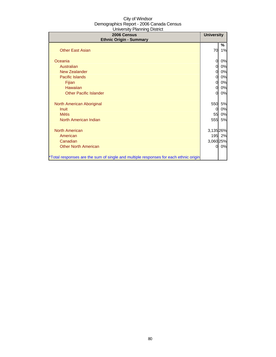| 2006 Census<br><b>Ethnic Origin - Summary</b>                                        | <b>University</b> |           |
|--------------------------------------------------------------------------------------|-------------------|-----------|
|                                                                                      |                   | ℅         |
| <b>Other East Asian</b>                                                              | 70                | 1%        |
| Oceania                                                                              | 0                 | 0%        |
| Australian                                                                           | 0                 | 0%        |
| <b>New Zealander</b>                                                                 | 0                 | 0%        |
| Pacific Islands                                                                      | 0                 | 0%        |
| Fijian                                                                               | 0                 | 0%        |
| Hawaiian                                                                             | 0                 | 0%        |
| <b>Other Pacific Islander</b>                                                        | 0                 | 0%        |
| North American Aboriginal                                                            | 550               | 5%        |
| <b>Inuit</b>                                                                         | 0                 | 0%        |
| <b>Métis</b>                                                                         | 55                | 0%        |
| North American Indian                                                                | 555               | <b>5%</b> |
| <b>North American</b>                                                                | 3,135 26%         |           |
| American                                                                             |                   | 195 2%    |
| Canadian                                                                             | 3,060 25%         |           |
| <b>Other North American</b>                                                          | 0                 | 0%        |
| *Total responses are the sum of single and multiple responses for each ethnic origin |                   |           |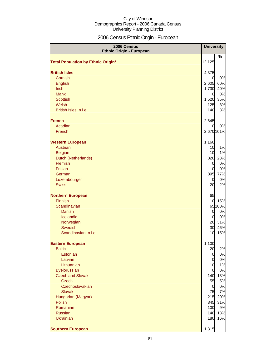# 2006 Census Ethnic Origin - European

| 2006 Census                               | <b>University</b>       |           |
|-------------------------------------------|-------------------------|-----------|
| <b>Ethnic Origin - European</b>           |                         | %         |
| <b>Total Population by Ethnic Origin*</b> | 12,125                  |           |
|                                           |                         |           |
| <b>British Isles</b>                      | 4,375                   |           |
| Cornish                                   | $\overline{0}$          | 0%        |
| <b>English</b>                            | 2,605                   | 60%       |
| <b>Irish</b><br><b>Manx</b>               | 1,730                   | 40%       |
| <b>Scottish</b>                           | $\overline{0}$<br>1,520 | 0%<br>35% |
| Welsh                                     | 125                     | 3%        |
| British Isles, n.i.e.                     | 140                     | 3%        |
|                                           |                         |           |
| <b>French</b>                             | 2,645                   |           |
| Acadian                                   | <sub>O</sub>            | 0%        |
| French                                    | 2,670 101%              |           |
| <b>Western European</b>                   | 1,160                   |           |
| <b>Austrian</b>                           | 10                      | 1%        |
| <b>Belgian</b>                            | 10                      | 1%        |
| Dutch (Netherlands)                       | 320                     | 28%       |
| <b>Flemish</b>                            | $\overline{0}$          | 0%        |
| Frisian                                   | $\overline{0}$          | 0%        |
| German                                    | 895                     | 77%       |
| Luxembourger                              | $\overline{0}$          | 0%        |
| <b>Swiss</b>                              | 20                      | 2%        |
| <b>Northern European</b>                  | 65                      |           |
| Finnish                                   | 10                      | 15%       |
| Scandinavian                              |                         | 65 100%   |
| Danish                                    | $\overline{0}$          | 0%        |
| Icelandic                                 | $\overline{0}$          | 0%        |
| Norwegian                                 |                         | 20 31%    |
| Swedish                                   | 30                      | 46%       |
| Scandinavian, n.i.e.                      | 10                      | 15%       |
| <b>Eastern European</b>                   | 1,100                   |           |
| <b>Baltic</b>                             | 20                      | 2%        |
| Estonian                                  | $\overline{0}$          | 0%        |
| Latvian                                   | $\overline{0}$          | 0%        |
| Lithuanian                                | 10                      | 1%        |
| <b>Byelorussian</b>                       | $\overline{0}$          | 0%        |
| <b>Czech and Slovak</b><br><b>Czech</b>   | 140                     | 13%       |
| Czechoslovakian                           | 55<br>$\overline{0}$    | 5%<br>0%  |
| <b>Slovak</b>                             | 75                      | 7%        |
| Hungarian (Magyar)                        |                         | 215 20%   |
| <b>Polish</b>                             | 345                     | 31%       |
| Romanian                                  | 100                     | 9%        |
| <b>Russian</b>                            | 140                     | 13%       |
| <b>Ukrainian</b>                          | 180                     | 16%       |
|                                           |                         |           |
| <b>Southern European</b>                  | 1,315                   |           |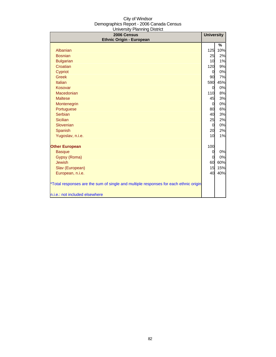| 2006 Census<br><b>Ethnic Origin - European</b>                                       | <b>University</b> |     |
|--------------------------------------------------------------------------------------|-------------------|-----|
|                                                                                      |                   | %   |
| Albanian                                                                             | 125               | 10% |
| <b>Bosnian</b>                                                                       | 25                | 2%  |
| <b>Bulgarian</b>                                                                     | 10                | 1%  |
| Croatian                                                                             | 120               | 9%  |
| Cypriot                                                                              | $\overline{0}$    | 0%  |
| <b>Greek</b>                                                                         | 90                | 7%  |
| Italian                                                                              | 590               | 45% |
| Kosovar                                                                              | <sub>0</sub>      | 0%  |
| Macedonian                                                                           | 110               | 8%  |
| <b>Maltese</b>                                                                       | 45                | 3%  |
| Montenegrin                                                                          | $\overline{0}$    | 0%  |
| Portuguese                                                                           | 80                | 6%  |
| Serbian                                                                              | 40                | 3%  |
| <b>Sicilian</b>                                                                      | 25                | 2%  |
| Slovenian                                                                            | $\overline{0}$    | 0%  |
| Spanish                                                                              | 20                | 2%  |
| Yugoslav, n.i.e.                                                                     | 10                | 1%  |
| <b>Other European</b>                                                                | 100               |     |
| <b>Basque</b>                                                                        | $\overline{O}$    | 0%  |
| Gypsy (Roma)                                                                         | 0                 | 0%  |
| <b>Jewish</b>                                                                        | 60                | 60% |
| Slav (European)                                                                      | 15                | 15% |
| European, n.i.e.                                                                     | 40                | 40% |
| *Total responses are the sum of single and multiple responses for each ethnic origin |                   |     |
| n.i.e.: not included elsewhere                                                       |                   |     |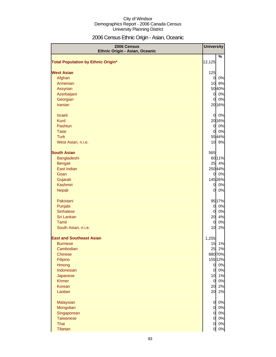# 2006 Census Ethnic Origin - Asian, Oceanic

| 2006 Census<br>Ethnic Origin - Asian, Oceanic |                | <b>University</b> |
|-----------------------------------------------|----------------|-------------------|
| <b>Total Population by Ethnic Origin*</b>     | 12,125         | ℅                 |
|                                               |                |                   |
| <b>West Asian</b>                             | 125            |                   |
| Afghan                                        | $\overline{O}$ | 0%                |
| Armenian                                      | 10             | 8%                |
| <b>Assyrian</b>                               |                | 5040%             |
| Azerbaijani                                   | $\overline{O}$ | 0%                |
| Georgian                                      | $\overline{0}$ | 0%                |
| Iranian                                       |                | 2016%             |
| <b>Israeli</b>                                | $\overline{0}$ | 0%                |
| <b>Kurd</b>                                   |                | 2016%             |
| Pashtun                                       | $\overline{0}$ | 0%                |
| <b>Tatar</b>                                  | $\overline{0}$ | 0%                |
| <b>Turk</b>                                   |                | 5544%             |
| West Asian, n.i.e.                            |                | 10 8%             |
| <b>South Asian</b>                            | 565            |                   |
| Bangladeshi                                   |                | 6011%             |
| <b>Bengali</b>                                | 25             | 4%                |
| East Indian                                   |                | 25044%            |
| Goan                                          | $\overline{0}$ | 0%                |
| Gujarati                                      |                | 145 26%           |
| Kashmiri                                      | $\overline{0}$ | 0%                |
| Nepali                                        | $\overline{0}$ | 0%                |
| Pakistani                                     |                | 9517%             |
| Punjabi                                       | $\overline{0}$ | 0%                |
| <b>Sinhalese</b>                              | <sub>0</sub>   | 0%                |
| Sri Lankan                                    | 20             | 4%                |
| Tamil                                         | $\overline{0}$ | 0%                |
| South Asian, n.i.e.                           | 10             | 2%                |
| <b>East and Southeast Asian</b>               | 1,255          |                   |
| <b>Burmese</b>                                | 15             | 1%                |
| Cambodian                                     | 25             | 2%                |
| <b>Chinese</b>                                |                | 88070%            |
| Filipino                                      |                | 155 12%           |
| Hmong                                         | $\overline{0}$ | 0%                |
| Indonesian                                    | $\overline{0}$ | 0%                |
| Japanese                                      | 10             | 1%                |
| <b>Khmer</b>                                  | $\mathsf{d}$   | 0%                |
| Korean<br>Laotian                             | 20<br>20       | 2%<br>2%          |
| Malaysian                                     | $\overline{0}$ | 0%                |
| Mongolian                                     | $\mathsf{d}$   | 0%                |
| Singaporean                                   | $\mathsf{d}$   | 0%                |
| <b>Taiwanese</b>                              | $\mathbf 0$    | 0%                |
| Thai                                          | $\overline{0}$ | 0%                |
| Tibetan                                       | $\mathsf{d}$   | $0\%$             |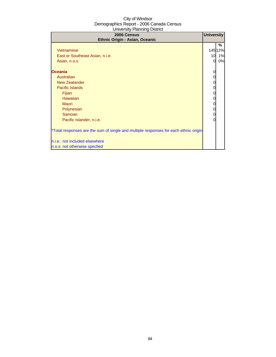| 2006 Census<br>Ethnic Origin - Asian, Oceanic                                        | <b>University</b> |             |
|--------------------------------------------------------------------------------------|-------------------|-------------|
| Vietnamese                                                                           |                   | ℅<br>14512% |
| East or Southeast Asian, n.i.e.                                                      | 10                | 1%          |
| Asian, n.o.s.                                                                        | $\Omega$          | 0%          |
| <b>Oceania</b>                                                                       |                   |             |
| Australian                                                                           |                   |             |
| New Zealander                                                                        |                   |             |
| Pacific Islands                                                                      |                   |             |
| <b>Fijian</b>                                                                        | 0                 |             |
| Hawaiian                                                                             |                   |             |
| Maori                                                                                |                   |             |
| Polynesian                                                                           |                   |             |
| Samoan                                                                               | 0                 |             |
| Pacific Islander, n.i.e.                                                             |                   |             |
| *Total responses are the sum of single and multiple responses for each ethnic origin |                   |             |
| n.i.e.: not included elsewhere                                                       |                   |             |
| n.o.s: not otherwise specfied                                                        |                   |             |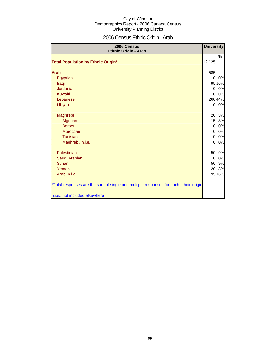# 2006 Census Ethnic Origin - Arab

| 2006 Census<br><b>Ethnic Origin - Arab</b>                                           | <b>University</b> |         |
|--------------------------------------------------------------------------------------|-------------------|---------|
|                                                                                      |                   | $\%$    |
| <b>Total Population by Ethnic Origin*</b>                                            | 12,125            |         |
| <b>Arab</b>                                                                          | 585               |         |
| Egyptian                                                                             | $\Omega$          | 0%      |
| Iraqi                                                                                |                   | 95 16%  |
| Jordanian                                                                            | $\Omega$          | 0%      |
| <b>Kuwaiti</b>                                                                       | $\mathbf{0}$      | 0%      |
| Lebanese                                                                             |                   | 260 44% |
| Libyan                                                                               | <sub>0</sub>      | 0%      |
| Maghrebi                                                                             | 20                | 3%      |
| Algerian                                                                             | 15                | 3%      |
| <b>Berber</b>                                                                        | $\overline{0}$    | 0%      |
| Moroccan                                                                             | $\overline{0}$    | 0%      |
| Tunisian                                                                             | $\Omega$          | $0\%$   |
| Maghrebi, n.i.e.                                                                     | $\Omega$          | 0%      |
| Palestinian                                                                          | 50                | 9%      |
| Saudi Arabian                                                                        | $\overline{0}$    | 0%      |
| Syrian                                                                               | 50                | 9%      |
| Yemeni                                                                               | 20                | 3%      |
| Arab, n.i.e.                                                                         |                   | 95 16%  |
| *Total responses are the sum of single and multiple responses for each ethnic origin |                   |         |
| n.i.e.: not included elsewhere                                                       |                   |         |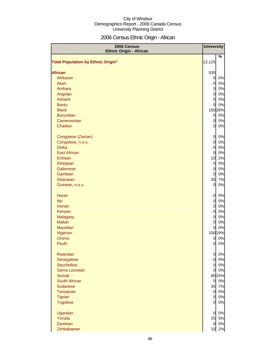# 2006 Census Ethnic Origin - African

| 2006 Census<br><b>Ethnic Origin - African</b> | <b>University</b>                |          |
|-----------------------------------------------|----------------------------------|----------|
| <b>Total Population by Ethnic Origin*</b>     | 12,125                           | %        |
|                                               |                                  |          |
| <b>African</b>                                | 535                              |          |
| Afrikaner                                     | $\mathbf{0}$                     | 0%       |
| Akan                                          | $\overline{0}$                   | 0%       |
| Amhara                                        | $\overline{0}$                   | 0%       |
| Angolan                                       | $\overline{0}$                   | 0%       |
| Ashanti                                       | $\overline{0}$                   | 0%       |
| <b>Bantu</b>                                  | $\overline{0}$                   | 0%       |
| <b>Black</b>                                  |                                  | 150 28%  |
| <b>Burundian</b>                              | $\mathbf{0}$                     | 0%       |
| Cameroonian                                   | $\overline{0}$                   | 0%       |
| Chadian                                       | $\overline{0}$                   | 0%       |
| Congolese (Zairian)                           | $\overline{0}$                   | 0%       |
| Congolese, n.o.s.                             | $\overline{0}$                   | 0%       |
| <b>Dinka</b>                                  | $\overline{0}$                   | 0%       |
| <b>East African</b>                           | $\overline{0}$                   | 0%       |
| Eritrean                                      | 10                               | 2%       |
| Ethiopian                                     | $\overline{0}$                   | 0%       |
| Gabonese                                      | $\overline{0}$                   | 0%       |
| Gambian                                       | 0                                | 0%       |
| Ghanaian                                      | 35                               | 7%       |
| Guinean, n.o.s.                               | $\overline{0}$                   | 0%       |
| Harari                                        | 0                                | 0%       |
| lbo                                           | $\overline{0}$                   | 0%       |
| <b>Ivorian</b>                                | $\overline{0}$                   | 0%       |
| Kenyan                                        | $\overline{0}$                   | 0%       |
| <b>Malagasy</b>                               | $\overline{0}$                   | 0%       |
| <b>Malian</b>                                 | $\overline{0}$                   | 0%       |
| <b>Mauritian</b>                              | 0                                | 0%       |
| Nigerian                                      |                                  | 100 19%  |
| Oromo<br>Peulh                                | $\overline{0}$<br>0l             | 0%<br>0% |
|                                               |                                  |          |
| Rwandan<br>Senegalese                         | $\overline{0}$<br>$\overline{0}$ | 0%       |
|                                               | $\overline{0}$                   | 0%<br>0% |
| Seychellois<br>Sierra Leonean                 | $\overline{0}$                   | 0%       |
| Somali                                        |                                  | 80 15%   |
| South African                                 | $\overline{0}$                   | 0%       |
| Sudanese                                      | 35                               | 7%       |
| Tanzanian                                     | $\overline{0}$                   | 0%       |
| <b>Tigrian</b>                                | $\overline{0}$                   | 0%       |
| <b>Togolese</b>                               | $\overline{0}$                   | 0%       |
| Ugandan                                       | $\overline{0}$                   | 0%       |
| Yoruba                                        | 25                               | 5%       |
| Zambian                                       | $\overline{0}$                   | 0%       |
| Zimbabwean                                    | 10                               | 2%       |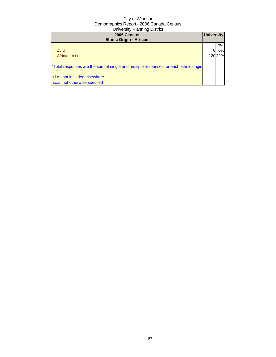| 2006 Census<br><b>Ethnic Origin - African</b>                                        | <b>University</b> |                    |
|--------------------------------------------------------------------------------------|-------------------|--------------------|
| Zulu<br>African, n.i.e.                                                              |                   | %<br>0%l<br>12022% |
| *Total responses are the sum of single and multiple responses for each ethnic origin |                   |                    |
| n.i.e.: not included elsewhere<br>n.o.s: not otherwise specfied                      |                   |                    |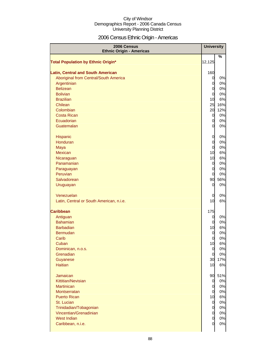# 2006 Census Ethnic Origin - Americas

| 2006 Census<br><b>Ethnic Origin - Americas</b> | <b>University</b>                |           |
|------------------------------------------------|----------------------------------|-----------|
| <b>Total Population by Ethnic Origin*</b>      | 12,125                           | %         |
|                                                |                                  |           |
| <b>Latin, Central and South American</b>       | 160                              |           |
| Aboriginal from Central/South America          | $\overline{0}$                   | 0%        |
| Argentinian                                    | $\overline{0}$                   | 0%        |
| <b>Belizean</b>                                | $\overline{0}$                   | 0%        |
| <b>Bolivian</b>                                | $\overline{0}$                   | 0%        |
| <b>Brazilian</b>                               | 10                               | 6%        |
| Chilean                                        | 25                               | 16%       |
| Colombian                                      | 20                               | 12%       |
| <b>Costa Rican</b>                             | $\overline{0}$                   | 0%        |
| Ecuadorian                                     | $\overline{0}$                   | 0%        |
| Guatemalan                                     | $\overline{0}$                   | 0%        |
| Hispanic                                       | $\overline{0}$                   | 0%        |
| Honduran                                       | $\overline{0}$                   | 0%        |
| Maya                                           | $\overline{0}$                   | 0%        |
| <b>Mexican</b>                                 | 10                               | 6%        |
| Nicaraguan                                     | 10                               | 6%        |
| Panamanian                                     | $\overline{0}$                   | 0%        |
| Paraguayan                                     | $\overline{0}$                   | 0%        |
| Peruvian                                       | $\overline{O}$                   | 0%        |
| Salvadorean                                    | 90                               | 56%       |
| Uruguayan                                      | 0                                | 0%        |
| Venezuelan                                     | 0                                | 0%        |
| Latin, Central or South American, n.i.e.       | 10                               | 6%        |
|                                                |                                  |           |
| <b>Caribbean</b>                               | 175                              |           |
| Antiguan                                       | $\overline{0}$                   | 0%        |
| <b>Bahamian</b>                                | $\overline{0}$                   | 0%        |
| <b>Barbadian</b>                               | 10                               | 6%        |
| <b>Bermudan</b>                                | $\overline{0}$                   | 0%        |
| Carib                                          | 0                                | 0%        |
| Cuban                                          | 10                               | 6%        |
| Dominican, n.o.s.<br>Grenadian                 | $\overline{0}$<br>$\overline{0}$ | 0%<br>0%  |
| Guyanese                                       | 30                               |           |
| <b>Haitian</b>                                 | 10                               | 17%<br>6% |
|                                                |                                  |           |
| <b>Jamaican</b>                                | 90                               | 51%       |
| Kittitian/Nevisian                             | $\overline{O}$                   | 0%        |
| <b>Martinican</b>                              | $\overline{0}$                   | 0%        |
| Montserratan                                   | $\overline{0}$                   | 0%        |
| <b>Puerto Rican</b>                            | 10                               | 6%        |
| St. Lucian                                     | $\overline{0}$                   | 0%        |
| Trinidadian/Tobagonian                         | $\overline{0}$                   | 0%        |
| Vincentian/Grenadinian                         | $\overline{0}$                   | 0%        |
| <b>West Indian</b>                             | $\mathbf 0$                      | 0%        |
| Caribbean, n.i.e.                              | $\overline{0}$                   | 0%        |
|                                                |                                  |           |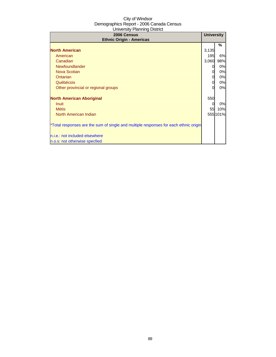| 2006 Census<br><b>Ethnic Origin - Americas</b>                                       | <b>University</b> |         |
|--------------------------------------------------------------------------------------|-------------------|---------|
|                                                                                      |                   | ℅       |
| <b>North American</b>                                                                | 3,135             |         |
| American                                                                             | 195               | 6%      |
| Canadian                                                                             | 3,060             | 98%     |
| Newfoundlander                                                                       | 0                 | 0%      |
| Nova Scotian                                                                         | 0                 | 0%      |
| Ontarian                                                                             | 0                 | 0%      |
| Québécois                                                                            | 0                 | 0%      |
| Other provincial or regional groups                                                  | O                 | 0%      |
| <b>North American Aboriginal</b>                                                     | 550               |         |
| <b>Inuit</b>                                                                         |                   | 0%      |
| <b>Métis</b>                                                                         | 55                | 10%     |
| North American Indian                                                                |                   | 555101% |
| *Total responses are the sum of single and multiple responses for each ethnic origin |                   |         |
| n.i.e.: not included elsewhere                                                       |                   |         |
| n.o.s: not otherwise specfied                                                        |                   |         |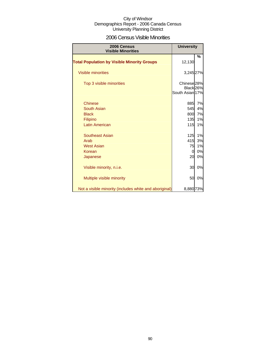### 2006 Census Visible Minorities

| 2006 Census<br><b>Visible Minorities</b>               | <b>University</b>                                                 |    |
|--------------------------------------------------------|-------------------------------------------------------------------|----|
| <b>Total Population by Visible Minority Groups</b>     | 12,130                                                            | %  |
| <b>Visible minorities</b>                              | 3,245 27%                                                         |    |
| Top 3 visible minorities                               | Chinese <sub>28%</sub><br>Black <sub>26%</sub><br>South Asian 17% |    |
| <b>Chinese</b>                                         | 885                                                               | 7% |
| South Asian                                            | 545                                                               | 4% |
| <b>Black</b>                                           | 800                                                               | 7% |
| Filipino                                               | 135                                                               | 1% |
| <b>Latin American</b>                                  | 115                                                               | 1% |
| <b>Southeast Asian</b>                                 | 125                                                               | 1% |
| Arab                                                   | 415                                                               | 3% |
| <b>West Asian</b>                                      | 75                                                                | 1% |
| Korean                                                 | 0                                                                 | 0% |
| Japanese                                               | 20                                                                | 0% |
| Visible minority, n.i.e.                               | 30                                                                | 0% |
| Multiple visible minority                              | 50                                                                | 0% |
| Not a visible minority (includes white and aboriginal) | 8,880 73%                                                         |    |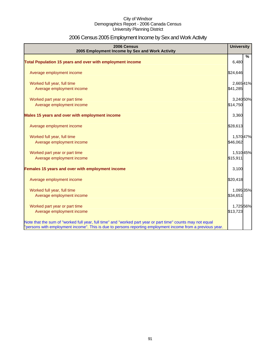# 2006 Census 2005 Employment Income by Sex and Work Activity

| 2006 Census<br>2005 Employment Income by Sex and Work Activity                                              | <b>University</b> |   |
|-------------------------------------------------------------------------------------------------------------|-------------------|---|
| Total Population 15 years and over with employment income                                                   | 6,480             | % |
|                                                                                                             |                   |   |
| Average employment income                                                                                   | \$24,646          |   |
| Worked full year, full time                                                                                 | 2,66541%          |   |
| Average employment income                                                                                   | \$41,285          |   |
| Worked part year or part time                                                                               | 3,240 50%         |   |
| Average employment income                                                                                   | \$14,750          |   |
| Males 15 years and over with employment income                                                              | 3,360             |   |
| Average employment income                                                                                   | \$28,613          |   |
| Worked full year, full time                                                                                 | 1,570 47%         |   |
| Average employment income                                                                                   | \$46,062          |   |
| Worked part year or part time                                                                               | 1,51045%          |   |
| Average employment income                                                                                   | \$15,911          |   |
| Females 15 years and over with employment income                                                            | 3,100             |   |
| Average employment income                                                                                   | \$20,418          |   |
| Worked full year, full time                                                                                 | 1,095 35%         |   |
| Average employment income                                                                                   | \$34,651          |   |
| Worked part year or part time                                                                               | 1,725 56%         |   |
| Average employment income                                                                                   | \$13,723          |   |
| Note that the sum of "worked full year, full time" and "worked part year or part time" counts may not equal |                   |   |
| "persons with employment income". This is due to persons reporting employment income from a previous year.  |                   |   |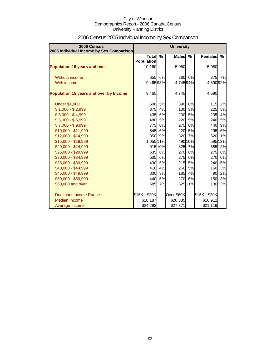| 2006 Census<br>2005 Individual Income by Sex Comparison |                              |         | <b>University</b> |               |                |         |
|---------------------------------------------------------|------------------------------|---------|-------------------|---------------|----------------|---------|
|                                                         | Total %<br><b>Population</b> |         | <b>Males</b>      | $\frac{9}{6}$ | <b>Females</b> | $\%$    |
| <b>Population 15 years and over</b>                     | 10,160                       |         | 5,060             |               | 5,080          |         |
| Without income                                          |                              | 655 6%  | 280               | 6%            | 375            | 7%      |
| With income                                             | 9,46593%                     |         | 4,74594%          |               | 4,690 92%      |         |
| Population 15 years and over by Income                  | 9,465                        |         | 4,745             |               | 4,690          |         |
| <b>Under \$1,000</b>                                    | 500                          | 5%      | 390               | 8%            | 115            | 2%      |
| $$1,000 - $2,999$                                       | 375                          | 4%      | 130               | 3%            | 225            | 5%      |
| $$3,000 - $4,999$                                       | 435                          | 5%      | 230               | 5%            | 205            | 4%      |
| $$5,000 - $6,999$                                       | 480                          | 5%      | 220               | 5%            | 240            | 5%      |
| $$7,000 - $9,999$                                       | <b>775</b>                   | 8%      | 275               | 6%            | 440            | 9%      |
| \$10,000 - \$11,999                                     | 545                          | 6%      | 220               | 5%            | 295            | 6%      |
| \$12,000 - \$14,999                                     | 850                          | 9%      | 320               | 7%            |                | 52011%  |
| \$15,000 - \$19,999                                     | 1,055 11%                    |         |                   | 490 10%       |                | 595 13% |
| \$20,000 - \$24,999                                     |                              | 915 10% |                   | 325 7%        |                | 585 12% |
| \$25,000 - \$29,999                                     |                              | 535 6%  | 270               | 6%            | 275            | 6%      |
| \$30,000 - \$34,999                                     | 535                          | 6%      | <b>275</b>        | 6%            | 270            | 6%      |
| \$35,000 - \$39,999                                     | 430                          | 5%      | 215               | 5%            | 240            | 5%      |
| \$40,000 - \$44,999                                     | 410                          | 4%      | 260               | 5%            | 160            | 3%      |
| \$45,000 - \$49,999                                     | 300                          | 3%      | 185               | 4%            | 90             | 2%      |
| \$50,000 - \$59,999                                     | 440                          | 5%      | <b>270</b>        | 6%            | 150            | 3%      |
| \$60,000 and over                                       | 685                          | 7%      |                   | 525 11%       | 130            | 3%      |
| Dominant Income Range                                   | \$15K - \$20K                |         | Over \$60K        |               | \$15K - \$20K  |         |
| Median Income                                           | \$18,187                     |         | \$20,385          |               | \$16,912       |         |
| Average Income                                          | \$24,282                     |         | \$27,371          |               | \$21,119       |         |

# 2006 Census 2005 Individual Income by Sex Comparison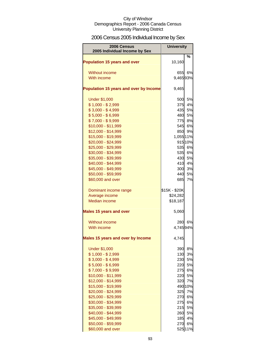# 2006 Census 2005 Individual Income by Sex

| 2006 Census<br>2005 Individual Income by Sex | <b>University</b> |               |
|----------------------------------------------|-------------------|---------------|
| <b>Population 15 years and over</b>          | 10,160            | %             |
| Without income                               | 655               | 6%            |
| With income                                  | 9,46593%          |               |
| Population 15 years and over by Income       | 9,465             |               |
| <b>Under \$1,000</b>                         | 500               | 5%            |
| $$1,000 - $2,999$                            | 375               | 4%            |
| $$3,000 - $4,999$                            | 435               | 5%            |
| $$5,000 - $6,999$                            | 480               | 5%            |
| $$7,000 - $9,999$                            | 775               | 8%            |
| \$10,000 - \$11,999                          | 545               | 6%            |
| \$12,000 - \$14,999                          |                   | 850 9%        |
| \$15,000 - \$19,999                          | 1,055 11%         |               |
| \$20,000 - \$24,999                          |                   | 915 10%       |
| \$25,000 - \$29,999                          | 535               | 6%            |
| \$30,000 - \$34,999                          | 535               | 6%            |
| \$35,000 - \$39,999                          | 430               | 5%            |
| \$40,000 - \$44,999                          | 410               | 4%            |
| \$45,000 - \$49,999                          | 300               | 3%            |
| \$50,000 - \$59,999                          | 440               | 5%            |
| \$60,000 and over                            | 685               | 7%            |
| Dominant income range                        | \$15K - \$20K     |               |
| Average income                               | \$24,282          |               |
| <b>Median income</b>                         | \$18,187          |               |
| <b>Males 15 years and over</b>               | 5,060             |               |
| Without income                               | 280               | 6%            |
| With income                                  | 4,745 94%         |               |
| <b>Males 15 years and over by Income</b>     | 4,745             |               |
| <b>Under \$1,000</b>                         | 390               | 8%            |
| $$1,000 - $2,999$                            | 130               | 3%            |
| $$3,000 - $4,999$                            | 230               | 5%            |
| $$5,000 - $6,999$                            | 220               | 5%            |
| $$7,000 - $9,999$                            | 275               | 6%            |
| \$10,000 - \$11,999                          | 220               | 5%            |
| \$12,000 - \$14,999                          | 320               | 7%            |
| \$15,000 - \$19,999                          |                   | 490 10%       |
| \$20,000 - \$24,999                          | 325               | 7%            |
| \$25,000 - \$29,999                          | 270               | 6%            |
| \$30,000 - \$34,999                          | 275               | 6%            |
| \$35,000 - \$39,999                          | 215               | 5%            |
| \$40,000 - \$44,999                          | 260               | 5%            |
| \$45,000 - \$49,999                          | 185               | 4%            |
| \$50,000 - \$59,999                          | <b>270</b>        | 6%<br>525 11% |
| \$60,000 and over                            |                   |               |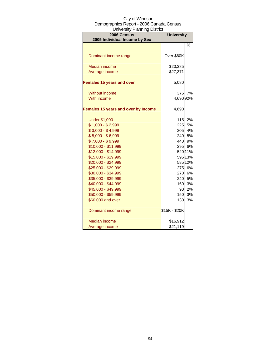| University Licining District<br>2006 Census | <b>University</b> |                    |  |
|---------------------------------------------|-------------------|--------------------|--|
| 2005 Individual Income by Sex               |                   |                    |  |
|                                             |                   | %                  |  |
|                                             |                   |                    |  |
| Dominant income range                       | Over \$60K        |                    |  |
|                                             |                   |                    |  |
| <b>Median income</b>                        | \$20,385          |                    |  |
| Average income                              | \$27,371          |                    |  |
| <b>Females 15 years and over</b>            | 5,080             |                    |  |
|                                             |                   |                    |  |
| <b>Without income</b>                       | 375               | 7%                 |  |
| With income                                 | 4,690 92%         |                    |  |
|                                             |                   |                    |  |
| <b>Females 15 years and over by Income</b>  | 4,690             |                    |  |
|                                             |                   |                    |  |
| <b>Under \$1,000</b>                        | 115               | 2%                 |  |
| $$1,000 - $2,999$                           | 225               | 5%                 |  |
| $$3,000 - $4,999$                           | 205               | 4%                 |  |
| $$5,000 - $6,999$                           |                   | 240 5%             |  |
| $$7,000 - $9,999$                           |                   | 440 9%             |  |
| \$10,000 - \$11,999                         | 295               | 6%                 |  |
| \$12,000 - \$14,999                         |                   | 520 11%            |  |
| \$15,000 - \$19,999<br>\$20,000 - \$24,999  |                   | 595 13%<br>585 12% |  |
| \$25,000 - \$29,999                         |                   | 275 6%             |  |
| \$30,000 - \$34,999                         | <b>270</b>        | 6%                 |  |
| \$35,000 - \$39,999                         | 240               | 5%                 |  |
| \$40,000 - \$44,999                         | 160               | 3%                 |  |
| \$45,000 - \$49,999                         | 90                | 2%                 |  |
| \$50,000 - \$59,999                         | 150               | 3%                 |  |
| \$60,000 and over                           | 130               | 3%                 |  |
|                                             |                   |                    |  |
| Dominant income range                       | \$15K - \$20K     |                    |  |
|                                             |                   |                    |  |
| Median income                               | \$16,912          |                    |  |
| Average income                              | \$21,119          |                    |  |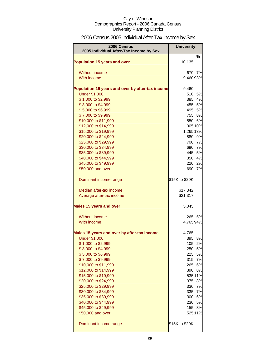# 2006 Census 2005 Individual After-Tax Income by Sex

| 2006 Census                                      | <b>University</b> |              |
|--------------------------------------------------|-------------------|--------------|
| 2005 Individual After-Tax Income by Sex          |                   |              |
| <b>Population 15 years and over</b>              | 10,135            | %            |
| Without income                                   | 670               | 7%           |
| With income                                      | 9,46093%          |              |
| Population 15 years and over by after-tax income | 9,460             |              |
| <b>Under \$1,000</b>                             | 510               | 5%           |
| \$1,000 to \$2,999                               | 385               | 4%           |
| \$3,000 to \$4,999                               |                   | 455 5%       |
| \$5,000 to \$6,999                               |                   | 495 5%       |
| \$7,000 to \$9,999                               | 755               | 8%           |
| \$10,000 to \$11,999                             |                   | 550 6%       |
| \$12,000 to \$14,999                             |                   | 905 10%      |
| \$15,000 to \$19,999                             | 1,265 13%         |              |
| \$20,000 to \$24,999                             | 880               | 9%           |
| \$25,000 to \$29,999                             | 700               | 7%           |
| \$30,000 to \$34,999                             |                   | 690 7%       |
| \$35,000 to \$39,999                             |                   | 445 5%       |
| \$40,000 to \$44,999                             | 350               | 4%           |
| \$45,000 to \$49,999                             | 220               | 2%           |
| \$50,000 and over                                | 690               | 7%           |
| Dominant income range                            | \$15K to \$20K    |              |
| Median after-tax income                          | \$17,342          |              |
| Average after-tax income                         | \$21,317          |              |
| <b>Males 15 years and over</b>                   | 5,045             |              |
| Without income                                   | 265               | 5%           |
| With income                                      | 4,76594%          |              |
| Males 15 years and over by after-tax income      | 4,765             |              |
| <b>Under \$1,000</b>                             | 395               | 8%           |
| \$1,000 to \$2,999                               | 105               | 2%           |
| \$3,000 to \$4,999                               |                   | 250 5%       |
| \$5,000 to \$6,999                               |                   | 225 5%       |
| \$7,000 to \$9,999                               |                   | 315 7%       |
| \$10,000 to \$11,999                             |                   | 265 6%       |
| \$12,000 to \$14,999                             |                   | 390 8%       |
| \$15,000 to \$19,999                             |                   | 535 11%      |
| \$20,000 to \$24,999                             | 375               | 8%           |
| \$25,000 to \$29,999                             |                   | 330 7%       |
| \$30,000 to \$34,999<br>\$35,000 to \$39,999     | 335               | 7%<br>300 6% |
| \$40,000 to \$44,999                             | 230               | 5%           |
| \$45,000 to \$49,999                             | 155               | 3%           |
| \$50,000 and over                                |                   | 525 11%      |
| Dominant income range                            | \$15K to \$20K    |              |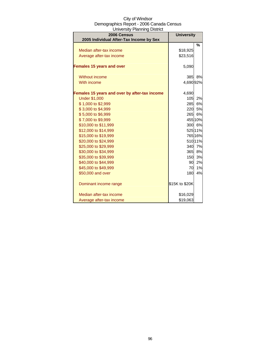| City of Windsor                          |
|------------------------------------------|
| Demographics Report - 2006 Canada Census |
| University Planning District             |

| 2006 Census                                   | <b>University</b> |         |
|-----------------------------------------------|-------------------|---------|
| 2005 Individual After-Tax Income by Sex       |                   |         |
|                                               |                   | %       |
| Median after-tax income                       | \$18,925          |         |
| Average after-tax income                      | \$23,516          |         |
| <b>Females 15 years and over</b>              | 5,090             |         |
| Without income                                | 385               | 8%      |
| With income                                   | 4,690 92%         |         |
| Females 15 years and over by after-tax income | 4,690             |         |
| <b>Under \$1,000</b>                          | 105               | 2%      |
| \$1,000 to \$2,999                            |                   | 285 6%  |
| \$3,000 to \$4,999                            |                   | 220 5%  |
| \$5,000 to \$6,999                            |                   | 265 6%  |
| \$7,000 to \$9,999                            |                   | 455 10% |
| \$10,000 to \$11,999                          |                   | 300 6%  |
| \$12,000 to \$14,999                          |                   | 525 11% |
| \$15,000 to \$19,999                          |                   | 765 16% |
| \$20,000 to \$24,999                          |                   | 51011%  |
| \$25,000 to \$29,999                          |                   | 340 7%  |
| \$30,000 to \$34,999                          |                   | 365 8%  |
| \$35,000 to \$39,999                          | 150               | 3%      |
| \$40,000 to \$44,999                          |                   | 90 2%   |
| \$45,000 to \$49,999                          | 70                | 1%      |
| \$50,000 and over                             | 180               | 4%      |
| Dominant income range                         | \$15K to \$20K    |         |
| Median after-tax income                       | \$16,029          |         |
| Average after-tax income                      | \$19,063          |         |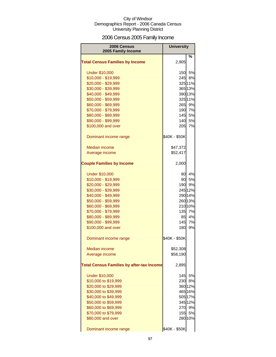# 2006 Census 2005 Family Income

| 2006 Census<br>2005 Family Income                | <b>University</b> |         |
|--------------------------------------------------|-------------------|---------|
| <b>Total Census Families by Income</b>           | 2,905             | %       |
|                                                  |                   |         |
| <b>Under \$10,000</b>                            | 150               | 5%      |
| \$10,000 - \$19,999                              | 245               | 8%      |
| \$20,000 - \$29,999                              |                   | 325 11% |
| \$30,000 - \$39,999                              |                   | 365 13% |
| \$40,000 - \$49,999                              |                   | 390 13% |
| \$50,000 - \$59,999                              |                   | 325 11% |
| \$60,000 - \$69,999                              | 265               | 9%      |
| \$70,000 - \$79,999                              | 190               | 7%      |
| \$80,000 - \$89,999                              | 145               | 5%      |
| \$90,000 - \$99,999                              | 140               | 5%      |
| \$100,000 and over                               | 205               | 7%      |
| Dominant income range                            | \$40K - \$50K     |         |
| Median income                                    | \$47,372          |         |
| Average income                                   | \$52,417          |         |
| <b>Couple Families by Income</b>                 | 2,000             |         |
| <b>Under \$10,000</b>                            | 80                | 4%      |
| \$10,000 - \$19,999                              | 90                | 5%      |
| \$20,000 - \$29,999                              | 190               | 9%      |
| \$30,000 - \$39,999                              |                   | 245 12% |
| \$40,000 - \$49,999                              |                   | 290 14% |
| \$50,000 - \$59,999                              |                   | 26013%  |
| \$60,000 - \$69,999                              |                   | 21010%  |
| \$70,000 - \$79,999                              | 135               | 7%      |
| \$80,000 - \$89,999                              | 85                | 4%      |
| \$90,000 - \$99,999                              | 145               | 7%      |
| \$100,000 and over                               | 180               | 9%      |
| Dominant income range                            | \$40K - \$50K     |         |
| Median income                                    | \$52,308          |         |
| Average income                                   | \$58,190          |         |
| <b>Total Census Families by after-tax Income</b> | 2,895             |         |
| <b>Under \$10,000</b>                            | 145               | 5%      |
| \$10,000 to \$19,999                             | 230               | 8%      |
| \$20,000 to \$29,999                             |                   | 36012%  |
| \$30,000 to \$39,999                             |                   | 465 16% |
| \$40,000 to \$49,999                             |                   | 505 17% |
| \$50,000 to \$59,999                             |                   | 345 12% |
| \$60,000 to \$69,999                             | 270               | 9%      |
| \$70,000 to \$79,999                             | 155               | 5%      |
| \$80,000 and over                                |                   | 28010%  |
| Dominant income range                            | \$40K - \$50K     |         |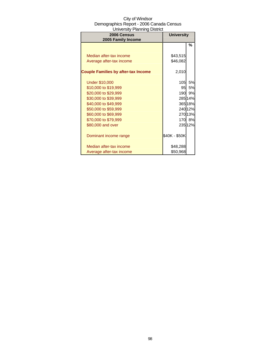| 2006 Census<br>2005 Family Income          | <b>University</b> |         |
|--------------------------------------------|-------------------|---------|
|                                            |                   | %       |
|                                            |                   |         |
| Median after-tax income                    | \$43,515          |         |
| Average after-tax income                   | \$46,082          |         |
|                                            |                   |         |
| <b>Couple Families by after-tax Income</b> | 2,010             |         |
|                                            |                   |         |
| <b>Under \$10,000</b>                      | 105               | 5%      |
| \$10,000 to \$19,999                       | 95                | 5%      |
| \$20,000 to \$29,999                       | 190               | 9%      |
| \$30,000 to \$39,999                       |                   | 285 14% |
| \$40,000 to \$49,999                       |                   | 365 18% |
| \$50,000 to \$59,999                       |                   | 240 12% |
| \$60,000 to \$69,999                       |                   | 27013%  |
| \$70,000 to \$79,999                       |                   | 170 8%  |
| \$80,000 and over                          |                   | 23512%  |
|                                            |                   |         |
| Dominant income range                      | \$40K - \$50K     |         |
|                                            |                   |         |
| Median after-tax income                    | \$48,288          |         |
| Average after-tax income                   | \$50,968          |         |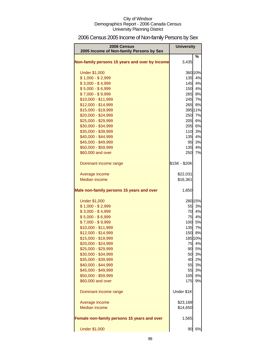# 2006 Census 2005 Income of Non-family Persons by Sex

| 2006 Census<br>2005 Income of Non-family Persons by Sex | <b>University</b> |         |
|---------------------------------------------------------|-------------------|---------|
| Non-family persons 15 years and over by Income          | 3,435             | %       |
| <b>Under \$1,000</b>                                    |                   | 360 10% |
| $$1,000 - $2,999$                                       |                   | 135 4%  |
| $$3,000 - $4,999$                                       |                   | 145 4%  |
| $$5,000 - $6,999$                                       |                   | 150 4%  |
| $$7,000 - $9,999$                                       |                   | 265 8%  |
| \$10,000 - \$11,999                                     |                   | 245 7%  |
| \$12,000 - \$14,999                                     |                   | 265 8%  |
| \$15,000 - \$19,999                                     |                   | 395 11% |
| \$20,000 - \$24,999                                     | 250               | 7%      |
| \$25,000 - \$29,999                                     | 205               | 6%      |
| \$30,000 - \$34,999                                     | 205               | 6%      |
| \$35,000 - \$39,999                                     | 110               | 3%      |
| \$40,000 - \$44,999                                     | 135               | 4%      |
| \$45,000 - \$49,999                                     | 95                | 3%      |
| \$50,000 - \$59,999                                     | 135               | 4%      |
| \$60,000 and over                                       | 250               | 7%      |
| Dominant income range                                   | \$15K - \$20K     |         |
| Average income                                          | \$22,031          |         |
| <b>Median income</b>                                    | \$16,361          |         |
| Male non-family persons 15 years and over               | 1,850             |         |
| <b>Under \$1,000</b>                                    |                   | 280 15% |
| $$1,000 - $2,999$                                       | 55                | 3%      |
| $$3,000 - $4,999$                                       |                   | 70 4%   |
| $$5,000 - $6,999$                                       |                   | 75 4%   |
| $$7,000 - $9,999$                                       |                   | 100 5%  |
| $$10,000 - $11,999$                                     |                   | 135 7%  |
| \$12,000 - \$14,999                                     |                   | 150 8%  |
| \$15,000 - \$19,999                                     |                   | 185 10% |
| \$20,000 - \$24,999                                     |                   | 75 4%   |
| \$25,000 - \$29,999                                     | 90                | 5%      |
| \$30,000 - \$34,999                                     | 50                | 3%      |
| \$35,000 - \$39,999                                     | 40                | 2%      |
| \$40,000 - \$44,999                                     | 55                | 3%      |
| \$45,000 - \$49,999                                     | 55                | 3%      |
| \$50,000 - \$59,999                                     | 105               | 6%      |
| \$60,000 and over                                       | 175               | 9%      |
| Dominant income range                                   | Under \$1K        |         |
| Average income                                          | \$23,189          |         |
| <b>Median income</b>                                    | \$14,650          |         |
| Female non-family persons 15 years and over             | 1,565             |         |
| <b>Under \$1,000</b>                                    | 90                | $6%$    |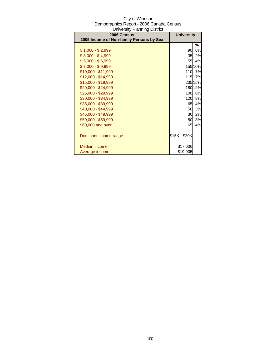| 2006 Census                              | <b>University</b> |         |
|------------------------------------------|-------------------|---------|
| 2005 Income of Non-family Persons by Sex |                   |         |
|                                          |                   | ℅       |
| \$1,000 - \$2,999                        | 90                | 6%      |
| $$3,000 - $4,999$                        | 35                | 2%      |
| $$5,000 - $6,999$                        | 55                | 4%      |
| $$7,000 - $9,999$                        |                   | 155 10% |
| \$10,000 - \$11,999                      | 110               | 7%      |
| \$12,000 - \$14,999                      | <b>115</b>        | 7%      |
| \$15,000 - \$19,999                      |                   | 235 15% |
| \$20,000 - \$24,999                      |                   | 180 12% |
| \$25,000 - \$29,999                      | <b>100</b>        | 6%      |
| \$30,000 - \$34,999                      | <b>120</b>        | 8%      |
| \$35,000 - \$39,999                      | 65                | 4%      |
| \$40,000 - \$44,999                      | 50                | 3%      |
| \$45,000 - \$49,999                      | 30                | 2%      |
| \$50,000 - \$59,999                      | 50                | 3%      |
| \$60,000 and over                        | 65                | 4%      |
|                                          |                   |         |
| Dominant income range                    | \$15K - \$20K     |         |
|                                          |                   |         |
| Median income                            | \$17,606          |         |
| Average income                           | \$19,905          |         |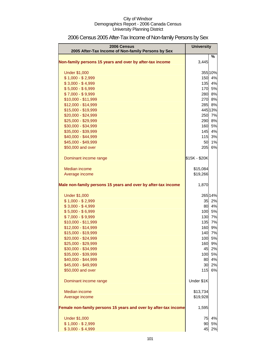| 2006 Census<br>2005 After-Tax Income of Non-family Persons by Sex | <b>University</b> |          |
|-------------------------------------------------------------------|-------------------|----------|
| Non-family persons 15 years and over by after-tax income          | 3,445             | $\%$     |
|                                                                   |                   |          |
| <b>Under \$1,000</b>                                              |                   | 355 10%  |
| $$1,000 - $2,999$                                                 | 150               | 4%       |
| $$3,000 - $4,999$                                                 | 135               | 4%       |
| $$5,000 - $6,999$                                                 | 170               | 5%       |
| $$7,000 - $9,999$                                                 | 280               | 8%       |
| \$10,000 - \$11,999                                               | 270               | 8%       |
| \$12,000 - \$14,999                                               | 285               | 8%       |
| \$15,000 - \$19,999                                               |                   | 445 13%  |
| \$20,000 - \$24,999                                               | 250               | 7%       |
| \$25,000 - \$29,999                                               | 290               | 8%       |
| \$30,000 - \$34,999                                               | 160               | 5%       |
| \$35,000 - \$39,999<br>\$40,000 - \$44,999                        | 145<br>115        | 4%<br>3% |
| \$45,000 - \$49,999                                               | 50                | 1%       |
| \$50,000 and over                                                 | 205               | 6%       |
|                                                                   |                   |          |
| Dominant income range                                             | \$15K - \$20K     |          |
| Median income                                                     | \$15,084          |          |
| Average income                                                    | \$19,266          |          |
|                                                                   |                   |          |
| Male non-family persons 15 years and over by after-tax income     | 1,870             |          |
| <b>Under \$1,000</b>                                              |                   | 265 14%  |
| $$1,000 - $2,999$                                                 | 35                | 2%       |
| $$3,000 - $4,999$                                                 | 80                | 4%       |
| $$5,000 - $6,999$                                                 | 100               | 5%       |
| $$7,000 - $9,999$                                                 | 130               | 7%       |
| \$10,000 - \$11,999                                               | 135               | 7%       |
| \$12,000 - \$14,999                                               | 160               | 9%       |
| \$15,000 - \$19,999                                               | 140               | 7%       |
| \$20,000 - \$24,999                                               | 100               | 5%       |
| \$25,000 - \$29,999                                               | 160               | 9%       |
| \$30,000 - \$34,999                                               | 45                | 2%       |
| \$35,000 - \$39,999                                               | 100               | 5%       |
| \$40,000 - \$44,999                                               | 80                | 4%       |
| \$45,000 - \$49,999                                               | 30                | 2%       |
| \$50,000 and over                                                 | 115               | 6%       |
| Dominant income range                                             | Under \$1K        |          |
| <b>Median income</b>                                              | \$13,734          |          |
| Average income                                                    | \$19,928          |          |
| Female non-family persons 15 years and over by after-tax income   | 1,595             |          |
|                                                                   |                   |          |
| <b>Under \$1,000</b>                                              | 75                | 4%       |
| $$1,000 - $2,999$                                                 | 90                | 5%       |
| $$3,000 - $4,999$                                                 | 45                | 2%       |

# 2006 Census 2005 After-Tax Income of Non-family Persons by Sex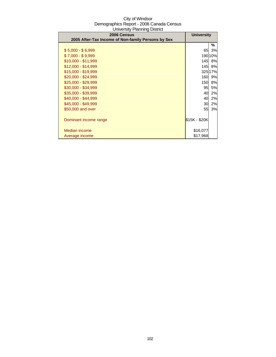| 2006 Census                                        | <b>University</b> |           |
|----------------------------------------------------|-------------------|-----------|
| 2005 After-Tax Income of Non-family Persons by Sex |                   |           |
|                                                    |                   | ℅         |
| $$5,000 - $6,999$                                  | 65                | 3%        |
| $$7,000 - $9,999$                                  |                   | 190 10%   |
| $$10,000 - $11,999$                                | 145I              | 8%        |
| $$12,000 - $14,999$                                | 145I              | 8%        |
| \$15,000 - \$19,999                                |                   | 325 17%   |
| $$20,000 - $24,999$                                | 160 <b>I</b>      | 9%        |
| \$25,000 - \$29,999                                | <b>150</b>        | <b>8%</b> |
| \$30,000 - \$34,999                                | 95                | <b>5%</b> |
| \$35,000 - \$39,999                                | 40                | 2%        |
| \$40,000 - \$44,999                                | 40                | 2%        |
| \$45,000 - \$49,999                                | 30                | 2%        |
| \$50,000 and over                                  | 55                | 3%        |
|                                                    |                   |           |
| Dominant income range                              | \$15K - \$20K     |           |
|                                                    |                   |           |
| Median income                                      | \$16,077          |           |
| Average income                                     | \$17,968          |           |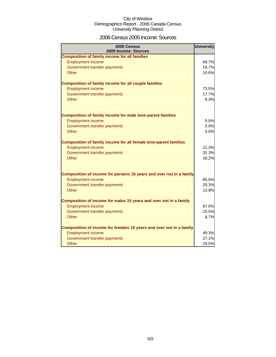### 2006 Census 2005 Income: Sources

| 2006 Census<br>2005 Income: Sources                                                          | <b>University</b> |
|----------------------------------------------------------------------------------------------|-------------------|
| <b>Composition of family income for all families</b>                                         |                   |
| <b>Employment income</b>                                                                     | 69.7%             |
| Government transfer payments                                                                 | 19.7%             |
| Other                                                                                        | 10.6%             |
|                                                                                              |                   |
| <b>Composition of family income for all couple families</b>                                  |                   |
| <b>Employment income</b>                                                                     | 73.5%             |
| Government transfer payments                                                                 | 17.7%             |
| Other                                                                                        | 8.3%              |
|                                                                                              |                   |
|                                                                                              |                   |
| <b>Composition of family income for male lone-parent families</b>                            |                   |
| <b>Employment income</b>                                                                     | 0.0%              |
| Government transfer payments                                                                 | 0.0%              |
| <b>Other</b>                                                                                 | 0.0%              |
|                                                                                              |                   |
| Composition of family income for all female lone-parent families<br><b>Employment income</b> | 21.3%             |
| Government transfer payments                                                                 | 32.3%             |
| Other                                                                                        | 18.2%             |
|                                                                                              |                   |
|                                                                                              |                   |
| Composition of income for persons 15 years and over not in a family                          |                   |
| <b>Employment income</b>                                                                     | 65.6%             |
| Government transfer payments                                                                 | 20.3%             |
| Other                                                                                        | 13.9%             |
|                                                                                              |                   |
| Composition of income for males 15 years and over not in a family                            |                   |
| <b>Employment income</b>                                                                     | 67.6%             |
| Government transfer payments                                                                 | 15.5%             |
| Other                                                                                        | 8.7%              |
|                                                                                              |                   |
| Composition of income for females 15 years and over not in a family                          |                   |
| <b>Employment income</b>                                                                     | 49.3%             |
| Government transfer payments                                                                 | 27.1%             |
| Other                                                                                        | 18.5%             |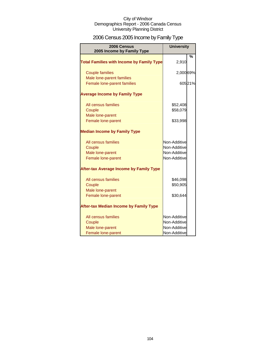# 2006 Census 2005 Income by Family Type

| 2006 Census<br>2005 Income by Family Type                               | <b>University</b>                                            |         |
|-------------------------------------------------------------------------|--------------------------------------------------------------|---------|
| <b>Total Families with Income by Family Type</b>                        | 2,910                                                        | %       |
| <b>Couple families</b>                                                  | 2,000 69%                                                    |         |
| Male lone-parent families<br>Female lone-parent families                |                                                              | 605 21% |
| <b>Average Income by Family Type</b>                                    |                                                              |         |
| All census families<br>Couple                                           | \$52,408<br>\$58,079                                         |         |
| Male lone-parent<br>Female lone-parent                                  | \$33,998                                                     |         |
| <b>Median Income by Family Type</b>                                     |                                                              |         |
| All census families<br>Couple<br>Male lone-parent<br>Female lone-parent | Non-Additive<br>Non-Additive<br>Non-Additive<br>Non-Additive |         |
| <b>After-tax Average Income by Family Type</b>                          |                                                              |         |
| All census families<br>Couple<br>Male lone-parent                       | \$46,098<br>\$50,905                                         |         |
| Female lone-parent                                                      | \$30,644                                                     |         |
| <b>After-tax Median Income by Family Type</b>                           |                                                              |         |
| All census families<br>Couple<br>Male lone-parent<br>Female lone-parent | Non-Additive<br>Non-Additive<br>Non-Additive<br>Non-Additive |         |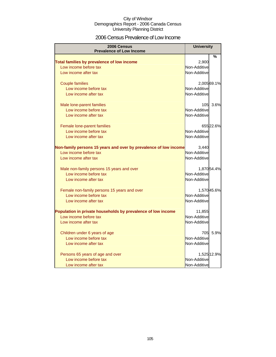### 2006 Census Prevalence of Low Income

| <b>2006 Census</b>                                                  | <b>University</b>     |             |
|---------------------------------------------------------------------|-----------------------|-------------|
| <b>Prevalence of Low Income</b>                                     |                       |             |
|                                                                     |                       | %           |
| Total families by prevalence of low income<br>Low income before tax | 2,900<br>Non-Additive |             |
|                                                                     |                       |             |
| Low income after tax                                                | Non-Additive          |             |
| <b>Couple families</b>                                              |                       | 2,005 69.1% |
| Low income before tax                                               | Non-Additive          |             |
| Low income after tax                                                | Non-Additive          |             |
| Male lone-parent families                                           | 105                   | 3.6%        |
| Low income before tax                                               | Non-Additive          |             |
| Low income after tax                                                | Non-Additive          |             |
|                                                                     |                       |             |
| Female lone-parent families                                         |                       | 655 22.6%   |
| Low income before tax                                               | Non-Additive          |             |
| Low income after tax                                                | Non-Additive          |             |
| Non-family persons 15 years and over by prevalence of low income    | 3,440                 |             |
| Low income before tax                                               | Non-Additive          |             |
| Low income after tax                                                | Non-Additive          |             |
| Male non-family persons 15 years and over                           |                       | 1,87054.4%  |
| Low income before tax                                               | Non-Additive          |             |
| Low income after tax                                                | Non-Additive          |             |
|                                                                     |                       |             |
| Female non-family persons 15 years and over                         |                       | 1,570 45.6% |
| Low income before tax                                               | Non-Additive          |             |
| Low income after tax                                                | Non-Additive          |             |
| Population in private households by prevalence of low income        | 11,855                |             |
| Low income before tax                                               | Non-Additive          |             |
| Low income after tax                                                | Non-Additive          |             |
|                                                                     |                       |             |
| Children under 6 years of age                                       | 705I                  | 5.9%        |
| Low income before tax                                               | Non-Additive          |             |
| Low income after tax                                                | Non-Additive          |             |
| Persons 65 years of age and over                                    |                       | 1,525 12.9% |
| Low income before tax                                               | Non-Additive          |             |
| Low income after tax                                                | Non-Additive          |             |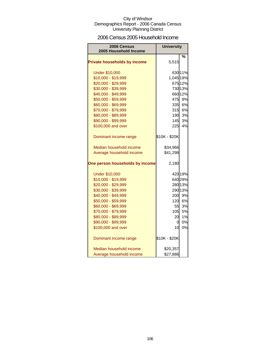### 2006 Census 2005 Household Income

| 2006 Census<br>2005 Household Income | <b>University</b> |         |
|--------------------------------------|-------------------|---------|
|                                      |                   | %       |
| <b>Private households by income</b>  | 5,515             |         |
| <b>Under \$10,000</b>                |                   | 630 11% |
| \$10,000 - \$19,999                  | 1,045 19%         |         |
| \$20,000 - \$29,999                  |                   | 675 12% |
| \$30,000 - \$39,999                  |                   | 730 13% |
| \$40,000 - \$49,999                  |                   | 66012%  |
| \$50,000 - \$59,999                  |                   | 475 9%  |
| \$60,000 - \$69,999                  |                   | 335 6%  |
| \$70,000 - \$79,999                  | 315               | 6%      |
| \$80,000 - \$89,999                  | 190               | 3%      |
| \$90,000 - \$99,999                  | 145               | 3%      |
| \$100,000 and over                   | 225               | 4%      |
| Dominant income range                | \$10K - \$20K     |         |
| Median household income              | \$34,966          |         |
| Average household income             | \$41,298          |         |
| One person households by income      | 2,180             |         |
| <b>Under \$10,000</b>                |                   | 420 19% |
| \$10,000 - \$19,999                  |                   | 640 29% |
| \$20,000 - \$29,999                  |                   | 280 13% |
| \$30,000 - \$39,999                  |                   | 290 13% |
| \$40,000 - \$49,999                  | 200               | 9%      |
| \$50,000 - \$59,999                  | 120               | 6%      |
| \$60,000 - \$69,999                  | 55                | 3%      |
| \$70,000 - \$79,999                  | 105               | 5%      |
| \$80,000 - \$89,999                  | 20                | 1%      |
| \$90,000 - \$99,999                  | 0                 | 0%      |
| \$100,000 and over                   | 10 <sup>1</sup>   | 0%      |
| Dominant income range                | \$10K - \$20K     |         |
| Median household income              | \$20,357          |         |
| Average household income             | \$27,886          |         |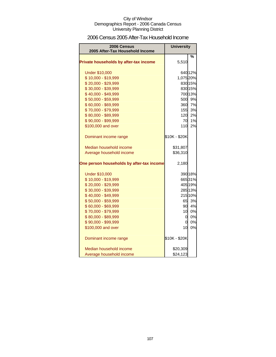### 2006 Census 2005 After-Tax Household Income

| 2006 Census<br>2005 After-Tax Household Income | <b>University</b> |         |
|------------------------------------------------|-------------------|---------|
|                                                |                   | %       |
| Private households by after-tax income         | 5,510             |         |
| <b>Under \$10,000</b>                          |                   | 640 12% |
| \$10,000 - \$19,999                            | 1,075 20%         |         |
| \$20,000 - \$29,999                            |                   | 830 15% |
| \$30,000 - \$39,999                            |                   | 830 15% |
| \$40,000 - \$49,999                            |                   | 700 13% |
| \$50,000 - \$59,999                            |                   | 500 9%  |
| \$60,000 - \$69,999                            |                   | 360 7%  |
| \$70,000 - \$79,999                            | 155               | 3%      |
| \$80,000 - \$89,999                            | 120 <sup>°</sup>  | 2%      |
| \$90,000 - \$99,999                            | 70                | 1%      |
| \$100,000 and over                             | 110l              | 2%      |
| Dominant income range                          | \$10K - \$20K     |         |
| Median household income                        | \$31,807          |         |
| Average household income                       | \$36,310          |         |
| One person households by after-tax income      | 2,180             |         |
| <b>Under \$10,000</b>                          |                   | 390 18% |
| \$10,000 - \$19,999                            |                   | 66531%  |
| \$20,000 - \$29,999                            |                   | 405 19% |
| \$30,000 - \$39,999                            |                   | 285 13% |
| \$40,000 - \$49,999                            |                   | 215 10% |
| \$50,000 - \$59,999                            |                   | 65 3%   |
| \$60,000 - \$69,999                            |                   | 90 4%   |
| \$70,000 - \$79,999                            | 10 <sup>1</sup>   | 0%      |
| \$80,000 - \$89,999                            | $\overline{a}$    | 0%      |
| \$90,000 - \$99,999                            | 0I                | 0%      |
| \$100,000 and over                             | 10                | 0%      |
| Dominant income range                          | \$10K - \$20K     |         |
| Median household income                        | \$20,309          |         |
| Average household income                       | \$24,123          |         |